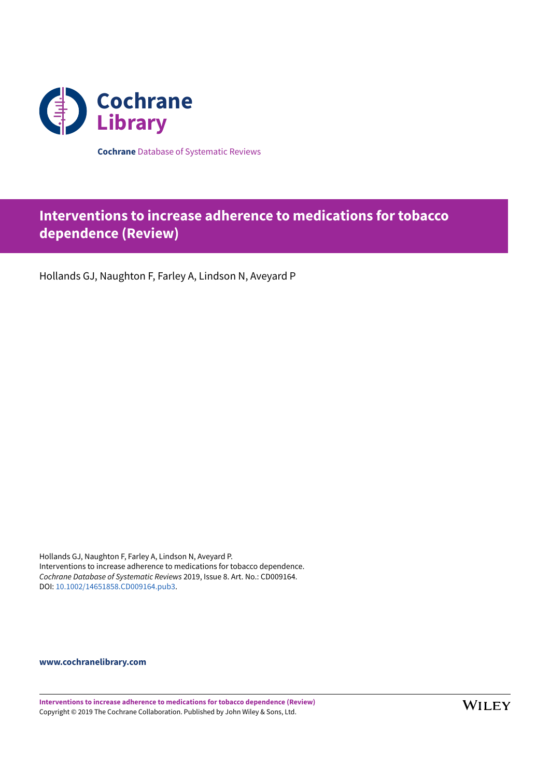

**Cochrane** Database of Systematic Reviews

# **Interventions to increase adherence to medications for tobacco dependence (Review)**

Hollands GJ, Naughton F, Farley A, Lindson N, Aveyard P

Hollands GJ, Naughton F, Farley A, Lindson N, Aveyard P. Interventions to increase adherence to medications for tobacco dependence. *Cochrane Database of Systematic Reviews* 2019, Issue 8. Art. No.: CD009164. DOI: [10.1002/14651858.CD009164.pub3.](https://doi.org/10.1002/14651858.CD009164.pub3)

**[www.cochranelibrary.com](https://www.cochranelibrary.com)**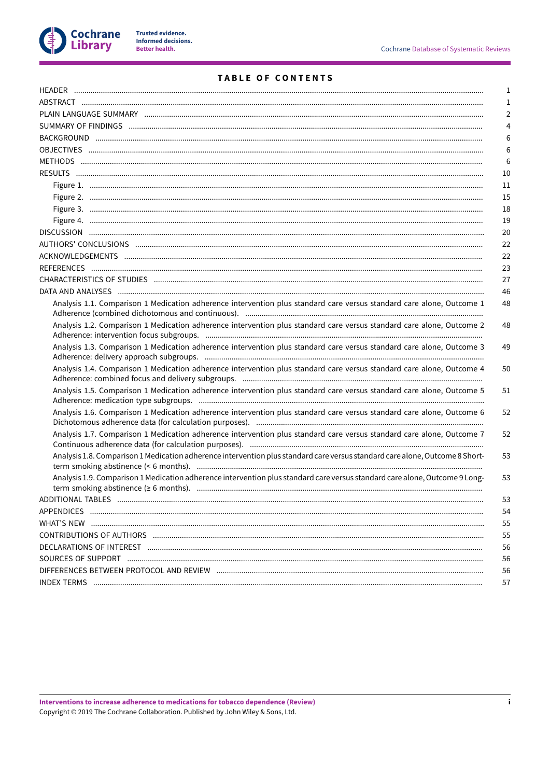

# TABLE OF CONTENTS

| Analysis 1.1. Comparison 1 Medication adherence intervention plus standard care versus standard care alone, Outcome 1        |
|------------------------------------------------------------------------------------------------------------------------------|
|                                                                                                                              |
| Analysis 1.2. Comparison 1 Medication adherence intervention plus standard care versus standard care alone, Outcome 2        |
| Analysis 1.3. Comparison 1 Medication adherence intervention plus standard care versus standard care alone, Outcome 3        |
| Analysis 1.4. Comparison 1 Medication adherence intervention plus standard care versus standard care alone, Outcome 4        |
| Analysis 1.5. Comparison 1 Medication adherence intervention plus standard care versus standard care alone, Outcome 5        |
| Analysis 1.6. Comparison 1 Medication adherence intervention plus standard care versus standard care alone, Outcome 6        |
| Analysis 1.7. Comparison 1 Medication adherence intervention plus standard care versus standard care alone, Outcome 7        |
| Analysis 1.8. Comparison 1 Medication adherence intervention plus standard care versus standard care alone, Outcome 8 Short- |
| Analysis 1.9. Comparison 1 Medication adherence intervention plus standard care versus standard care alone, Outcome 9 Long-  |
|                                                                                                                              |
|                                                                                                                              |
|                                                                                                                              |
|                                                                                                                              |
| DECLARATIONS OF INTEREST measurements and contact the control of the control of the control of the control of                |
|                                                                                                                              |
|                                                                                                                              |
|                                                                                                                              |
|                                                                                                                              |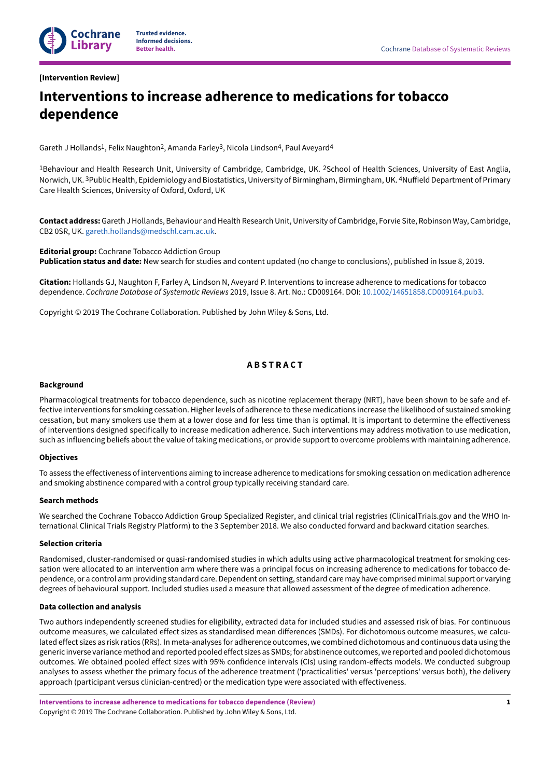# <span id="page-2-0"></span>**[Intervention Review]**

# **Interventions to increase adherence to medications for tobacco dependence**

Gareth J Hollands 1, Felix Naughton2, Amanda Farley3, Nicola Lindson4, Paul Aveyard4

<sup>1</sup>Behaviour and Health Research Unit, University of Cambridge, Cambridge, UK. <sup>2</sup>School of Health Sciences, University of East Anglia, Norwich, UK. <sup>3</sup>Public Health, Epidemiology and Biostatistics, University of Birmingham, Birmingham, UK. <sup>4</sup>Nuffield Department of Primary Care Health Sciences, University of Oxford, Oxford, UK

Contact address: Gareth JHollands, Behaviour and Health Research Unit, University of Cambridge, Forvie Site, Robinson Way, Cambridge, CB2 0SR, UK. [gareth.hollands@medschl.cam.ac.uk](mailto:gareth.hollands@medschl.cam.ac.uk).

**Editorial group:** Cochrane Tobacco Addiction Group **Publication status and date:** New search for studies and content updated (no change to conclusions), published in Issue 8, 2019.

**Citation:** Hollands GJ, Naughton F, Farley A, Lindson N, Aveyard P. Interventions to increase adherence to medications for tobacco dependence. *Cochrane Database of Systematic Reviews* 2019, Issue 8. Art. No.: CD009164. DOI: [10.1002/14651858.CD009164.pub3.](https://doi.org/10.1002/14651858.CD009164.pub3)

Copyright © 2019 The Cochrane Collaboration. Published by John Wiley & Sons, Ltd.

# **A B S T R A C T**

#### <span id="page-2-1"></span>**Background**

Pharmacological treatments for tobacco dependence, such as nicotine replacement therapy (NRT), have been shown to be safe and effective interventions for smoking cessation. Higher levels of adherence to these medications increase the likelihood of sustained smoking cessation, but many smokers use them at a lower dose and for less time than is optimal. It is important to determine the effectiveness of interventions designed specifically to increase medication adherence. Such interventions may address motivation to use medication, such as influencing beliefs about the value of taking medications, or provide support to overcome problems with maintaining adherence.

#### **Objectives**

To assess the effectiveness of interventions aiming to increase adherence to medications for smoking cessation on medication adherence and smoking abstinence compared with a control group typically receiving standard care.

### **Search methods**

We searched the Cochrane Tobacco Addiction Group Specialized Register, and clinical trial registries (ClinicalTrials.gov and the WHO International Clinical Trials Registry Platform) to the 3 September 2018. We also conducted forward and backward citation searches.

#### **Selection criteria**

Randomised, cluster-randomised or quasi-randomised studies in which adults using active pharmacological treatment for smoking cessation were allocated to an intervention arm where there was a principal focus on increasing adherence to medications for tobacco dependence, or a control arm providing standard care. Dependent on setting, standard care may have comprised minimal support or varying degrees of behavioural support. Included studies used a measure that allowed assessment of the degree of medication adherence.

#### **Data collection and analysis**

Two authors independently screened studies for eligibility, extracted data for included studies and assessed risk of bias. For continuous outcome measures, we calculated effect sizes as standardised mean differences (SMDs). For dichotomous outcome measures, we calculated effect sizes as risk ratios (RRs). In meta-analyses for adherence outcomes, we combined dichotomous and continuous data using the generic inverse variance method and reported pooled effect sizes as SMDs; for abstinence outcomes, we reported and pooled dichotomous outcomes. We obtained pooled effect sizes with 95% confidence intervals (CIs) using random-effects models. We conducted subgroup analyses to assess whether the primary focus of the adherence treatment ('practicalities' versus 'perceptions' versus both), the delivery approach (participant versus clinician-centred) or the medication type were associated with effectiveness.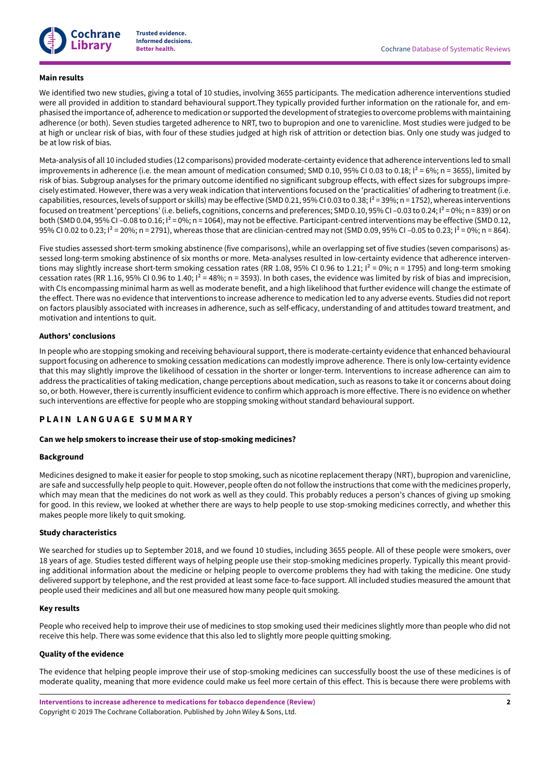

#### **Main results**

We identified two new studies, giving a total of 10 studies, involving 3655 participants. The medication adherence interventions studied were all provided in addition to standard behavioural support.They typically provided further information on the rationale for, and emphasised the importance of, adherence to medication or supported the development of strategies to overcome problems with maintaining adherence (or both). Seven studies targeted adherence to NRT, two to bupropion and one to varenicline. Most studies were judged to be at high or unclear risk of bias, with four of these studies judged at high risk of attrition or detection bias. Only one study was judged to be at low risk of bias.

Meta-analysis of all 10 included studies (12 comparisons) provided moderate-certainty evidence that adherence interventions led to small improvements in adherence (i.e. the mean amount of medication consumed; SMD 0.10, 95% CI 0.03 to 0.18;  $I^2 = 6\%$ ; n = 3655), limited by risk of bias. Subgroup analyses for the primary outcome identified no significant subgroup effects, with effect sizes for subgroups imprecisely estimated. However, there was a very weak indication that interventions focused on the 'practicalities' of adhering to treatment (i.e. capabilities, resources, levels of support or skills) may be effective (SMD 0.21, 95% CI 0.03 to 0.38; I<sup>2</sup> = 39%; n = 1752), whereas interventions focused on treatment 'perceptions' (i.e. beliefs, cognitions, concerns and preferences; SMD 0.10, 95% CI-0.03 to 0.24; I<sup>2</sup> = 0%; n = 839) or on both (SMD 0.04, 95% CI –0.08 to 0.16;  $I^2 = 0$ %; n = 1064), may not be effective. Participant-centred interventions may be effective (SMD 0.12, 95% CI 0.02 to 0.23;  $I^2 = 20\%$ ; n = 2791), whereas those that are clinician-centred may not (SMD 0.09, 95% CI -0.05 to 0.23;  $I^2 = 0\%$ ; n = 864).

Five studies assessed short-term smoking abstinence (five comparisons), while an overlapping set of five studies (seven comparisons) assessed long-term smoking abstinence of six months or more. Meta-analyses resulted in low-certainty evidence that adherence interventions may slightly increase short-term smoking cessation rates (RR 1.08, 95% CI 0.96 to 1.21;  $I^2 = 0\%$ ; n = 1795) and long-term smoking cessation rates (RR 1.16, 95% CI 0.96 to 1.40;  $I^2$  = 48%; n = 3593). In both cases, the evidence was limited by risk of bias and imprecision, with CIs encompassing minimal harm as well as moderate benefit, and a high likelihood that further evidence will change the estimate of the effect. There was no evidence that interventions to increase adherence to medication led to any adverse events. Studies did notreport on factors plausibly associated with increases in adherence, such as self-efficacy, understanding of and attitudes toward treatment, and motivation and intentions to quit.

### **Authors' conclusions**

In people who are stopping smoking and receiving behavioural support, there is moderate-certainty evidence that enhanced behavioural support focusing on adherence to smoking cessation medications can modestly improve adherence. There is only low-certainty evidence that this may slightly improve the likelihood of cessation in the shorter or longer-term. Interventions to increase adherence can aim to address the practicalities of taking medication, change perceptions about medication, such as reasons to take it or concerns about doing so, or both. However, there is currently insufficient evidence to confirm which approach is more effective. There is no evidence on whether such interventions are effective for people who are stopping smoking without standard behavioural support.

# <span id="page-3-0"></span>**P L A I N L A N G U A G E S U M M A R Y**

### **Can we help smokers to increase their use of stop-smoking medicines?**

#### **Background**

Medicines designed to make it easier for people to stop smoking, such as nicotine replacement therapy (NRT), bupropion and varenicline, are safe and successfully help people to quit. However, people often do not follow the instructions that come with the medicines properly, which may mean that the medicines do not work as well as they could. This probably reduces a person's chances of giving up smoking for good. In this review, we looked at whether there are ways to help people to use stop-smoking medicines correctly, and whether this makes people more likely to quit smoking.

#### **Study characteristics**

We searched for studies up to September 2018, and we found 10 studies, including 3655 people. All of these people were smokers, over 18 years of age. Studies tested different ways of helping people use their stop-smoking medicines properly. Typically this meant providing additional information about the medicine or helping people to overcome problems they had with taking the medicine. One study delivered support by telephone, and the rest provided at least some face-to-face support. All included studies measured the amount that people used their medicines and all but one measured how many people quit smoking.

#### **Key results**

People who received help to improve their use of medicines to stop smoking used their medicines slightly more than people who did not receive this help. There was some evidence that this also led to slightly more people quitting smoking.

#### **Quality of the evidence**

The evidence that helping people improve their use of stop-smoking medicines can successfully boost the use of these medicines is of moderate quality, meaning that more evidence could make us feel more certain of this effect. This is because there were problems with

**Interventions to increase adherence to medications for tobacco dependence (Review)** Copyright © 2019 The Cochrane Collaboration. Published by John Wiley & Sons, Ltd.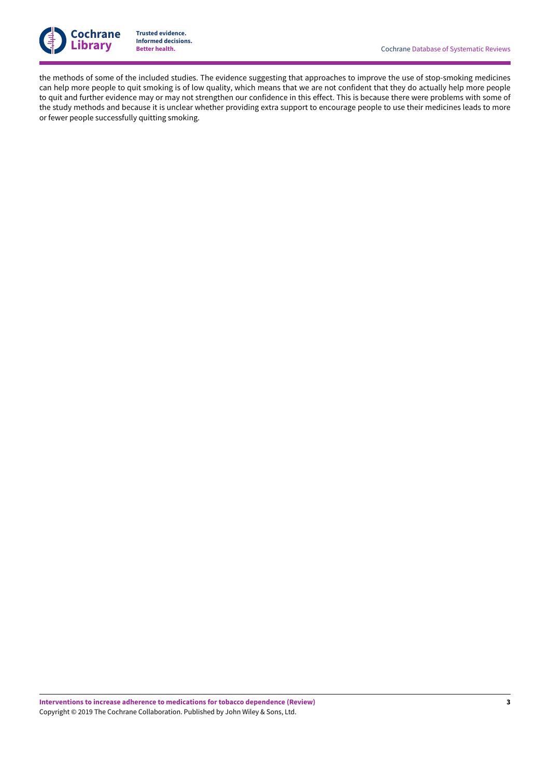

the methods of some of the included studies. The evidence suggesting that approaches to improve the use of stop-smoking medicines can help more people to quit smoking is of low quality, which means that we are not confident that they do actually help more people to quit and further evidence may or may not strengthen our confidence in this effect. This is because there were problems with some of the study methods and because it is unclear whether providing extra support to encourage people to use their medicines leads to more or fewer people successfully quitting smoking.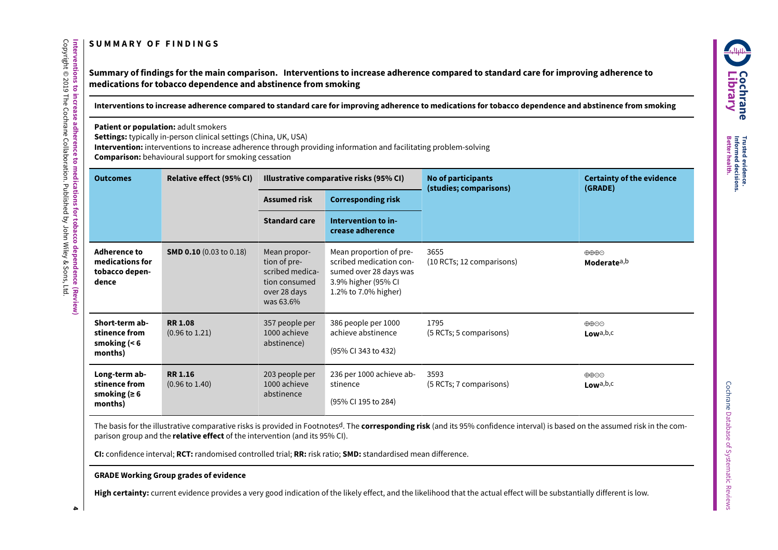# **S U M M A R Y O F F I N D I N G S**

Summary of findings for the main comparison. Interventions to increase adherence compared to standard care for improving adherence to **medications for tobacco dependence and abstinence from smoking**

Interventions to increase adherence compared to standard care for improving adherence to medications for tobacco dependence and abstinence from smoking

**Patient or population:** adult smokers

**Settings:** typically in-person clinical settings (China, UK, USA)

**Intervention:** interventions to increase adherence through providing information and facilitating problem-solving

**Comparison:** behavioural support for smoking cessation

<span id="page-5-0"></span>

| <b>Outcomes</b>                                                 | Relative effect (95% CI)                    |                                                                                               | Illustrative comparative risks (95% CI)                                                                                     | <b>No of participants</b><br>(studies; comparisons) | <b>Certainty of the evidence</b><br>(GRADE)               |
|-----------------------------------------------------------------|---------------------------------------------|-----------------------------------------------------------------------------------------------|-----------------------------------------------------------------------------------------------------------------------------|-----------------------------------------------------|-----------------------------------------------------------|
|                                                                 |                                             | <b>Assumed risk</b>                                                                           | <b>Corresponding risk</b>                                                                                                   |                                                     |                                                           |
|                                                                 |                                             | <b>Standard care</b>                                                                          | Intervention to in-<br>crease adherence                                                                                     |                                                     |                                                           |
| Adherence to<br>medications for<br>tobacco depen-<br>dence      | <b>SMD 0.10</b> (0.03 to 0.18)              | Mean propor-<br>tion of pre-<br>scribed medica-<br>tion consumed<br>over 28 days<br>was 63.6% | Mean proportion of pre-<br>scribed medication con-<br>sumed over 28 days was<br>3.9% higher (95% CI<br>1.2% to 7.0% higher) | 3655<br>(10 RCTs; 12 comparisons)                   | $\oplus \oplus \oplus \ominus$<br>Moderate <sup>a,b</sup> |
| Short-term ab-<br>stinence from<br>smoking $(< 6$<br>months)    | <b>RR 1.08</b><br>$(0.96 \text{ to } 1.21)$ | 357 people per<br>1000 achieve<br>abstinence)                                                 | 386 people per 1000<br>achieve abstinence<br>(95% CI 343 to 432)                                                            | 1795<br>(5 RCTs; 5 comparisons)                     | $\oplus \oplus \ominus$<br>Low $a,b,c$                    |
| Long-term ab-<br>stinence from<br>smoking ( $\geq 6$<br>months) | <b>RR 1.16</b><br>$(0.96 \text{ to } 1.40)$ | 203 people per<br>1000 achieve<br>abstinence                                                  | 236 per 1000 achieve ab-<br>stinence<br>(95% CI 195 to 284)                                                                 | 3593<br>(5 RCTs; 7 comparisons)                     | $\oplus \oplus \ominus \ominus$<br>Lowa, b,c              |

<span id="page-5-1"></span>The basis for the illustrative comparative risks is provided in Footnotesd. The **corresponding risk** (and its 95% confidence interval) is based on the assumed risk in the comparison group and the **relative effect** of the intervention (and its 95% CI).

**CI:** confidence interval; **RCT:** randomised controlled trial; **RR:** risk ratio; **SMD:** standardised mean difference.

#### **GRADE Working Group grades of evidence**

**High certainty:** current evidence provides a very good indication of the likely effect, and the likelihood that the actual effect will be substantially different is low.

**4**

**C**

**o c hra n e Lib r a r y**

**Trusted Better**

**Informed**

**decisions. health.**

**evidence.**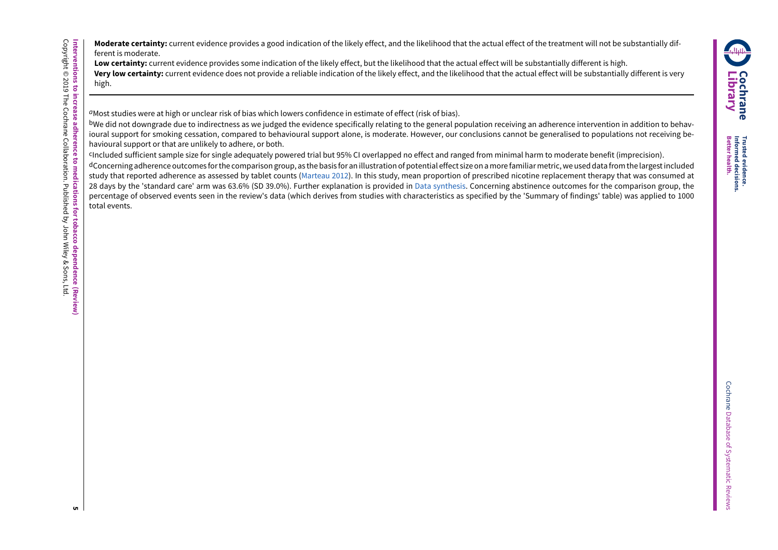Low certainty: current evidence provides some indication of the likely effect, but the likelihood that the actual effect will be substantially different is high. Very low certainty: current evidence does not provide a reliable indication of the likely effect, and the likelihood that the actual effect will be substantially different is very high.

*a*Most studies were at high or unclear risk of bias which lowers confidence in estimate of effect (risk of bias).

bWe did not downgrade due to indirectness as we judged the evidence specifically relating to the general population receiving an adherence intervention in addition to behavioural support for smoking cessation, compared to behavioural support alone, is moderate. However, our conclusions cannot be generalised to populations not receiving behavioural support or that are unlikely to adhere, or both.

cIncluded sufficient sample size for single adequately powered trial but 95% CI overlapped no effect and ranged from minimal harm to moderate benefit (imprecision).

 $\mu$ Concerning adherence outcomes for the comparison group, as the basis for an illustration of potential effect size on a more familiar metric, we used data from the largest included study that reported adherence as assessed by tablet counts [\(Marteau](#page-24-1) 2012). In this study, mean proportion of prescribed nicotine replacement therapy that was consumed at 28 days by the 'standard care' arm was 63.6% (SD 39.0%). Further explanation is provided in [Data synthesis.](#page-10-0) Concerning abstinence outcomes for the comparison group, the percentage of observed events seen in the review's data (which derives from studies with characteristics as specified by the 'Summary of findings' table) was applied to 1000 total events.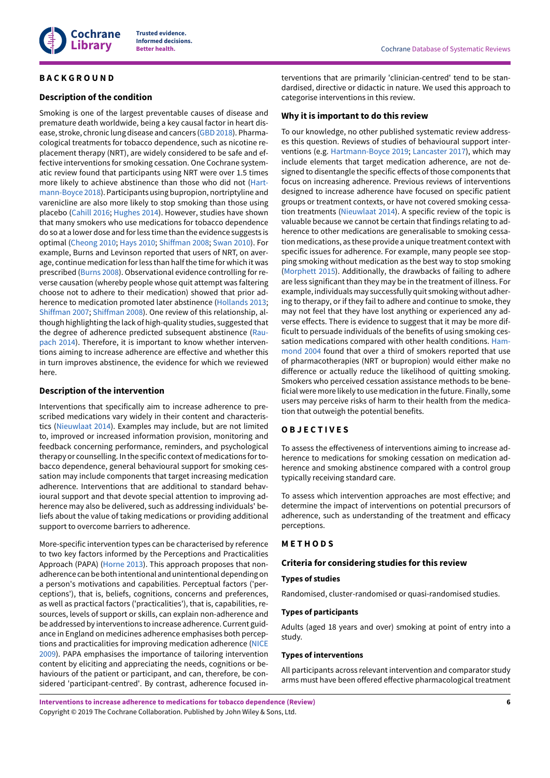

# <span id="page-7-0"></span>**B A C K G R O U N D**

# **Description of the condition**

Smoking is one of the largest preventable causes of disease and premature death worldwide, being a key causal factor in heart disease, stroke, chronic lung disease and cancers [\(GBD 2018\)](#page-26-0). Pharmacological treatments for tobacco dependence, such as nicotine replacement therapy (NRT), are widely considered to be safe and effective interventions for smoking cessation. One Cochrane systematic review found that participants using NRT were over 1.5 times more likely to achieve abstinence than those who did not [\(Hart](#page-26-1)[mann-Boyce](#page-26-1) 2018). Participants using bupropion, nortriptyline and varenicline are also more likely to stop smoking than those using placebo ([Cahill 2016;](#page-26-2) [Hughes 2014\)](#page-27-0). However, studies have shown that many smokers who use medications for tobacco dependence do so at a lower dose and forless time than the evidence suggests is optimal ([Cheong 2010](#page-26-3); [Hays 2010](#page-27-1); [Shiffman 2008](#page-27-2); [Swan](#page-25-0) 2010). For example, Burns and Levinson reported that users of NRT, on average, continue medication for less than half the time for which it was prescribed [\(Burns 2008\)](#page-26-4). Observational evidence controlling for reverse causation (whereby people whose quit attempt was faltering choose not to adhere to their medication) showed that prior adherence to medication promoted later abstinence ([Hollands 2013](#page-27-3); [Shiffman 2007](#page-27-4); [Shiffman 2008\)](#page-27-2). One review of this relationship, although highlighting the lack of high-quality studies, suggested that the degree of adherence predicted subsequent abstinence [\(Rau](#page-27-5)[pach 2014\)](#page-27-5). Therefore, it is important to know whether interventions aiming to increase adherence are effective and whether this in turn improves abstinence, the evidence for which we reviewed here.

#### **Description of the intervention**

Interventions that specifically aim to increase adherence to prescribed medications vary widely in their content and characteristics [\(Nieuwlaat 2014\)](#page-27-6). Examples may include, but are not limited to, improved or increased information provision, monitoring and feedback concerning performance, reminders, and psychological therapy or counselling. In the specific context of medications fortobacco dependence, general behavioural support for smoking cessation may include components that target increasing medication adherence. Interventions that are additional to standard behavioural support and that devote special attention to improving adherence may also be delivered, such as addressing individuals' beliefs about the value of taking medications or providing additional support to overcome barriers to adherence.

More-specific intervention types can be characterised by reference to two key factors informed by the Perceptions and Practicalities Approach (PAPA) ([Horne 2013\)](#page-27-7). This approach proposes that nonadherence can be both intentional and unintentional depending on a person's motivations and capabilities. Perceptual factors ('perceptions'), that is, beliefs, cognitions, concerns and preferences, as well as practical factors ('practicalities'), that is, capabilities, resources, levels of support or skills, can explain non-adherence and be addressed by interventions to increase adherence. Current guidance in England on medicines adherence emphasises both perceptions and practicalities for improving medication adherence [\(NICE](#page-27-8) [2009](#page-27-8)). PAPA emphasises the importance of tailoring intervention content by eliciting and appreciating the needs, cognitions or behaviours of the patient or participant, and can, therefore, be considered 'participant-centred'. By contrast, adherence focused in-

terventions that are primarily 'clinician-centred' tend to be standardised, directive or didactic in nature. We used this approach to categorise interventions in this review.

#### **Why it is important to do this review**

To our knowledge, no other published systematic review addresses this question. Reviews of studies of behavioural support interventions (e.g. [Hartmann-Boyce](#page-26-5) 2019; [Lancaster 2017](#page-27-9)), which may include elements that target medication adherence, are not designed to disentangle the specific effects of those components that focus on increasing adherence. Previous reviews of interventions designed to increase adherence have focused on specific patient groups or treatment contexts, or have not covered smoking cessation treatments [\(Nieuwlaat 2014\)](#page-27-6). A specific review of the topic is valuable because we cannot be certain that findings relating to adherence to other medications are generalisable to smoking cessation medications, as these provide a unique treatment context with specific issues for adherence. For example, many people see stopping smoking without medication as the best way to stop smoking [\(Morphett 2015\)](#page-27-10). Additionally, the drawbacks of failing to adhere are less significant than they may be in the treatment of illness. For example, individuals may successfully quit smoking without adhering to therapy, or if they fail to adhere and continue to smoke, they may not feel that they have lost anything or experienced any adverse effects. There is evidence to suggest that it may be more difficult to persuade individuals of the benefits of using smoking ces-sation medications compared with other health conditions. [Ham](#page-26-6)[mond 2004](#page-26-6) found that over a third of smokers reported that use of pharmacotherapies (NRT or bupropion) would either make no difference or actually reduce the likelihood of quitting smoking. Smokers who perceived cessation assistance methods to be beneficial were more likely to use medication in the future. Finally, some users may perceive risks of harm to their health from the medication that outweigh the potential benefits.

### <span id="page-7-1"></span>**O B J E C T I V E S**

To assess the effectiveness of interventions aiming to increase adherence to medications for smoking cessation on medication adherence and smoking abstinence compared with a control group typically receiving standard care.

To assess which intervention approaches are most effective; and determine the impact of interventions on potential precursors of adherence, such as understanding of the treatment and efficacy perceptions.

### <span id="page-7-2"></span>**M E T H O D S**

### **Criteria for considering studies for this review**

#### **Types of studies**

Randomised, cluster-randomised or quasi-randomised studies.

### **Types of participants**

Adults (aged 18 years and over) smoking at point of entry into a study.

#### **Types of interventions**

All participants across relevant intervention and comparator study arms must have been offered effective pharmacological treatment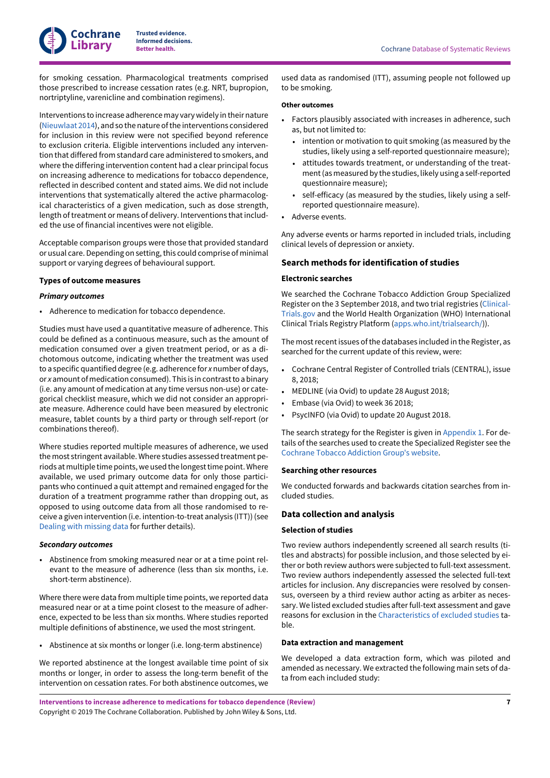

for smoking cessation. Pharmacological treatments comprised those prescribed to increase cessation rates (e.g. NRT, bupropion, nortriptyline, varenicline and combination regimens).

Interventions to increase adherence may varywidely in their nature [\(Nieuwlaat 2014\)](#page-27-6), and so the nature of the interventions considered for inclusion in this review were not specified beyond reference to exclusion criteria. Eligible interventions included any intervention that differed from standard care administered to smokers, and where the differing intervention content had a clear principal focus on increasing adherence to medications for tobacco dependence, reflected in described content and stated aims. We did not include interventions that systematically altered the active pharmacological characteristics of a given medication, such as dose strength, length of treatment or means of delivery. Interventions that included the use of financial incentives were not eligible.

Acceptable comparison groups were those that provided standard or usual care. Depending on setting, this could comprise of minimal support or varying degrees of behavioural support.

### **Types of outcome measures**

#### *Primary outcomes*

• Adherence to medication for tobacco dependence.

Studies must have used a quantitative measure of adherence. This could be defined as a continuous measure, such as the amount of medication consumed over a given treatment period, or as a dichotomous outcome, indicating whether the treatment was used to a specific quantified degree (e.g. adherence for *x* number of days, or *x* amount of medication consumed). This is in contrastto a binary (i.e. any amount of medication at any time versus non-use) or categorical checklist measure, which we did not consider an appropriate measure. Adherence could have been measured by electronic measure, tablet counts by a third party or through self-report (or combinations thereof).

Where studies reported multiple measures of adherence, we used the most stringent available. Where studies assessed treatment periods at multiple time points, we used the longest time point. Where available, we used primary outcome data for only those participants who continued a quit attempt and remained engaged for the duration of a treatment programme rather than dropping out, as opposed to using outcome data from all those randomised to receive a given intervention (i.e. intention-to-treat analysis (ITT)) (see [Dealing with missing data](#page-9-0) for further details).

#### *Secondary outcomes*

Abstinence from smoking measured near or at a time point relevant to the measure of adherence (less than six months, i.e. short-term abstinence).

Where there were data from multiple time points, we reported data measured near or at a time point closest to the measure of adherence, expected to be less than six months. Where studies reported multiple definitions of abstinence, we used the most stringent.

• Abstinence at six months or longer (i.e. long-term abstinence)

We reported abstinence at the longest available time point of six months or longer, in order to assess the long-term benefit of the intervention on cessation rates. For both abstinence outcomes, we

used data as randomised (ITT), assuming people not followed up to be smoking.

#### **Other outcomes**

- Factors plausibly associated with increases in adherence, such as, but not limited to:
	- intention or motivation to quit smoking (as measured by the studies, likely using a self-reported questionnaire measure);
	- attitudes towards treatment, or understanding of the treatment (as measured by the studies, likely using a self-reported questionnaire measure);
	- self-efficacy (as measured by the studies, likely using a selfreported questionnaire measure).
- Adverse events.

Any adverse events or harms reported in included trials, including clinical levels of depression or anxiety.

# **Search methods for identification of studies**

# **Electronic searches**

We searched the Cochrane Tobacco Addiction Group Specialized Register on the 3 September 2018, and two trial registries [\(Clinical-](http://ClinicalTrials.gov)[Trials.gov](http://ClinicalTrials.gov) and the World Health Organization (WHO) International Clinical Trials Registry Platform ([apps.who.int/trialsearch/](http://apps.who.int/trialsearch/))).

The most recent issues of the databases included in the Register, as searched for the current update of this review, were:

- Cochrane Central Register of Controlled trials (CENTRAL), issue 8, 2018;
- MEDLINE (via Ovid) to update 28 August 2018;
- Embase (via Ovid) to week 36 2018;
- PsycINFO (via Ovid) to update 20 August 2018.

The search strategy for the Register is given in [Appendix 1.](#page-55-1) For details of the searches used to create the Specialized Register see the Cochrane Tobacco [Addiction](https://tobacco.cochrane.org/resources/cochrane-tag-specialised-register) Group's website.

#### **Searching other resources**

We conducted forwards and backwards citation searches from included studies.

# **Data collection and analysis**

# **Selection of studies**

Two review authors independently screened all search results (titles and abstracts) for possible inclusion, and those selected by either or both review authors were subjected to full-text assessment. Two review authors independently assessed the selected full-text articles for inclusion. Any discrepancies were resolved by consensus, overseen by a third review author acting as arbiter as necessary. We listed excluded studies afterfull-text assessment and gave reasons for exclusion in the [Characteristics of excluded studies](#page-44-0) table.

#### **Data extraction and management**

We developed a data extraction form, which was piloted and amended as necessary. We extracted the following main sets of data from each included study: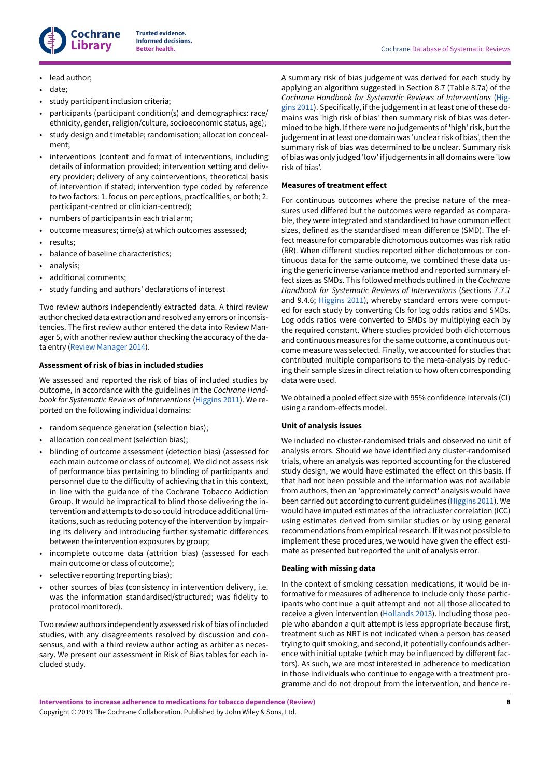

- lead author;
- date;
- study participant inclusion criteria;
- participants (participant condition(s) and demographics: race/ ethnicity, gender, religion/culture, socioeconomic status, age);
- study design and timetable; randomisation; allocation concealment;
- interventions (content and format of interventions, including details of information provided; intervention setting and delivery provider; delivery of any cointerventions, theoretical basis of intervention if stated; intervention type coded by reference to two factors: 1. focus on perceptions, practicalities, or both; 2. participant-centred or clinician-centred);
- numbers of participants in each trial arm;
- outcome measures; time(s) at which outcomes assessed;
- results;
- balance of baseline characteristics;
- analysis;
- additional comments;
- study funding and authors' declarations of interest

Two review authors independently extracted data. A third review author checked data extraction and resolved any errors orinconsistencies. The first review author entered the data into Review Manager 5, with another review author checking the accuracy of the data entry [\(Review Manager 2014](#page-27-11)).

#### <span id="page-9-1"></span>**Assessment of risk of bias in included studies**

We assessed and reported the risk of bias of included studies by outcome, in accordance with the guidelines in the *Cochrane Handbook for Systematic Reviews of Interventions* ([Higgins 2011\)](#page-27-12). We reported on the following individual domains:

- random sequence generation (selection bias);
- allocation concealment (selection bias);
- blinding of outcome assessment (detection bias) (assessed for each main outcome or class of outcome). We did not assess risk of performance bias pertaining to blinding of participants and personnel due to the difficulty of achieving that in this context, in line with the guidance of the Cochrane Tobacco Addiction Group. It would be impractical to blind those delivering the intervention and attempts to do so could introduce additional limitations, such as reducing potency of the intervention by impairing its delivery and introducing further systematic differences between the intervention exposures by group;
- incomplete outcome data (attrition bias) (assessed for each main outcome or class of outcome);
- selective reporting (reporting bias);
- other sources of bias (consistency in intervention delivery, i.e. was the information standardised/structured; was fidelity to protocol monitored).

Two review authors independently assessed risk of bias of included studies, with any disagreements resolved by discussion and consensus, and with a third review author acting as arbiter as necessary. We present our assessment in Risk of Bias tables for each included study.

A summary risk of bias judgement was derived for each study by applying an algorithm suggested in Section 8.7 (Table 8.7a) of the

*Cochrane Handbook for Systematic Reviews of Interventions* [\(Hig](#page-27-12)[gins 2011\)](#page-27-12). Specifically, if the judgement in at least one of these domains was 'high risk of bias' then summary risk of bias was determined to be high. If there were no judgements of 'high' risk, but the judgement in at least one domain was 'unclear risk of bias', then the summary risk of bias was determined to be unclear. Summary risk of bias was only judged 'low' if judgements in all domains were 'low risk of bias'.

#### **Measures** of treatment effect

For continuous outcomes where the precise nature of the measures used differed but the outcomes were regarded as comparable, they were integrated and standardised to have common effect sizes, defined as the standardised mean difference (SMD). The effect measure for comparable dichotomous outcomes was risk ratio (RR). When different studies reported either dichotomous or continuous data for the same outcome, we combined these data using the generic inverse variance method and reported summary effect sizes as SMDs. This followed methods outlined in the *Cochrane Handbook for Systematic Reviews of Interventions* (Sections 7.7.7 and 9.4.6; [Higgins 2011\)](#page-27-12), whereby standard errors were computed for each study by converting CIs for log odds ratios and SMDs. Log odds ratios were converted to SMDs by multiplying each by the required constant. Where studies provided both dichotomous and continuous measures forthe same outcome, a continuous outcome measure was selected. Finally, we accounted for studies that contributed multiple comparisons to the meta-analysis by reducing their sample sizes in direct relation to how often corresponding data were used.

We obtained a pooled effect size with 95% confidence intervals (CI) using a random-effects model.

# **Unit of analysis issues**

We included no cluster-randomised trials and observed no unit of analysis errors. Should we have identified any cluster-randomised trials, where an analysis was reported accounting for the clustered study design, we would have estimated the effect on this basis. If that had not been possible and the information was not available from authors, then an 'approximately correct' analysis would have been carried out according to current guidelines [\(Higgins 2011\)](#page-27-12). We would have imputed estimates of the intracluster correlation (ICC) using estimates derived from similar studies or by using general recommendations from empirical research. If it was not possible to implement these procedures, we would have given the effect estimate as presented but reported the unit of analysis error.

### <span id="page-9-0"></span>**Dealing with missing data**

In the context of smoking cessation medications, it would be informative for measures of adherence to include only those participants who continue a quit attempt and not all those allocated to receive a given intervention [\(Hollands 2013\)](#page-27-3). Including those people who abandon a quit attempt is less appropriate because first, treatment such as NRT is not indicated when a person has ceased trying to quit smoking, and second, it potentially confounds adherence with initial uptake (which may be influenced by different factors). As such, we are most interested in adherence to medication in those individuals who continue to engage with a treatment programme and do not dropout from the intervention, and hence re-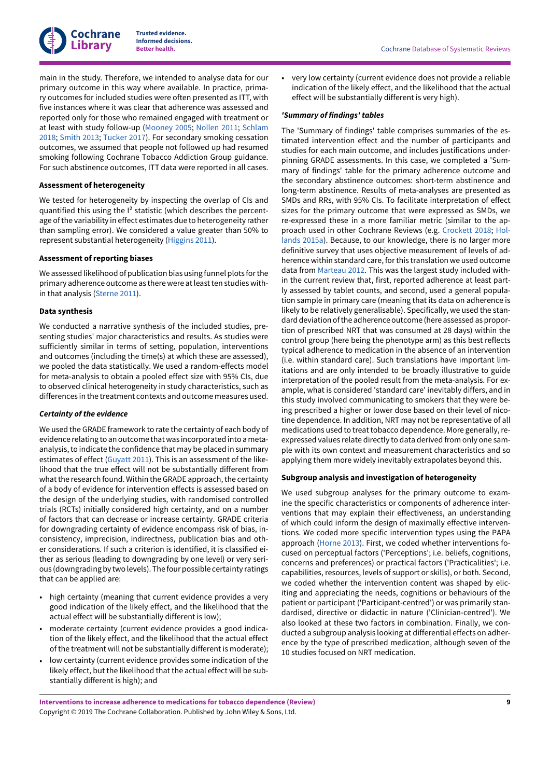<span id="page-10-0"></span>main in the study. Therefore, we intended to analyse data for our primary outcome in this way where available. In practice, primary outcomes for included studies were often presented as ITT, with five instances where it was clear that adherence was assessed and reported only for those who remained engaged with treatment or at least with study follow-up [\(Mooney](#page-24-2) 2005; [Nollen 2011;](#page-24-3) [Schlam](#page-24-4) [2018](#page-24-4); [Smith 2013](#page-24-5); [Tucker 2017\)](#page-24-6). For secondary smoking cessation outcomes, we assumed that people not followed up had resumed smoking following Cochrane Tobacco Addiction Group guidance. For such abstinence outcomes, ITT data were reported in all cases.

#### **Assessment of heterogeneity**

We tested for heterogeneity by inspecting the overlap of CIs and quantified this using the  $I<sup>2</sup>$  statistic (which describes the percentage of the variability in effect estimates due to heterogeneity rather than sampling error). We considered a value greater than 50% to represent substantial heterogeneity ([Higgins 2011](#page-27-12)).

### **Assessment of reporting biases**

We assessed likelihood of publication bias using funnel plots forthe primary adherence outcome as there were at least ten studies within that analysis ([Sterne](#page-28-1) 2011).

### <span id="page-10-1"></span>**Data synthesis**

We conducted a narrative synthesis of the included studies, presenting studies' major characteristics and results. As studies were sufficiently similar in terms of setting, population, interventions and outcomes (including the time(s) at which these are assessed), we pooled the data statistically. We used a random-effects model for meta-analysis to obtain a pooled effect size with 95% CIs, due to observed clinical heterogeneity in study characteristics, such as differences in the treatment contexts and outcome measures used.

#### *Certainty of the evidence*

We used the GRADE framework to rate the certainty of each body of evidence relating to an outcome that was incorporated into a metaanalysis,to indicate the confidence that may be placed in summary estimates of effect [\(Guyatt 2011](#page-26-7)). This is an assessment of the likelihood that the true effect will not be substantially different from what the research found. Within the GRADE approach, the certainty of a body of evidence for intervention effects is assessed based on the design of the underlying studies, with randomised controlled trials (RCTs) initially considered high certainty, and on a number of factors that can decrease or increase certainty. GRADE criteria for downgrading certainty of evidence encompass risk of bias, inconsistency, imprecision, indirectness, publication bias and other considerations. If such a criterion is identified, it is classified either as serious (leading to downgrading by one level) or very serious (downgrading by two levels). The four possible certainty ratings that can be applied are:

- high certainty (meaning that current evidence provides a very good indication of the likely effect, and the likelihood that the actual effect will be substantially different is low);
- moderate certainty (current evidence provides a good indication of the likely effect, and the likelihood that the actual effect of the treatment will not be substantially different is moderate);
- low certainty (current evidence provides some indication of the likely effect, but the likelihood that the actual effect will be substantially different is high); and

• very low certainty (current evidence does not provide a reliable indication of the likely effect, and the likelihood that the actual effect will be substantially different is very high).

#### *'Summary of findings' tables*

The 'Summary of findings' table comprises summaries of the estimated intervention effect and the number of participants and studies for each main outcome, and includes justifications underpinning GRADE assessments. In this case, we completed a 'Summary of findings' table for the primary adherence outcome and the secondary abstinence outcomes: short-term abstinence and long-term abstinence. Results of meta-analyses are presented as SMDs and RRs, with 95% CIs. To facilitate interpretation of effect sizes for the primary outcome that were expressed as SMDs, we re-expressed these in a more familiar metric (similar to the approach used in other Cochrane Reviews (e.g. [Crockett 2018;](#page-26-8) [Hol](#page-27-13)[lands 2015a](#page-27-13)). Because, to our knowledge, there is no larger more definitive survey that uses objective measurement of levels of adherence within standard care, forthis translation we used outcome data from [Marteau](#page-24-7) 2012. This was the largest study included within the current review that, first, reported adherence at least partly assessed by tablet counts, and second, used a general population sample in primary care (meaning that its data on adherence is likely to be relatively generalisable). Specifically, we used the standard deviation of the adherence outcome (here assessed as proportion of prescribed NRT that was consumed at 28 days) within the control group (here being the phenotype arm) as this best reflects typical adherence to medication in the absence of an intervention (i.e. within standard care). Such translations have important limitations and are only intended to be broadly illustrative to guide interpretation of the pooled result from the meta-analysis. For example, what is considered 'standard care' inevitably differs, and in this study involved communicating to smokers that they were being prescribed a higher or lower dose based on their level of nicotine dependence. In addition, NRT may not be representative of all medications used to treat tobacco dependence. More generally, reexpressed values relate directly to data derived from only one sample with its own context and measurement characteristics and so applying them more widely inevitably extrapolates beyond this.

#### **Subgroup analysis and investigation of heterogeneity**

We used subgroup analyses for the primary outcome to examine the specific characteristics or components of adherence interventions that may explain their effectiveness, an understanding of which could inform the design of maximally effective interventions. We coded more specific intervention types using the PAPA approach ([Horne 2013](#page-27-7)). First, we coded whether interventions focused on perceptual factors ('Perceptions'; i.e. beliefs, cognitions, concerns and preferences) or practical factors ('Practicalities'; i.e. capabilities, resources, levels of support or skills), or both. Second, we coded whether the intervention content was shaped by eliciting and appreciating the needs, cognitions or behaviours of the patient or participant ('Participant-centred') or was primarily standardised, directive or didactic in nature ('Clinician-centred'). We also looked at these two factors in combination. Finally, we conducted a subgroup analysis looking at differential effects on adherence by the type of prescribed medication, although seven of the 10 studies focused on NRT medication.

**Interventions to increase adherence to medications for tobacco dependence (Review)** Copyright © 2019 The Cochrane Collaboration. Published by John Wiley & Sons, Ltd.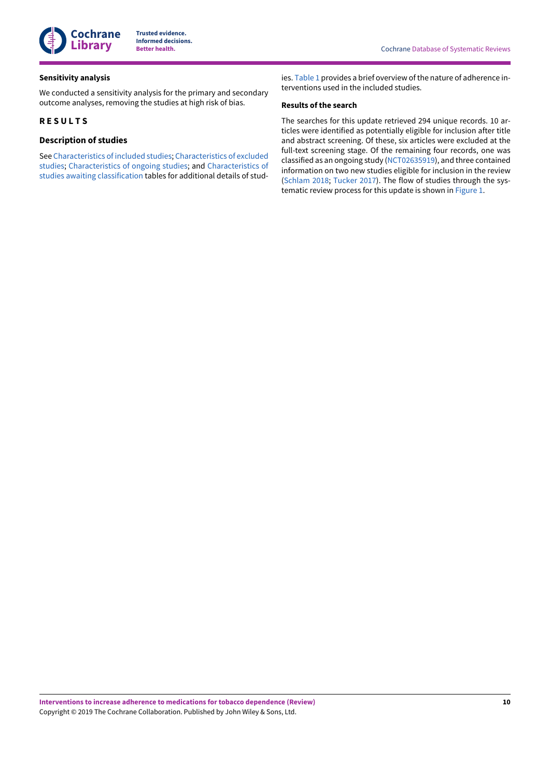

### **Sensitivity analysis**

We conducted a sensitivity analysis for the primary and secondary outcome analyses, removing the studies at high risk of bias.

# <span id="page-11-0"></span>**R E S U L T S**

# **Description of studies**

See [Characteristics of included studies;](#page-28-2) [Characteristics of excluded](#page-44-0) [studies;](#page-44-0) [Characteristics of ongoing studies](#page-47-1); and [Characteristics of](#page-46-0) [studies awaiting classification](#page-46-0) tables for additional details of studies. [Table 1](#page-54-3) provides a brief overview of the nature of adherence interventions used in the included studies.

# **Results of the search**

The searches for this update retrieved 294 unique records. 10 articles were identified as potentially eligible for inclusion after title and abstract screening. Of these, six articles were excluded at the full-text screening stage. Of the remaining four records, one was classified as an ongoing study [\(NCT02635919\)](#page-26-9), and three contained information on two new studies eligible for inclusion in the review [\(Schlam 2018](#page-24-4); [Tucker 2017](#page-24-6)). The flow of studies through the systematic review process for this update is shown in [Figure 1.](#page-12-0)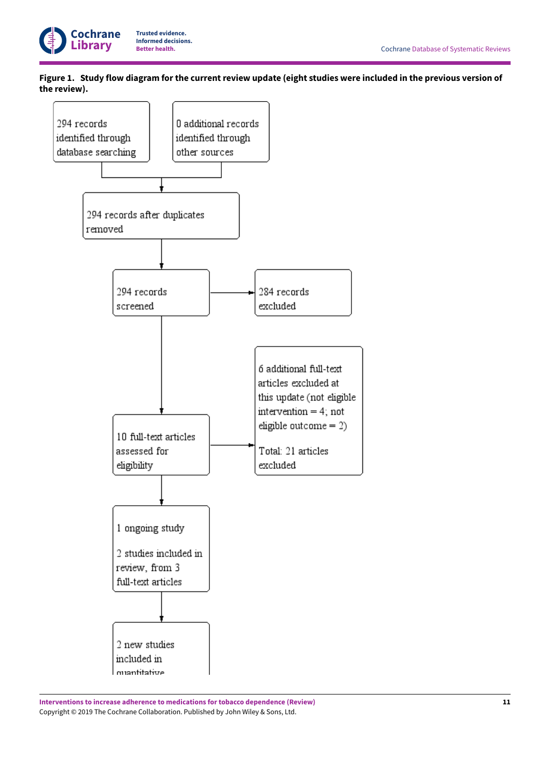<span id="page-12-0"></span>Figure 1. Study flow diagram for the current review update (eight studies were included in the previous version of **the review).**

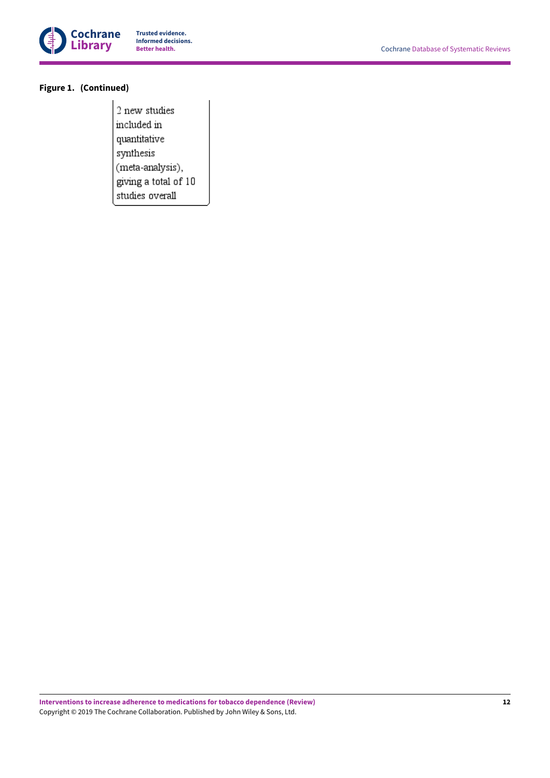

# **Figure 1. (Continued)**

 $2$  new studies  $\,$ included in quantitative synthesis (meta-analysis), giving a total of 10 studies overall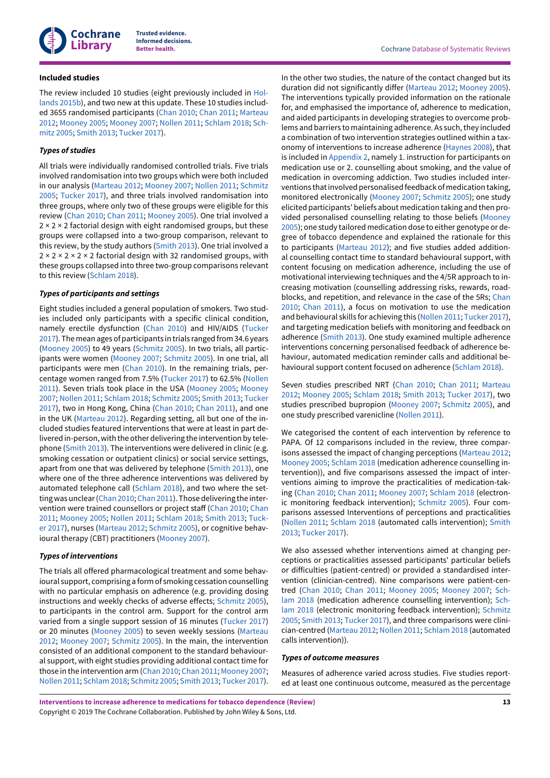

#### **Included studies**

The review included 10 studies (eight previously included in [Hol](#page-28-3)[lands 2015b\)](#page-28-3), and two new at this update. These 10 studies included 3655 randomised participants ([Chan 2010](#page-24-8); [Chan 2011](#page-24-9); [Marteau](#page-24-7) [2012](#page-24-7); [Mooney](#page-24-2) 2005; [Mooney](#page-24-10) 2007; [Nollen 2011](#page-24-3); [Schlam 2018;](#page-24-4) [Sch](#page-24-11)[mitz 2005;](#page-24-11) [Smith 2013;](#page-24-5) [Tucker 2017\)](#page-24-6).

### *Types of studies*

All trials were individually randomised controlled trials. Five trials involved randomisation into two groups which were both included in our analysis ([Marteau](#page-24-7) 2012; [Mooney](#page-24-10) 2007; [Nollen 2011;](#page-24-3) [Schmitz](#page-24-11) [2005](#page-24-11); [Tucker 2017](#page-24-6)), and three trials involved randomisation into three groups, where only two of these groups were eligible for this review [\(Chan 2010;](#page-24-8) [Chan 2011;](#page-24-9) [Mooney](#page-24-2) 2005). One trial involved a  $2 \times 2 \times 2$  factorial design with eight randomised groups, but these groups were collapsed into a two-group comparison, relevant to this review, by the study authors ([Smith 2013\)](#page-24-5). One trial involved a  $2 \times 2 \times 2 \times 2$  factorial design with 32 randomised groups, with these groups collapsed into three two-group comparisons relevant to this review [\(Schlam 2018](#page-24-4)).

### *Types of participants and settings*

Eight studies included a general population of smokers. Two studies included only participants with a specific clinical condition, namely erectile dysfunction [\(Chan 2010](#page-24-8)) and HIV/AIDS ([Tucker](#page-24-6) [2017](#page-24-6)). The mean ages of participants in trials ranged from 34.6 years [\(Mooney](#page-24-2) 2005) to 49 years ([Schmitz 2005](#page-24-11)). In two trials, all participants were women [\(Mooney](#page-24-10) 2007; [Schmitz 2005\)](#page-24-11). In one trial, all participants were men [\(Chan 2010\)](#page-24-8). In the remaining trials, percentage women ranged from 7.5% [\(Tucker 2017](#page-24-6)) to 62.5% ([Nollen](#page-24-3) [2011](#page-24-3)). Seven trials took place in the USA ([Mooney](#page-24-2) 2005; [Mooney](#page-24-10) [2007](#page-24-10); [Nollen 2011;](#page-24-3) [Schlam 2018;](#page-24-4) [Schmitz 2005;](#page-24-11) [Smith 2013;](#page-24-5) [Tucker](#page-24-6) [2017](#page-24-6)), two in Hong Kong, China ([Chan 2010;](#page-24-8) [Chan 2011](#page-24-9)), and one in the UK ([Marteau](#page-24-7) 2012). Regarding setting, all but one of the included studies featured interventions that were at least in part delivered in-person, with the other delivering the intervention by telephone [\(Smith 2013\)](#page-24-5). The interventions were delivered in clinic (e.g. smoking cessation or outpatient clinics) or social service settings, apart from one that was delivered by telephone ([Smith 2013](#page-24-5)), one where one of the three adherence interventions was delivered by automated telephone call [\(Schlam 2018\)](#page-24-4), and two where the settingwas unclear([Chan 2010](#page-24-8); [Chan 2011](#page-24-9)). Those delivering the inter-vention were trained counsellors or project staff [\(Chan 2010;](#page-24-8) [Chan](#page-24-9) [2011](#page-24-9); [Mooney](#page-24-2) 2005; [Nollen 2011;](#page-24-3) [Schlam 2018;](#page-24-4) [Smith 2013;](#page-24-5) [Tuck](#page-24-6)[er 2017\)](#page-24-6), nurses [\(Marteau](#page-24-7) 2012; [Schmitz 2005](#page-24-11)), or cognitive behavioural therapy (CBT) practitioners ([Mooney](#page-24-10) 2007).

# *Types of interventions*

The trials all offered pharmacological treatment and some behavioural support, comprising a form of smoking cessation counselling with no particular emphasis on adherence (e.g. providing dosing instructions and weekly checks of adverse effects; [Schmitz 2005\)](#page-24-11), to participants in the control arm. Support for the control arm varied from a single support session of 16 minutes [\(Tucker 2017\)](#page-24-6) or 20 minutes ([Mooney](#page-24-2) 2005) to seven weekly sessions ([Marteau](#page-24-7) [2012](#page-24-7); [Mooney](#page-24-10) 2007; [Schmitz 2005\)](#page-24-11). In the main, the intervention consisted of an additional component to the standard behavioural support, with eight studies providing additional contact time for those in the intervention arm [\(Chan 2010](#page-24-8); [Chan 2011](#page-24-9); [Mooney](#page-24-10) 2007; [Nollen 2011;](#page-24-3) [Schlam 2018;](#page-24-4) [Schmitz 2005](#page-24-11); [Smith 2013;](#page-24-5) [Tucker 2017\)](#page-24-6).

In the other two studies, the nature of the contact changed but its duration did not significantly differ [\(Marteau](#page-24-7) 2012; [Mooney](#page-24-2) 2005). The interventions typically provided information on the rationale for, and emphasised the importance of, adherence to medication, and aided participants in developing strategies to overcome problems and barriers to maintaining adherence. As such, they included a combination of two intervention strategies outlined within a taxonomy of interventions to increase adherence ([Haynes 2008](#page-27-14)), that is included in [Appendix 2](#page-55-2), namely 1. instruction for participants on medication use or 2. counselling about smoking, and the value of medication in overcoming addiction. Two studies included interventions that involved personalised feedback of medication taking, monitored electronically ([Mooney](#page-24-10) 2007; [Schmitz 2005](#page-24-11)); one study elicited participants' beliefs about medication taking and then provided personalised counselling relating to those beliefs ([Mooney](#page-24-2) [2005\)](#page-24-2); one study tailored medication dose to either genotype or degree of tobacco dependence and explained the rationale for this to participants ([Marteau](#page-24-7) 2012); and five studies added additional counselling contact time to standard behavioural support, with content focusing on medication adherence, including the use of motivational interviewing techniques and the 4/5R approach to increasing motivation (counselling addressing risks, rewards, roadblocks, and repetition, and relevance in the case of the 5Rs; [Chan](#page-24-8) [2010;](#page-24-8) [Chan 2011\)](#page-24-9), a focus on motivation to use the medication and behavioural skills for achieving this ([Nollen 2011;](#page-24-3) [Tucker 2017\)](#page-24-6), and targeting medication beliefs with monitoring and feedback on adherence ([Smith 2013](#page-24-5)). One study examined multiple adherence interventions concerning personalised feedback of adherence behaviour, automated medication reminder calls and additional behavioural support content focused on adherence [\(Schlam 2018](#page-24-4)).

Seven studies prescribed NRT ([Chan 2010](#page-24-8); [Chan 2011;](#page-24-9) [Marteau](#page-24-7) [2012;](#page-24-7) [Mooney](#page-24-2) 2005; [Schlam 2018;](#page-24-4) [Smith 2013](#page-24-5); [Tucker 2017\)](#page-24-6), two studies prescribed bupropion [\(Mooney](#page-24-10) 2007; [Schmitz 2005](#page-24-11)), and one study prescribed varenicline [\(Nollen 2011\)](#page-24-3).

We categorised the content of each intervention by reference to PAPA. Of 12 comparisons included in the review, three comparisons assessed the impact of changing perceptions ([Marteau](#page-24-7) 2012; [Mooney](#page-24-2) 2005; [Schlam 2018](#page-24-4) (medication adherence counselling intervention)), and five comparisons assessed the impact of interventions aiming to improve the practicalities of medication-taking ([Chan 2010](#page-24-8); [Chan 2011;](#page-24-9) [Mooney](#page-24-10) 2007; [Schlam 2018](#page-24-4) (electronic monitoring feedback intervention); [Schmitz 2005\)](#page-24-11). Four comparisons assessed Interventions of perceptions and practicalities [\(Nollen 2011;](#page-24-3) [Schlam 2018](#page-24-4) (automated calls intervention); [Smith](#page-24-5) [2013;](#page-24-5) [Tucker 2017](#page-24-6)).

We also assessed whether interventions aimed at changing perceptions or practicalities assessed participants' particular beliefs or difficulties (patient-centred) or provided a standardised intervention (clinician-centred). Nine comparisons were patient-centred ([Chan 2010;](#page-24-8) [Chan 2011](#page-24-9); [Mooney](#page-24-2) 2005; [Mooney](#page-24-10) 2007; [Sch](#page-24-4)[lam 2018](#page-24-4) (medication adherence counselling intervention); [Sch](#page-24-4)[lam 2018](#page-24-4) (electronic monitoring feedback intervention); [Schmitz](#page-24-11) [2005;](#page-24-11) [Smith 2013;](#page-24-5) [Tucker 2017\)](#page-24-6), and three comparisons were clinician-centred ([Marteau](#page-24-7) 2012; [Nollen 2011](#page-24-3); [Schlam 2018](#page-24-4) (automated calls intervention)).

#### *Types of outcome measures*

Measures of adherence varied across studies. Five studies reported at least one continuous outcome, measured as the percentage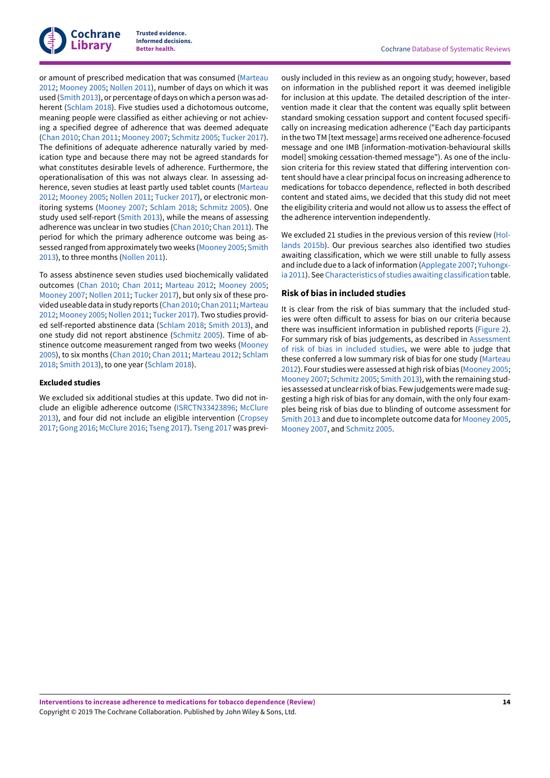

or amount of prescribed medication that was consumed ([Marteau](#page-24-7) [2012](#page-24-7); [Mooney](#page-24-2) 2005; [Nollen 2011\)](#page-24-3), number of days on which it was used ([Smith 2013](#page-24-5)), or percentage of days on which a person was adherent [\(Schlam 2018\)](#page-24-4). Five studies used a dichotomous outcome, meaning people were classified as either achieving or not achieving a specified degree of adherence that was deemed adequate [\(Chan 2010](#page-24-8); [Chan 2011;](#page-24-9) [Mooney](#page-24-10) 2007; [Schmitz 2005;](#page-24-11) [Tucker 2017\)](#page-24-6). The definitions of adequate adherence naturally varied by medication type and because there may not be agreed standards for what constitutes desirable levels of adherence. Furthermore, the operationalisation of this was not always clear. In assessing adherence, seven studies at least partly used tablet counts ([Marteau](#page-24-7) [2012](#page-24-7); [Mooney](#page-24-2) 2005; [Nollen 2011;](#page-24-3) [Tucker 2017\)](#page-24-6), or electronic monitoring systems [\(Mooney](#page-24-10) 2007; [Schlam 2018](#page-24-4); [Schmitz 2005](#page-24-11)). One study used self-report [\(Smith 2013](#page-24-5)), while the means of assessing adherence was unclear in two studies [\(Chan 2010;](#page-24-8) [Chan 2011\)](#page-24-9). The period for which the primary adherence outcome was being assessed ranged from approximately two weeks [\(Mooney](#page-24-2) 2005; [Smith](#page-24-5) [2013](#page-24-5)), to three months ([Nollen 2011](#page-24-3)).

To assess abstinence seven studies used biochemically validated outcomes [\(Chan 2010;](#page-24-8) [Chan 2011](#page-24-9); [Marteau](#page-24-7) 2012; [Mooney](#page-24-2) 2005; [Mooney](#page-24-10) 2007; [Nollen 2011;](#page-24-3) [Tucker 2017\)](#page-24-6), but only six of these provided useable data in study reports [\(Chan 2010](#page-24-8); [Chan 2011](#page-24-9); [Marteau](#page-24-7) [2012](#page-24-7); [Mooney](#page-24-2) 2005; [Nollen 2011;](#page-24-3) [Tucker 2017\)](#page-24-6). Two studies provided self-reported abstinence data [\(Schlam 2018;](#page-24-4) [Smith 2013\)](#page-24-5), and one study did not report abstinence [\(Schmitz 2005](#page-24-11)). Time of abstinence outcome measurement ranged from two weeks ([Mooney](#page-24-2) [2005](#page-24-2)), to six months ([Chan 2010;](#page-24-8) [Chan 2011](#page-24-9); [Marteau](#page-24-7) 2012; [Schlam](#page-24-4) [2018](#page-24-4); [Smith 2013\)](#page-24-5), to one year ([Schlam 2018](#page-24-4)).

#### **Excluded studies**

We excluded six additional studies at this update. Two did not include an eligible adherence outcome [\(ISRCTN33423896;](#page-25-1) [McClure](#page-25-2) [2013](#page-25-2)), and four did not include an eligible intervention [\(Cropsey](#page-25-3) [2017](#page-25-3); [Gong 2016;](#page-25-4) [McClure 2016;](#page-25-5) [Tseng](#page-25-6) 2017). [Tseng](#page-25-6) 2017 was previ-

ously included in this review as an ongoing study; however, based on information in the published report it was deemed ineligible for inclusion at this update. The detailed description of the intervention made it clear that the content was equally split between standard smoking cessation support and content focused specifically on increasing medication adherence ("Each day participants in the two TM [text message] arms received one adherence-focused message and one IMB [information-motivation-behavioural skills model] smoking cessation-themed message"). As one of the inclusion criteria for this review stated that differing intervention content should have a clear principal focus on increasing adherence to medications for tobacco dependence, reflected in both described content and stated aims, we decided that this study did not meet the eligibility criteria and would not allow us to assess the effect of the adherence intervention independently.

We excluded 21 studies in the previous version of this review ([Hol](#page-28-3)[lands 2015b](#page-28-3)). Our previous searches also identified two studies awaiting classification, which we were still unable to fully assess and include due to a lack of information [\(Applegate 2007;](#page-26-10) [Yuhongx](#page-26-11)[ia 2011\)](#page-26-11). See [Characteristics of studies awaiting classification](#page-46-0) table.

### **Risk of bias in included studies**

It is clear from the risk of bias summary that the included studies were often difficult to assess for bias on our criteria because there was insufficient information in published reports [\(Figure 2\)](#page-16-0). For summary risk of bias judgements, as described in [Assessment](#page-9-1) [of risk of bias in included studies](#page-9-1), we were able to judge that these conferred a low summary risk of bias for one study ([Marteau](#page-24-7) [2012\)](#page-24-7). Four studies were assessed at high risk of bias [\(Mooney](#page-24-2) 2005; [Mooney](#page-24-10) 2007; [Schmitz 2005](#page-24-11); [Smith 2013](#page-24-5)), with the remaining studies assessed at unclear risk of bias. Few judgements were made suggesting a high risk of bias for any domain, with the only four examples being risk of bias due to blinding of outcome assessment for [Smith 2013](#page-24-5) and due to incomplete outcome data for [Mooney](#page-24-2) 2005, [Mooney](#page-24-10) 2007, and [Schmitz 2005.](#page-24-11)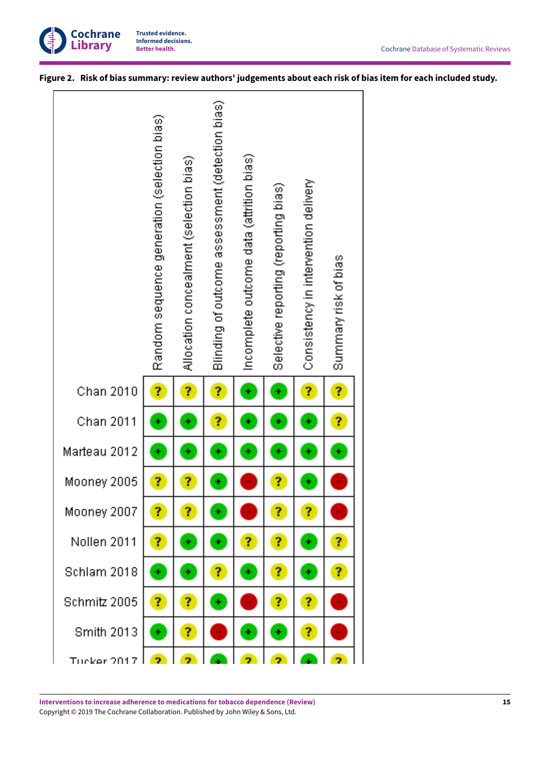

<span id="page-16-0"></span>

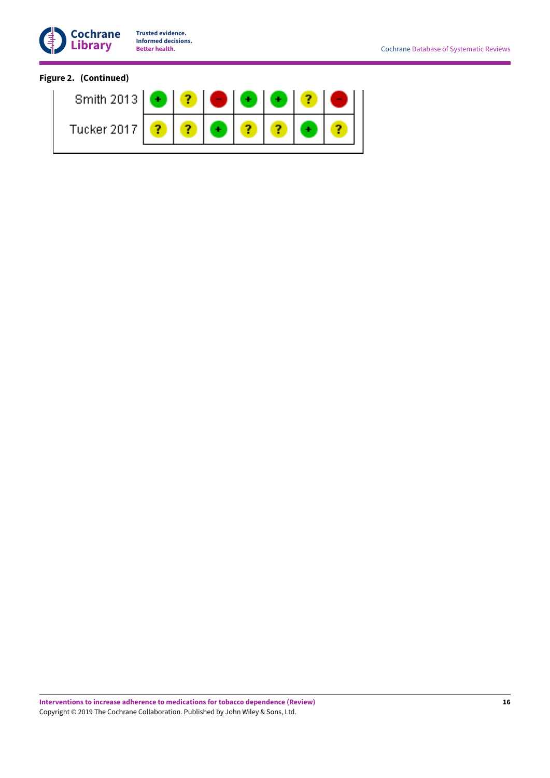

# **Figure 2. (Continued)**

| Smith 2013 $\left \bullet\right $ $\left \bullet\right $ $\left \bullet\right $ $\left \bullet\right $ $\left \bullet\right $ |              |  |            | $\left  \mathbf{7} \right\rangle$ |  |
|-------------------------------------------------------------------------------------------------------------------------------|--------------|--|------------|-----------------------------------|--|
| Tucker 2017                                                                                                                   | $\mathbb{P}$ |  | <b>2</b> H |                                   |  |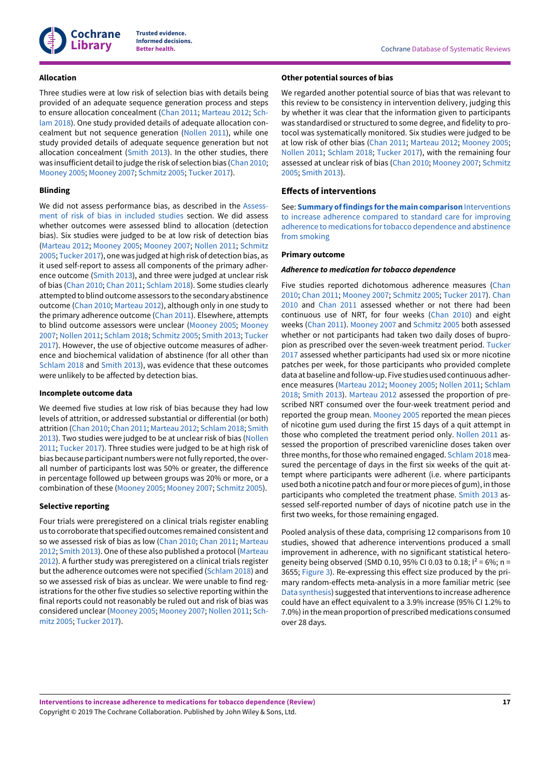

#### **Allocation**

Three studies were at low risk of selection bias with details being provided of an adequate sequence generation process and steps to ensure allocation concealment [\(Chan 2011](#page-24-9); [Marteau](#page-24-7) 2012; [Sch](#page-24-4)[lam 2018\)](#page-24-4). One study provided details of adequate allocation concealment but not sequence generation [\(Nollen 2011\)](#page-24-3), while one study provided details of adequate sequence generation but not allocation concealment [\(Smith 2013](#page-24-5)). In the other studies, there was insufficient detail to judge the risk of selection bias ([Chan 2010](#page-24-8); [Mooney](#page-24-2) 2005; [Mooney](#page-24-10) 2007; [Schmitz 2005;](#page-24-11) [Tucker 2017](#page-24-6)).

#### **Blinding**

We did not assess performance bias, as described in the [Assess](#page-9-1)[ment of risk of bias in included studies](#page-9-1) section. We did assess whether outcomes were assessed blind to allocation (detection bias). Six studies were judged to be at low risk of detection bias [\(Marteau](#page-24-7) 2012; [Mooney](#page-24-2) 2005; [Mooney](#page-24-10) 2007; [Nollen 2011;](#page-24-3) [Schmitz](#page-24-11) [2005](#page-24-11); [Tucker 2017](#page-24-6)), one was judged at high risk of detection bias, as it used self-report to assess all components of the primary adherence outcome ([Smith 2013](#page-24-5)), and three were judged at unclear risk of bias ([Chan 2010](#page-24-8); [Chan 2011](#page-24-9); [Schlam 2018](#page-24-4)). Some studies clearly attempted to blind outcome assessors to the secondary abstinence outcome ([Chan 2010;](#page-24-8) [Marteau](#page-24-7) 2012), although only in one study to the primary adherence outcome ([Chan 2011\)](#page-24-9). Elsewhere, attempts to blind outcome assessors were unclear [\(Mooney](#page-24-2) 2005; [Mooney](#page-24-10) [2007](#page-24-10); [Nollen 2011;](#page-24-3) [Schlam 2018;](#page-24-4) [Schmitz 2005;](#page-24-11) [Smith 2013;](#page-24-5) [Tucker](#page-24-6) [2017](#page-24-6)). However, the use of objective outcome measures of adherence and biochemical validation of abstinence (for all other than [Schlam 2018](#page-24-4) and [Smith 2013](#page-24-5)), was evidence that these outcomes were unlikely to be affected by detection bias.

#### **Incomplete outcome data**

We deemed five studies at low risk of bias because they had low levels of attrition, or addressed substantial or differential (or both) attrition ([Chan 2010;](#page-24-8) [Chan 2011](#page-24-9); [Marteau](#page-24-7) 2012; [Schlam 2018](#page-24-4); [Smith](#page-24-5) [2013](#page-24-5)). Two studies were judged to be at unclear risk of bias ([Nollen](#page-24-3) [2011](#page-24-3); [Tucker 2017](#page-24-6)). Three studies were judged to be at high risk of bias because participant numbers were not fully reported, the overall number of participants lost was 50% or greater, the difference in percentage followed up between groups was 20% or more, or a combination of these ([Mooney](#page-24-2) 2005; [Mooney](#page-24-10) 2007; [Schmitz 2005](#page-24-11)).

#### **Selective reporting**

Four trials were preregistered on a clinical trials register enabling us to corroborate that specified outcomes remained consistent and so we assessed risk of bias as low ([Chan 2010;](#page-24-8) [Chan 2011](#page-24-9); [Marteau](#page-24-7) [2012](#page-24-7); [Smith 2013](#page-24-5)). One of these also published a protocol ([Marteau](#page-24-7) [2012](#page-24-7)). A further study was preregistered on a clinical trials register but the adherence outcomes were not specified [\(Schlam 2018\)](#page-24-4) and so we assessed risk of bias as unclear. We were unable to find registrations for the other five studies so selective reporting within the final reports could not reasonably be ruled out and risk of bias was considered unclear ([Mooney](#page-24-2) 2005; [Mooney](#page-24-10) 2007; [Nollen 2011](#page-24-3); [Sch](#page-24-11)[mitz 2005;](#page-24-11) [Tucker 2017](#page-24-6)).

#### **Other potential sources of bias**

We regarded another potential source of bias that was relevant to this review to be consistency in intervention delivery, judging this by whether it was clear that the information given to participants was standardised or structured to some degree, and fidelity to protocol was systematically monitored. Six studies were judged to be at low risk of other bias [\(Chan 2011;](#page-24-9) [Marteau](#page-24-7) 2012; [Mooney](#page-24-2) 2005; [Nollen 2011;](#page-24-3) [Schlam 2018](#page-24-4); [Tucker 2017\)](#page-24-6), with the remaining four assessed at unclear risk of bias [\(Chan 2010](#page-24-8); [Mooney](#page-24-10) 2007; [Schmitz](#page-24-11) [2005;](#page-24-11) [Smith 2013\)](#page-24-5).

#### <span id="page-18-0"></span>**Effects of interventions**

See: **Summary offindings forthe main comparison** [Interventions](#page-5-1) to increase [adherence](#page-5-1) compared to standard care for improving adherence to medications fortobacco [dependence](#page-5-1) and abstinence from [smoking](#page-5-1)

#### **Primary outcome**

#### *Adherence to medication for tobacco dependence*

Five studies reported dichotomous adherence measures [\(Chan](#page-24-8) [2010;](#page-24-8) [Chan 2011;](#page-24-9) [Mooney](#page-24-10) 2007; [Schmitz 2005;](#page-24-11) [Tucker 2017](#page-24-6)). [Chan](#page-24-8) [2010](#page-24-8) and [Chan 2011](#page-24-9) assessed whether or not there had been continuous use of NRT, for four weeks [\(Chan 2010](#page-24-8)) and eight weeks ([Chan 2011](#page-24-9)). [Mooney](#page-24-10) 2007 and [Schmitz 2005](#page-24-11) both assessed whether or not participants had taken two daily doses of bupropion as prescribed over the seven-week treatment period. [Tucker](#page-24-6) [2017](#page-24-6) assessed whether participants had used six or more nicotine patches per week, for those participants who provided complete data at baseline and follow-up. Five studies used continuous adherence measures [\(Marteau](#page-24-7) 2012; [Mooney](#page-24-2) 2005; [Nollen 2011](#page-24-3); [Schlam](#page-24-4) [2018;](#page-24-4) [Smith 2013](#page-24-5)). [Marteau](#page-24-7) 2012 assessed the proportion of prescribed NRT consumed over the four-week treatment period and reported the group mean. [Mooney](#page-24-2) 2005 reported the mean pieces of nicotine gum used during the first 15 days of a quit attempt in those who completed the treatment period only. [Nollen 2011](#page-24-3) assessed the proportion of prescribed varenicline doses taken over three months, for those who remained engaged. [Schlam 2018](#page-24-4) measured the percentage of days in the first six weeks of the quit attempt where participants were adherent (i.e. where participants used both a nicotine patch and four or more pieces of gum), in those participants who completed the treatment phase. [Smith 2013](#page-24-5) assessed self-reported number of days of nicotine patch use in the first two weeks, for those remaining engaged.

Pooled analysis of these data, comprising 12 comparisons from 10 studies, showed that adherence interventions produced a small improvement in adherence, with no significant statistical heterogeneity being observed (SMD 0.10, 95% CI 0.03 to 0.18;  $I^2 = 6\%$ ; n = 3655; [Figure 3](#page-19-0)). Re-expressing this effect size produced by the primary random-effects meta-analysis in a more familiar metric (see [Data synthesis\)](#page-10-1) suggested thatinterventions to increase adherence could have an effect equivalent to a 3.9% increase (95% CI 1.2% to 7.0%) in the mean proportion of prescribed medications consumed over 28 days.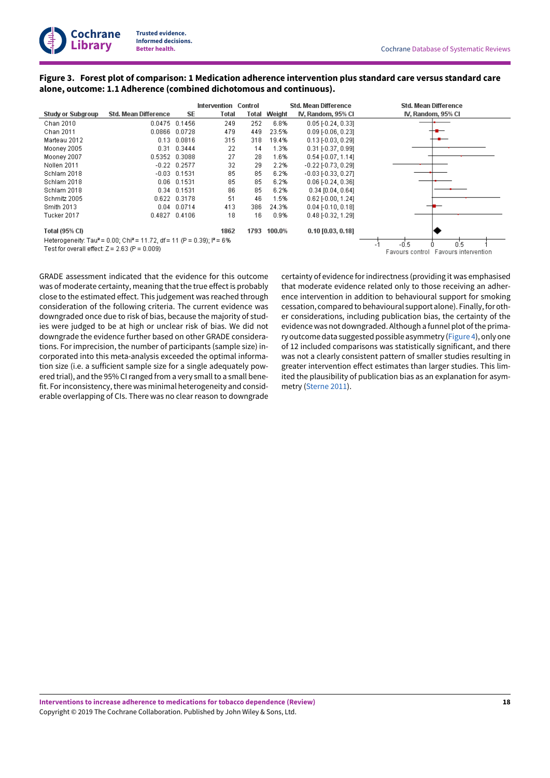**Library**

# <span id="page-19-0"></span>**Figure 3. Forest plot of comparison: 1 Medication adherence intervention plus standard care versus standard care alone, outcome: 1.1 Adherence (combined dichotomous and continuous).**

|                                                 |                                                                                                 |                  | Intervention Control |       |        | <b>Std. Mean Difference</b> | Std. Mean Difference                                  |
|-------------------------------------------------|-------------------------------------------------------------------------------------------------|------------------|----------------------|-------|--------|-----------------------------|-------------------------------------------------------|
| Study or Subgroup                               | <b>Std. Mean Difference</b>                                                                     | <b>SE</b>        | Total                | Total | Weight | IV, Random, 95% CI          | IV, Random, 95% CI                                    |
| Chan 2010                                       |                                                                                                 | 0.0475 0.1456    | 249                  | 252   | 6.8%   | $0.05$ FO.24, 0.331         |                                                       |
| Chan 2011                                       |                                                                                                 | 0.0866 0.0728    | 479                  | 449   | 23.5%  | $0.09$ $F0.06$ , $0.231$    |                                                       |
| Marteau 2012                                    |                                                                                                 | $0.13$ $0.0816$  | 315                  | 318   | 19.4%  | $0.13$ [ $-0.03$ , $0.29$ ] |                                                       |
| Mooney 2005                                     | 0.31                                                                                            | 0.3444           | 22                   | 14    | 1.3%   | $0.31$ [ $-0.37$ , $0.99$ ] |                                                       |
| Mooney 2007                                     |                                                                                                 | 0.5352 0.3088    | 27                   | 28    | 1.6%   | $0.54$ [ $-0.07$ , 1.14]    |                                                       |
| Nollen 2011                                     |                                                                                                 | $-0.22$ 0.2577   | 32                   | 29    | 2.2%   | $-0.22$ $[-0.73, 0.29]$     |                                                       |
| Schlam 2018                                     |                                                                                                 | $-0.03$ $0.1531$ | 85                   | 85    | 6.2%   | $-0.03$ $[-0.33, 0.27]$     |                                                       |
| Schlam 2018                                     |                                                                                                 | 0.06 0.1531      | 85                   | 85    | 6.2%   | $0.06$ [ $-0.24$ , $0.36$ ] |                                                       |
| Schlam 2018                                     |                                                                                                 | 0.34 0.1531      | 86                   | 85    | 6.2%   | $0.34$ [0.04, 0.64]         |                                                       |
| Schmitz 2005                                    |                                                                                                 | 0.622 0.3178     | 51                   | 46    | 1.5%   | $0.62$ [-0.00, 1.24]        |                                                       |
| Smith 2013                                      |                                                                                                 | 0.04 0.0714      | 413                  | 386   | 24.3%  | $0.04$ [-0.10, 0.18]        |                                                       |
| Tucker 2017                                     |                                                                                                 | 0.4827 0.4106    | 18                   | 16    | 0.9%   | $0.48$ [-0.32, 1.29]        |                                                       |
| <b>Total (95% CI)</b>                           |                                                                                                 |                  | 1862                 | 1793  | 100.0% | $0.10$ [0.03, 0.18]         |                                                       |
|                                                 | Heterogeneity: Tau <sup>2</sup> = 0.00; Chi <sup>2</sup> = 11.72, df = 11 (P = 0.39); $P = 6\%$ |                  |                      |       |        |                             |                                                       |
| Test for overall effect: $Z = 2.63$ (P = 0.009) |                                                                                                 |                  |                      |       |        |                             | 0.5<br>$-0.5$<br>Eavours control Eavours intervention |

GRADE assessment indicated that the evidence for this outcome was of moderate certainty, meaning that the true effect is probably close to the estimated effect. This judgement was reached through consideration of the following criteria. The current evidence was downgraded once due to risk of bias, because the majority of studies were judged to be at high or unclear risk of bias. We did not downgrade the evidence further based on other GRADE considerations. For imprecision, the number of participants (sample size) incorporated into this meta-analysis exceeded the optimal information size (i.e. a sufficient sample size for a single adequately powered trial), and the 95% CI ranged from a very small to a small benefit. For inconsistency, there was minimal heterogeneity and considerable overlapping of CIs. There was no clear reason to downgrade

certainty of evidence forindirectness (providing it was emphasised that moderate evidence related only to those receiving an adherence intervention in addition to behavioural support for smoking cessation, compared to behavioural support alone). Finally, for other considerations, including publication bias, the certainty of the evidence was not downgraded. Although a funnel plot of the primary outcome data suggested possible asymmetry [\(Figure 4\)](#page-20-0), only one of 12 included comparisons was statistically significant, and there was not a clearly consistent pattern of smaller studies resulting in greater intervention effect estimates than larger studies. This limited the plausibility of publication bias as an explanation for asymmetry ([Sterne](#page-28-1) 2011).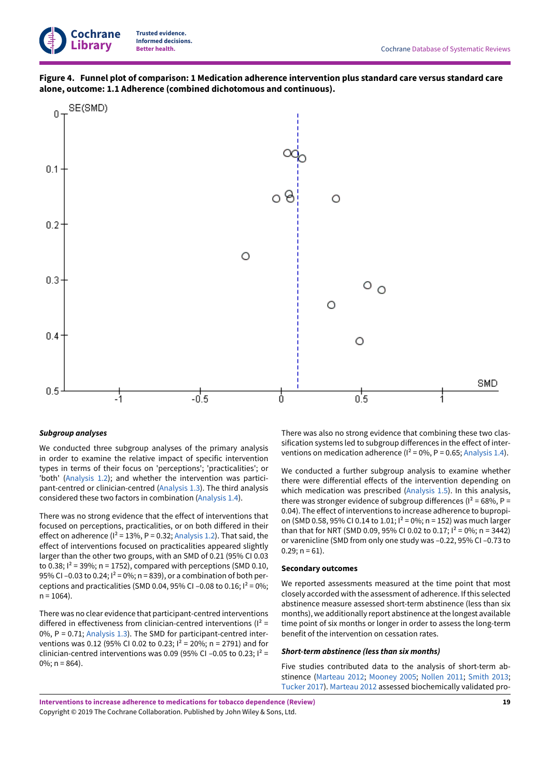<span id="page-20-0"></span>



#### *Subgroup analyses*

We conducted three subgroup analyses of the primary analysis in order to examine the relative impact of specific intervention types in terms of their focus on 'perceptions'; 'practicalities'; or 'both' [\(Analysis 1.2\)](#page-49-1); and whether the intervention was participant-centred or clinician-centred ([Analysis 1.3\)](#page-50-0). The third analysis considered these two factors in combination [\(Analysis 1.4\)](#page-51-0).

There was no strong evidence that the effect of interventions that focused on perceptions, practicalities, or on both differed in their effect on adherence ( $I^2 = 13\%$ , P = 0.32; [Analysis 1.2\)](#page-49-1). That said, the effect of interventions focused on practicalities appeared slightly larger than the other two groups, with an SMD of 0.21 (95% CI 0.03 to 0.38;  $1^2$  = 39%; n = 1752), compared with perceptions (SMD 0.10, 95% CI –0.03 to 0.24;  $I^2 = 0$ %; n = 839), or a combination of both perceptions and practicalities (SMD 0.04, 95% CI –0.08 to 0.16;  $I^2 = 0\%$ ;  $n = 1064$ ).

There was no clear evidence that participant-centred interventions differed in effectiveness from clinician-centred interventions  $(I^2 =$ 0%, P = 0.71; [Analysis 1.3\)](#page-50-0). The SMD for participant-centred interventions was 0.12 (95% CI 0.02 to 0.23;  $1^2$  = 20%; n = 2791) and for clinician-centred interventions was 0.09 (95% CI –0.05 to 0.23;  $I^2$  = 0%;  $n = 864$ ).

There was also no strong evidence that combining these two classification systems led to subgroup differences in the effect of interventions on medication adherence ( $I^2 = 0\%$ , P = 0.65; [Analysis 1.4\)](#page-51-0).

We conducted a further subgroup analysis to examine whether there were differential effects of the intervention depending on which medication was prescribed [\(Analysis 1.5\)](#page-52-0). In this analysis, there was stronger evidence of subgroup differences ( $I^2 = 68\%$ , P = 0.04). The effect of interventions to increase adherence to bupropion (SMD 0.58, 95% CI 0.14 to 1.01;  $I^2 = 0$ %; n = 152) was much larger than that for NRT (SMD 0.09, 95% CI 0.02 to 0.17;  $I^2 = 0\%$ ; n = 3442) or varenicline (SMD from only one study was –0.22, 95% CI –0.73 to  $0.29; n = 61$ ).

#### **Secondary outcomes**

We reported assessments measured at the time point that most closely accorded with the assessment of adherence. If this selected abstinence measure assessed short-term abstinence (less than six months), we additionally report abstinence at the longest available time point of six months or longer in order to assess the long-term benefit of the intervention on cessation rates.

#### *Short-term abstinence (less than six months)*

Five studies contributed data to the analysis of short-term abstinence [\(Marteau](#page-24-7) 2012; [Mooney](#page-24-2) 2005; [Nollen 2011;](#page-24-3) [Smith 2013;](#page-24-5) [Tucker 2017](#page-24-6)). [Marteau](#page-24-7) 2012 assessed biochemically validated pro-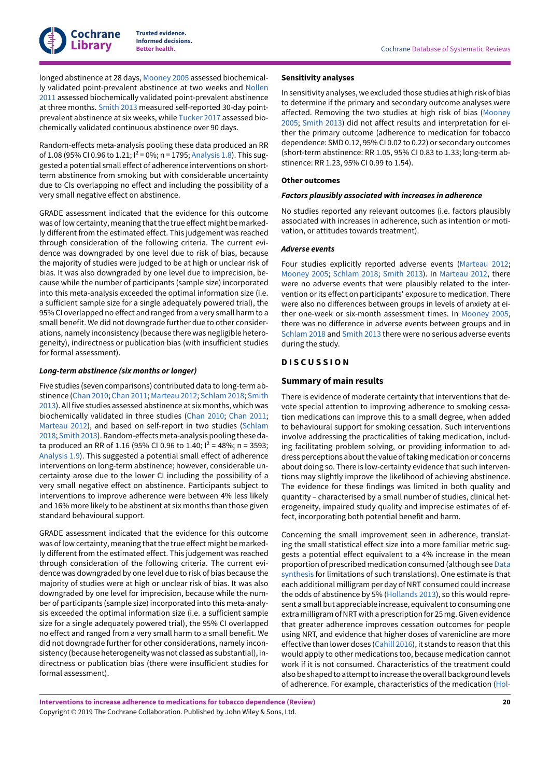

longed abstinence at 28 days, [Mooney](#page-24-2) 2005 assessed biochemically validated point-prevalent abstinence at two weeks and [Nollen](#page-24-3) [2011](#page-24-3) assessed biochemically validated point-prevalent abstinence at three months. [Smith 2013](#page-24-5) measured self-reported 30-day pointprevalent abstinence at six weeks, while [Tucker 2017](#page-24-6) assessed biochemically validated continuous abstinence over 90 days.

Random-effects meta-analysis pooling these data produced an RR of 1.08 (95% CI 0.96 to 1.21;  $I^2 = 0\%$ ; n = 1795; [Analysis 1.8\)](#page-54-0). This suggested a potential small effect of adherence interventions on shortterm abstinence from smoking but with considerable uncertainty due to CIs overlapping no effect and including the possibility of a very small negative effect on abstinence.

GRADE assessment indicated that the evidence for this outcome was of low certainty, meaning that the true effect might be markedly different from the estimated effect. This judgement was reached through consideration of the following criteria. The current evidence was downgraded by one level due to risk of bias, because the majority of studies were judged to be at high or unclear risk of bias. It was also downgraded by one level due to imprecision, because while the number of participants (sample size) incorporated into this meta-analysis exceeded the optimal information size (i.e. a sufficient sample size for a single adequately powered trial), the 95% CI overlapped no effect and ranged from a very small harm to a small benefit. We did not downgrade further due to other considerations, namely inconsistency (because there was negligible heterogeneity), indirectness or publication bias (with insufficient studies for formal assessment).

### *Long-term abstinence (six months or longer)*

Five studies (seven comparisons) contributed data to long-term abstinence ([Chan 2010](#page-24-8); [Chan 2011;](#page-24-9) [Marteau](#page-24-7) 2012; [Schlam 2018;](#page-24-4) [Smith](#page-24-5) [2013](#page-24-5)). All five studies assessed abstinence at six months, which was biochemically validated in three studies [\(Chan 2010;](#page-24-8) [Chan 2011](#page-24-9); [Marteau](#page-24-7) 2012), and based on self-report in two studies [\(Schlam](#page-24-4) [2018](#page-24-4); [Smith 2013](#page-24-5)).Random-effects meta-analysis pooling these data produced an RR of 1.16 (95% CI 0.96 to 1.40;  $I^2 = 48\%$ ; n = 3593; [Analysis 1.9](#page-54-1)). This suggested a potential small effect of adherence interventions on long-term abstinence; however, considerable uncertainty arose due to the lower CI including the possibility of a very small negative effect on abstinence. Participants subject to interventions to improve adherence were between 4% less likely and 16% more likely to be abstinent at six months than those given standard behavioural support.

GRADE assessment indicated that the evidence for this outcome was of low certainty, meaning that the true effect might be markedly different from the estimated effect. This judgement was reached through consideration of the following criteria. The current evidence was downgraded by one level due to risk of bias because the majority of studies were at high or unclear risk of bias. It was also downgraded by one level for imprecision, because while the number of participants (sample size) incorporated into this meta-analysis exceeded the optimal information size (i.e. a sufficient sample size for a single adequately powered trial), the 95% CI overlapped no effect and ranged from a very small harm to a small benefit. We did not downgrade further for other considerations, namely inconsistency (because heterogeneity was not classed as substantial), indirectness or publication bias (there were insufficient studies for formal assessment).

#### **Sensitivity analyses**

In sensitivity analyses,we excluded those studies at high risk of bias to determine if the primary and secondary outcome analyses were affected. Removing the two studies at high risk of bias ([Mooney](#page-24-2) [2005;](#page-24-2) [Smith 2013](#page-24-5)) did not affect results and interpretation for either the primary outcome (adherence to medication for tobacco dependence: SMD 0.12, 95% CI 0.02 to 0.22) or secondary outcomes (short-term abstinence: RR 1.05, 95% CI 0.83 to 1.33; long-term abstinence: RR 1.23, 95% CI 0.99 to 1.54).

#### **Other outcomes**

#### *Factors plausibly associated with increases in adherence*

No studies reported any relevant outcomes (i.e. factors plausibly associated with increases in adherence, such as intention or motivation, or attitudes towards treatment).

#### *Adverse events*

Four studies explicitly reported adverse events ([Marteau](#page-24-7) 2012; [Mooney](#page-24-2) 2005; [Schlam 2018;](#page-24-4) [Smith 2013\)](#page-24-5). In [Marteau](#page-24-7) 2012, there were no adverse events that were plausibly related to the intervention or its effect on participants' exposure to medication. There were also no differences between groups in levels of anxiety at either one-week or six-month assessment times. In [Mooney](#page-24-2) 2005, there was no difference in adverse events between groups and in [Schlam 2018](#page-24-4) and [Smith 2013](#page-24-5) there were no serious adverse events during the study.

### <span id="page-21-0"></span>**D I S C U S S I O N**

#### **Summary of main results**

There is evidence of moderate certainty that interventions that devote special attention to improving adherence to smoking cessation medications can improve this to a small degree, when added to behavioural support for smoking cessation. Such interventions involve addressing the practicalities of taking medication, including facilitating problem solving, or providing information to address perceptions about the value of taking medication or concerns about doing so. There is low-certainty evidence that such interventions may slightly improve the likelihood of achieving abstinence. The evidence for these findings was limited in both quality and quantity – characterised by a small number of studies, clinical heterogeneity, impaired study quality and imprecise estimates of effect, incorporating both potential benefit and harm.

Concerning the small improvement seen in adherence, translating the small statistical effect size into a more familiar metric suggests a potential effect equivalent to a 4% increase in the mean proportion of prescribed medication consumed (although see [Data](#page-10-1) [synthesis](#page-10-1) for limitations of such translations). One estimate is that each additional milligram per day of NRT consumed could increase the odds of abstinence by 5% ([Hollands 2013\)](#page-27-3), so this would represent a small but appreciable increase, equivalent to consuming one extra milligram of NRT with a prescription for 25 mg. Given evidence that greater adherence improves cessation outcomes for people using NRT, and evidence that higher doses of varenicline are more effective than lower doses ([Cahill 2016](#page-26-2)), it stands to reason that this would apply to other medications too, because medication cannot work if it is not consumed. Characteristics of the treatment could also be shaped to attempt to increase the overall background levels of adherence. For example, characteristics of the medication ([Hol-](#page-27-3)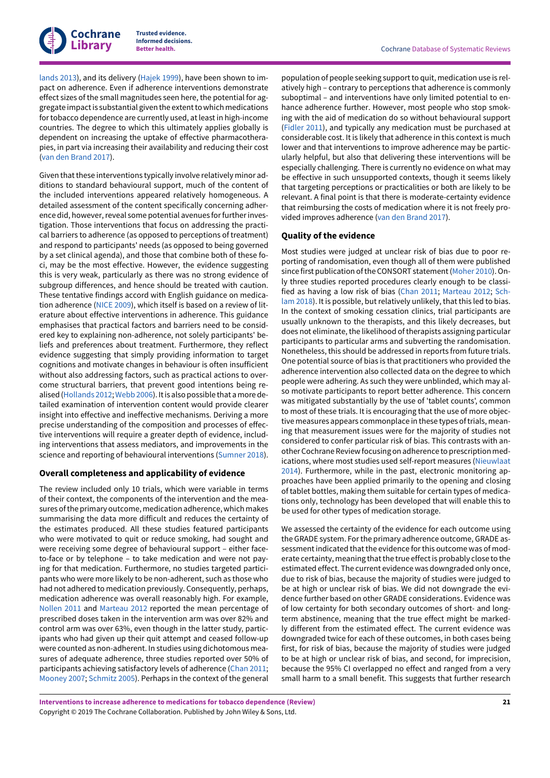[lands 2013\)](#page-27-3), and its delivery [\(Hajek 1999](#page-26-12)), have been shown to impact on adherence. Even if adherence interventions demonstrate effect sizes of the small magnitudes seen here, the potential for aggregate impact is substantial given the extent to which medications fortobacco dependence are currently used, at least in high-income countries. The degree to which this ultimately applies globally is dependent on increasing the uptake of effective pharmacotherapies, in part via increasing their availability and reducing their cost (van den [Brand](#page-28-4) 2017).

Given that these interventions typically involve relatively minor additions to standard behavioural support, much of the content of the included interventions appeared relatively homogeneous. A detailed assessment of the content specifically concerning adherence did, however, reveal some potential avenues for further investigation. Those interventions that focus on addressing the practical barriers to adherence (as opposed to perceptions of treatment) and respond to participants' needs (as opposed to being governed by a set clinical agenda), and those that combine both of these foci, may be the most effective. However, the evidence suggesting this is very weak, particularly as there was no strong evidence of subgroup differences, and hence should be treated with caution. These tentative findings accord with English guidance on medication adherence [\(NICE 2009\)](#page-27-8), which itself is based on a review of literature about effective interventions in adherence. This guidance emphasises that practical factors and barriers need to be considered key to explaining non-adherence, not solely participants' beliefs and preferences about treatment. Furthermore, they reflect evidence suggesting that simply providing information to target cognitions and motivate changes in behaviour is often insufficient without also addressing factors, such as practical actions to overcome structural barriers, that prevent good intentions being realised ([Hollands 2012](#page-27-15); [Webb 2006](#page-28-5)). Itis alsopossible that amoredetailed examination of intervention content would provide clearer insight into effective and ineffective mechanisms. Deriving a more precise understanding of the composition and processes of effective interventions will require a greater depth of evidence, including interventions that assess mediators, and improvements in the science and reporting of behavioural interventions [\(Sumner 2018\)](#page-28-6).

# **Overall completeness and applicability of evidence**

The review included only 10 trials, which were variable in terms of their context, the components of the intervention and the measures ofthe primary outcome, medication adherence, which makes summarising the data more difficult and reduces the certainty of the estimates produced. All these studies featured participants who were motivated to quit or reduce smoking, had sought and were receiving some degree of behavioural support – either faceto-face or by telephone – to take medication and were not paying for that medication. Furthermore, no studies targeted participants who were more likely to be non-adherent, such as those who had not adhered to medication previously. Consequently, perhaps, medication adherence was overall reasonably high. For example, [Nollen 2011](#page-24-3) and [Marteau](#page-24-7) 2012 reported the mean percentage of prescribed doses taken in the intervention arm was over 82% and control arm was over 63%, even though in the latter study, participants who had given up their quit attempt and ceased follow-up were counted as non-adherent. In studies using dichotomous measures of adequate adherence, three studies reported over 50% of participants achieving satisfactory levels of adherence [\(Chan 2011](#page-24-9); [Mooney](#page-24-10) 2007; [Schmitz 2005](#page-24-11)). Perhaps in the context of the general

population of people seeking support to quit, medication use is relatively high – contrary to perceptions that adherence is commonly suboptimal – and interventions have only limited potential to enhance adherence further. However, most people who stop smoking with the aid of medication do so without behavioural support [\(Fidler 2011](#page-26-13)), and typically any medication must be purchased at considerable cost. It is likely that adherence in this context is much lower and that interventions to improve adherence may be particularly helpful, but also that delivering these interventions will be especially challenging. There is currently no evidence on what may be effective in such unsupported contexts, though it seems likely that targeting perceptions or practicalities or both are likely to be relevant. A final point is that there is moderate-certainty evidence that reimbursing the costs of medication where it is not freely provided improves adherence (van den [Brand](#page-28-4) 2017).

### **Quality of the evidence**

Most studies were judged at unclear risk of bias due to poor reporting of randomisation, even though all of them were published since first publication of the CONSORT statement ([Moher 2010\)](#page-27-16). Only three studies reported procedures clearly enough to be classified as having a low risk of bias ([Chan 2011](#page-24-9); [Marteau](#page-24-7) 2012; [Sch](#page-24-4)[lam 2018\)](#page-24-4). It is possible, but relatively unlikely, that this led to bias. In the context of smoking cessation clinics, trial participants are usually unknown to the therapists, and this likely decreases, but does not eliminate, the likelihood of therapists assigning particular participants to particular arms and subverting the randomisation. Nonetheless, this should be addressed in reports from future trials. One potential source of bias is that practitioners who provided the adherence intervention also collected data on the degree to which people were adhering. As such they were unblinded, which may also motivate participants to report better adherence. This concern was mitigated substantially by the use of 'tablet counts', common to most of these trials. It is encouraging that the use of more objective measures appears commonplace in these types of trials, meaning that measurement issues were for the majority of studies not considered to confer particular risk of bias. This contrasts with another Cochrane Review focusing on adherence to prescription medications, where most studies used self-report measures [\(Nieuwlaat](#page-27-6) [2014\)](#page-27-6). Furthermore, while in the past, electronic monitoring approaches have been applied primarily to the opening and closing of tablet bottles, making them suitable for certain types of medications only, technology has been developed that will enable this to be used for other types of medication storage.

We assessed the certainty of the evidence for each outcome using the GRADE system. For the primary adherence outcome, GRADE assessment indicated that the evidence for this outcome was of moderate certainty, meaning that the true effect is probably close to the estimated effect. The current evidence was downgraded only once, due to risk of bias, because the majority of studies were judged to be at high or unclear risk of bias. We did not downgrade the evidence further based on other GRADE considerations. Evidence was of low certainty for both secondary outcomes of short- and longterm abstinence, meaning that the true effect might be markedly different from the estimated effect. The current evidence was downgraded twice for each of these outcomes, in both cases being first, for risk of bias, because the majority of studies were judged to be at high or unclear risk of bias, and second, for imprecision, because the 95% CI overlapped no effect and ranged from a very small harm to a small benefit. This suggests that further research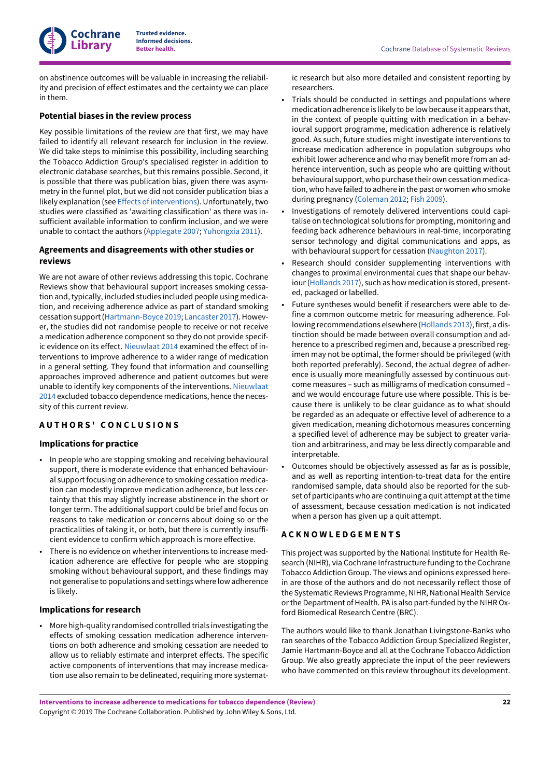on abstinence outcomes will be valuable in increasing the reliability and precision of effect estimates and the certainty we can place in them.

### **Potential biases in the review process**

**Cochrane Library**

Key possible limitations of the review are that first, we may have failed to identify all relevant research for inclusion in the review. We did take steps to minimise this possibility, including searching the Tobacco Addiction Group's specialised register in addition to electronic database searches, but this remains possible. Second, it is possible that there was publication bias, given there was asymmetry in the funnel plot, but we did not consider publication bias a likely explanation (see [Effects of interventions](#page-18-0)). Unfortunately,two studies were classified as 'awaiting classification' as there was insufficient available information to confirm inclusion, and we were unable to contact the authors [\(Applegate 2007](#page-26-10); [Yuhongxia 2011](#page-26-11)).

# **Agreements and disagreements with other studies or reviews**

We are not aware of other reviews addressing this topic. Cochrane Reviews show that behavioural support increases smoking cessation and, typically, included studies included people using medication, and receiving adherence advice as part of standard smoking cessation support [\(Hartmann-Boyce](#page-26-5) 2019; [Lancaster 2017\)](#page-27-9). However, the studies did not randomise people to receive or not receive a medication adherence component so they do not provide specific evidence on its effect. [Nieuwlaat 2014](#page-27-6) examined the effect of interventions to improve adherence to a wider range of medication in a general setting. They found that information and counselling approaches improved adherence and patient outcomes but were unable to identify key components of the interventions. [Nieuwlaat](#page-27-6) [2014](#page-27-6) excluded tobacco dependence medications, hence the necessity of this current review.

# <span id="page-23-0"></span>**A U T H O R S ' C O N C L U S I O N S**

# **Implications for practice**

- In people who are stopping smoking and receiving behavioural support, there is moderate evidence that enhanced behavioural support focusing on adherence to smoking cessation medication can modestly improve medication adherence, but less certainty that this may slightly increase abstinence in the short or longer term. The additional support could be brief and focus on reasons to take medication or concerns about doing so or the practicalities of taking it, or both, but there is currently insufficient evidence to confirm which approach is more effective.
- There is no evidence on whether interventions to increase medication adherence are effective for people who are stopping smoking without behavioural support, and these findings may not generalise to populations and settings where low adherence is likely.

### **Implications for research**

• More high-quality randomised controlled trials investigating the effects of smoking cessation medication adherence interventions on both adherence and smoking cessation are needed to allow us to reliably estimate and interpret effects. The specific active components of interventions that may increase medication use also remain to be delineated, requiring more systematic research but also more detailed and consistent reporting by researchers.

- Trials should be conducted in settings and populations where medication adherence is likely to be lowbecause it appears that, in the context of people quitting with medication in a behavioural support programme, medication adherence is relatively good. As such, future studies might investigate interventions to increase medication adherence in population subgroups who exhibit lower adherence and who may benefit more from an adherence intervention, such as people who are quitting without behavioural support, who purchase their own cessation medication, who have failed to adhere in the past or women who smoke during pregnancy ([Coleman 2012](#page-26-14); [Fish 2009](#page-26-15)).
- Investigations of remotely delivered interventions could capitalise on technological solutions for prompting, monitoring and feeding back adherence behaviours in real-time, incorporating sensor technology and digital communications and apps, as with behavioural support for cessation [\(Naughton](#page-27-17) 2017).
- Research should consider supplementing interventions with changes to proximal environmental cues that shape our behaviour [\(Hollands 2017](#page-27-18)), such as how medication is stored, presented, packaged or labelled.
- Future syntheses would benefit if researchers were able to define a common outcome metric for measuring adherence. Following recommendations elsewhere ([Hollands 2013\)](#page-27-3), first, a distinction should be made between overall consumption and adherence to a prescribed regimen and, because a prescribed regimen may not be optimal, the former should be privileged (with both reported preferably). Second, the actual degree of adherence is usually more meaningfully assessed by continuous outcome measures – such as milligrams of medication consumed – and we would encourage future use where possible. This is because there is unlikely to be clear guidance as to what should be regarded as an adequate or effective level of adherence to a given medication, meaning dichotomous measures concerning a specified level of adherence may be subject to greater variation and arbitrariness, and may be less directly comparable and interpretable.
- Outcomes should be objectively assessed as far as is possible, and as well as reporting intention-to-treat data for the entire randomised sample, data should also be reported for the subset of participants who are continuing a quit attempt at the time of assessment, because cessation medication is not indicated when a person has given up a quit attempt.

# <span id="page-23-1"></span>**A C K N O W L E D G E M E N T S**

This project was supported by the National Institute for Health Research (NIHR), via Cochrane Infrastructure funding to the Cochrane Tobacco Addiction Group. The views and opinions expressed herein are those of the authors and do not necessarily reflect those of the Systematic Reviews Programme, NIHR, National Health Service orthe Department of Health. PA is also part-funded by the NIHROxford Biomedical Research Centre (BRC).

The authors would like to thank Jonathan Livingstone-Banks who ran searches of the Tobacco Addiction Group Specialized Register, Jamie Hartmann-Boyce and all at the Cochrane Tobacco Addiction Group. We also greatly appreciate the input of the peer reviewers who have commented on this review throughout its development.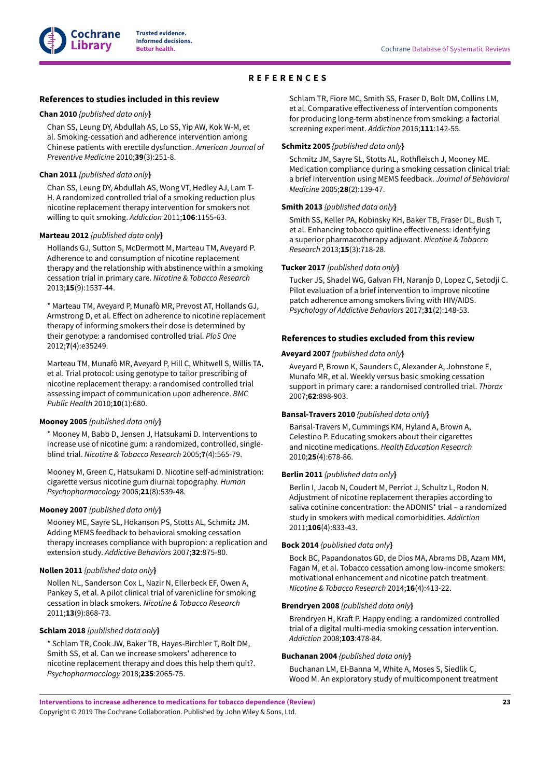# **REFERENCES**

#### <span id="page-24-1"></span><span id="page-24-0"></span>**References to studies included in this review**

#### <span id="page-24-8"></span>**Chan 2010** *{published data only***}**

Chan SS, Leung DY, Abdullah AS, Lo SS, Yip AW, Kok W-M, et al. Smoking-cessation and adherence intervention among Chinese patients with erectile dysfunction. *American Journal of Preventive Medicine* 2010;**39**(3):251-8.

#### <span id="page-24-9"></span>**Chan 2011** *{published data only***}**

Chan SS, Leung DY, Abdullah AS, Wong VT, Hedley AJ, Lam T-H. A randomized controlled trial of a smoking reduction plus nicotine replacement therapy intervention for smokers not willing to quit smoking. *Addiction* 2011;**106**:1155-63.

#### <span id="page-24-7"></span>**Marteau 2012** *{published data only***}**

Hollands GJ, Sutton S, McDermott M, Marteau TM, Aveyard P. Adherence to and consumption of nicotine replacement therapy and the relationship with abstinence within a smoking cessation trial in primary care. *Nicotine & Tobacco Research* 2013;**15**(9):1537-44.

\* Marteau TM, Aveyard P, Munafò MR, Prevost AT, Hollands GJ, Armstrong D, et al. Effect on adherence to nicotine replacement therapy of informing smokers their dose is determined by their genotype: a randomised controlled trial. *PloS One* 2012;**7**(4):e35249.

Marteau TM, Munafò MR, Aveyard P, Hill C, Whitwell S, Willis TA, et al. Trial protocol: using genotype to tailor prescribing of nicotine replacement therapy: a randomised controlled trial assessing impact of communication upon adherence. *BMC Public Health* 2010;**10**(1):680.

#### <span id="page-24-2"></span>**Mooney 2005** *{published data only***}**

\* Mooney M, Babb D, Jensen J, Hatsukami D. Interventions to increase use of nicotine gum: a randomized, controlled, singleblind trial. *Nicotine & Tobacco Research* 2005;**7**(4):565-79.

Mooney M, Green C, Hatsukami D. Nicotine self-administration: cigarette versus nicotine gum diurnal topography. *Human Psychopharmacology* 2006;**21**(8):539-48.

#### <span id="page-24-10"></span>**Mooney 2007** *{published data only***}**

Mooney ME, Sayre SL, Hokanson PS, Stotts AL, Schmitz JM. Adding MEMS feedback to behavioral smoking cessation therapy increases compliance with bupropion: a replication and extension study. *Addictive Behaviors* 2007;**32**:875-80.

# <span id="page-24-3"></span>**Nollen 2011** *{published data only***}**

Nollen NL, Sanderson Cox L, Nazir N, Ellerbeck EF, Owen A, Pankey S, et al. A pilot clinical trial of varenicline for smoking cessation in black smokers. *Nicotine & Tobacco Research* 2011;**13**(9):868-73.

## <span id="page-24-4"></span>**Schlam 2018** *{published data only***}**

\* Schlam TR, Cook JW, Baker TB, Hayes-Birchler T, Bolt DM, Smith SS, et al. Can we increase smokers' adherence to nicotine replacement therapy and does this help them quit?. *Psychopharmacology* 2018;**235**:2065-75.

Schlam TR, Fiore MC, Smith SS, Fraser D, Bolt DM, Collins LM, et al. Comparative effectiveness of intervention components for producing long-term abstinence from smoking: a factorial screening experiment. *Addiction* 2016;**111**:142-55.

#### <span id="page-24-11"></span>**Schmitz 2005** *{published data only***}**

Schmitz JM, Sayre SL, Stotts AL, Rothfleisch J, Mooney ME. Medication compliance during a smoking cessation clinical trial: a brief intervention using MEMS feedback. *Journal of Behavioral Medicine* 2005;**28**(2):139-47.

#### <span id="page-24-5"></span>**Smith 2013** *{published data only***}**

Smith SS, Keller PA, Kobinsky KH, Baker TB, Fraser DL, Bush T, et al. Enhancing tobacco quitline effectiveness: identifying a superior pharmacotherapy adjuvant. *Nicotine & Tobacco Research* 2013;**15**(3):718-28.

### <span id="page-24-6"></span>**Tucker 2017** *{published data only***}**

Tucker JS, Shadel WG, Galvan FH, Naranjo D, Lopez C, Setodji C. Pilot evaluation of a brief intervention to improve nicotine patch adherence among smokers living with HIV/AIDS. *Psychology of Addictive Behaviors* 2017;**31**(2):148-53.

# **References to studies excluded from this review**

### <span id="page-24-12"></span>**Aveyard 2007** *{published data only***}**

Aveyard P, Brown K, Saunders C, Alexander A, Johnstone E, Munafo MR, et al. Weekly versus basic smoking cessation support in primary care: a randomised controlled trial. *Thorax* 2007;**62**:898-903.

#### <span id="page-24-13"></span>**Bansal-Travers 2010** *{published data only***}**

Bansal-Travers M, Cummings KM, Hyland A, Brown A, Celestino P. Educating smokers about their cigarettes and nicotine medications. *Health Education Research* 2010;**25**(4):678-86.

#### <span id="page-24-14"></span>**Berlin 2011** *{published data only***}**

Berlin I, Jacob N, Coudert M, Perriot J, Schultz L, Rodon N. Adjustment of nicotine replacement therapies according to saliva cotinine concentration: the ADONIS\* trial – a randomized study in smokers with medical comorbidities. *Addiction* 2011;**106**(4):833-43.

#### <span id="page-24-15"></span>**Bock 2014** *{published data only***}**

Bock BC, Papandonatos GD, de Dios MA, Abrams DB, Azam MM, Fagan M, et al. Tobacco cessation among low-income smokers: motivational enhancement and nicotine patch treatment. *Nicotine & Tobacco Research* 2014;**16**(4):413-22.

#### <span id="page-24-16"></span>**Brendryen 2008** *{published data only***}**

Brendryen H, Kraft P. Happy ending: a randomized controlled trial of a digital multi-media smoking cessation intervention. *Addiction* 2008;**103**:478-84.

#### <span id="page-24-17"></span>**Buchanan 2004** *{published data only***}**

Buchanan LM, El-Banna M, White A, Moses S, Siedlik C, Wood M. An exploratory study of multicomponent treatment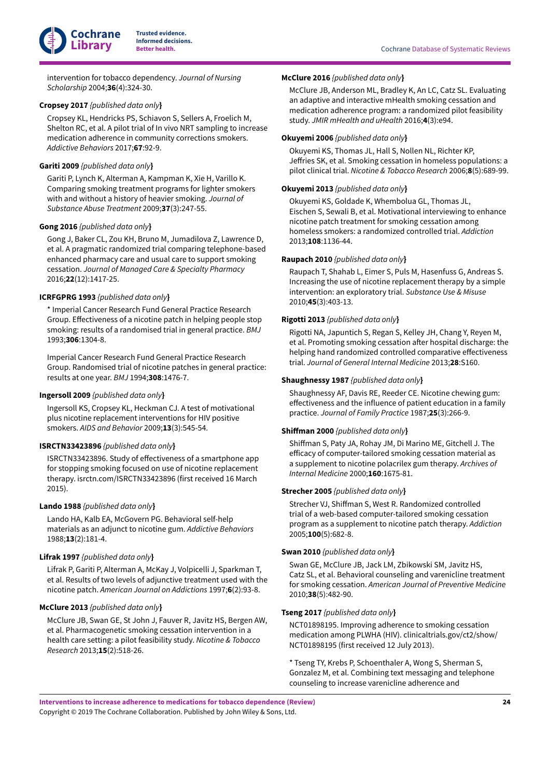

intervention for tobacco dependency. *Journal of Nursing Scholarship* 2004;**36**(4):324-30.

#### <span id="page-25-3"></span>**Cropsey 2017** *{published data only***}**

Cropsey KL, Hendricks PS, Schiavon S, Sellers A, Froelich M, Shelton RC, et al. A pilot trial of In vivo NRT sampling to increase medication adherence in community corrections smokers. *Addictive Behaviors* 2017;**67**:92-9.

# <span id="page-25-7"></span>**Gariti 2009** *{published data only***}**

Gariti P, Lynch K, Alterman A, Kampman K, Xie H, Varillo K. Comparing smoking treatment programs for lighter smokers with and without a history of heavier smoking. *Journal of Substance Abuse Treatment* 2009;**37**(3):247-55.

#### <span id="page-25-4"></span>**Gong 2016** *{published data only***}**

Gong J, Baker CL, Zou KH, Bruno M, Jumadilova Z, Lawrence D, et al. A pragmatic randomized trial comparing telephone-based enhanced pharmacy care and usual care to support smoking cessation. *Journal of Managed Care & Specialty Pharmacy* 2016;**22**(12):1417-25.

#### <span id="page-25-8"></span>**ICRFGPRG 1993** *{published data only***}**

\* Imperial Cancer Research Fund General Practice Research Group. Effectiveness of a nicotine patch in helping people stop smoking: results of a randomised trial in general practice. *BMJ* 1993;**306**:1304-8.

Imperial Cancer Research Fund General Practice Research Group. Randomised trial of nicotine patches in general practice: results at one year. *BMJ* 1994;**308**:1476-7.

#### <span id="page-25-9"></span>**Ingersoll 2009** *{published data only***}**

Ingersoll KS, Cropsey KL, Heckman CJ. A test of motivational plus nicotine replacement interventions for HIV positive smokers. *AIDS and Behavior* 2009;**13**(3):545-54.

#### <span id="page-25-1"></span>**ISRCTN33423896** *{published data only***}**

ISRCTN33423896. Study of effectiveness of a smartphone app for stopping smoking focused on use of nicotine replacement therapy. isrctn.com/ISRCTN33423896 (first received 16 March 2015).

#### <span id="page-25-10"></span>**Lando 1988** *{published data only***}**

Lando HA, Kalb EA, McGovern PG. Behavioral self-help materials as an adjunct to nicotine gum. *Addictive Behaviors* 1988;**13**(2):181-4.

#### <span id="page-25-11"></span>**Lifrak 1997** *{published data only***}**

Lifrak P, Gariti P, Alterman A, McKay J, Volpicelli J, Sparkman T, et al. Results of two levels of adjunctive treatment used with the nicotine patch. *American Journal on Addictions* 1997;**6**(2):93-8.

## <span id="page-25-2"></span>**McClure 2013** *{published data only***}**

McClure JB, Swan GE, St John J, Fauver R, Javitz HS, Bergen AW, et al. Pharmacogenetic smoking cessation intervention in a health care setting: a pilot feasibility study. *Nicotine & Tobacco Research* 2013;**15**(2):518-26.

#### <span id="page-25-5"></span>**McClure 2016** *{published data only***}**

McClure JB, Anderson ML, Bradley K, An LC, Catz SL. Evaluating an adaptive and interactive mHealth smoking cessation and medication adherence program: a randomized pilot feasibility study. *JMIR mHealth and uHealth* 2016;**4**(3):e94.

### <span id="page-25-12"></span>**Okuyemi 2006** *{published data only***}**

Okuyemi KS, Thomas JL, Hall S, Nollen NL, Richter KP, Jeffries SK, et al. Smoking cessation in homeless populations: a pilot clinical trial. *Nicotine & Tobacco Research* 2006;**8**(5):689-99.

#### <span id="page-25-13"></span>**Okuyemi 2013** *{published data only***}**

Okuyemi KS, Goldade K, Whembolua GL, Thomas JL, Eischen S, Sewali B, et al. Motivational interviewing to enhance nicotine patch treatment for smoking cessation among homeless smokers: a randomized controlled trial. *Addiction* 2013;**108**:1136-44.

# <span id="page-25-14"></span>**Raupach 2010** *{published data only***}**

Raupach T, Shahab L, Eimer S, Puls M, Hasenfuss G, Andreas S. Increasing the use of nicotine replacement therapy by a simple intervention: an exploratory trial. *Substance Use & Misuse* 2010;**45**(3):403-13.

#### <span id="page-25-15"></span>**Rigotti 2013** *{published data only***}**

Rigotti NA, Japuntich S, Regan S, Kelley JH, Chang Y, Reyen M, et al. Promoting smoking cessation after hospital discharge: the helping hand randomized controlled comparative effectiveness trial. *Journal of General Internal Medicine* 2013;**28**:S160.

#### <span id="page-25-16"></span>**Shaughnessy 1987** *{published data only***}**

Shaughnessy AF, Davis RE, Reeder CE. Nicotine chewing gum: effectiveness and the influence of patient education in a family practice. *Journal of Family Practice* 1987;**25**(3):266-9.

### <span id="page-25-17"></span>**Shi:man 2000** *{published data only***}**

Shiffman S, Paty JA, Rohay JM, Di Marino ME, Gitchell J. The efficacy of computer-tailored smoking cessation material as a supplement to nicotine polacrilex gum therapy. *Archives of Internal Medicine* 2000;**160**:1675-81.

#### <span id="page-25-18"></span>**Strecher 2005** *{published data only***}**

Strecher VJ, Shiffman S, West R. Randomized controlled trial of a web-based computer-tailored smoking cessation program as a supplement to nicotine patch therapy. *Addiction* 2005;**100**(5):682-8.

#### <span id="page-25-0"></span>**Swan 2010** *{published data only***}**

Swan GE, McClure JB, Jack LM, Zbikowski SM, Javitz HS, Catz SL, et al. Behavioral counseling and varenicline treatment for smoking cessation. *American Journal of Preventive Medicine* 2010;**38**(5):482-90.

#### <span id="page-25-6"></span>**Tseng 2017** *{published data only***}**

NCT01898195. Improving adherence to smoking cessation medication among PLWHA (HIV). clinicaltrials.gov/ct2/show/ NCT01898195 (first received 12 July 2013).

\* Tseng TY, Krebs P, Schoenthaler A, Wong S, Sherman S, Gonzalez M, et al. Combining text messaging and telephone counseling to increase varenicline adherence and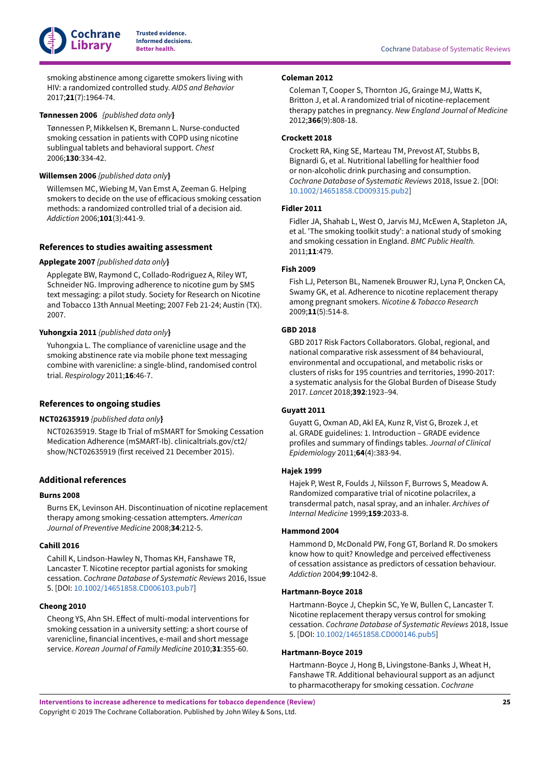

smoking abstinence among cigarette smokers living with HIV: a randomized controlled study. *AIDS and Behavior* 2017;**21**(7):1964-74.

### <span id="page-26-16"></span>**Tønnessen 2006** *{published data only***}**

Tønnessen P, Mikkelsen K, Bremann L. Nurse-conducted smoking cessation in patients with COPD using nicotine sublingual tablets and behavioral support. *Chest* 2006;**130**:334-42.

# <span id="page-26-17"></span>**Willemsen 2006** *{published data only***}**

Willemsen MC, Wiebing M, Van Emst A, Zeeman G. Helping smokers to decide on the use of efficacious smoking cessation methods: a randomized controlled trial of a decision aid. *Addiction* 2006;**101**(3):441-9.

### **References to studies awaiting assessment**

#### <span id="page-26-10"></span>**Applegate 2007** *{published data only***}**

Applegate BW, Raymond C, Collado-Rodriguez A, Riley WT, Schneider NG. Improving adherence to nicotine gum by SMS text messaging: a pilot study. Society for Research on Nicotine and Tobacco 13th Annual Meeting; 2007 Feb 21-24; Austin (TX). 2007.

#### <span id="page-26-11"></span>**Yuhongxia 2011** *{published data only***}**

Yuhongxia L. The compliance of varenicline usage and the smoking abstinence rate via mobile phone text messaging combine with varenicline: a single-blind, randomised control trial. *Respirology* 2011;**16**:46-7.

#### **References to ongoing studies**

#### <span id="page-26-9"></span>**NCT02635919** *{published data only***}**

NCT02635919. Stage Ib Trial of mSMART for Smoking Cessation Medication Adherence (mSMART-Ib). clinicaltrials.gov/ct2/ show/NCT02635919 (first received 21 December 2015).

# **Additional references**

#### <span id="page-26-4"></span>**Burns 2008**

Burns EK, Levinson AH. Discontinuation of nicotine replacement therapy among smoking-cessation attempters. *American Journal of Preventive Medicine* 2008;**34**:212-5.

# <span id="page-26-2"></span>**Cahill 2016**

Cahill K, Lindson-Hawley N, Thomas KH, Fanshawe TR, Lancaster T. Nicotine receptor partial agonists for smoking cessation. *Cochrane Database of Systematic Reviews* 2016, Issue 5. [DOI: [10.1002/14651858.CD006103.pub7\]](https://doi.org/10.1002/14651858.CD006103.pub7)

#### <span id="page-26-3"></span>**Cheong 2010**

Cheong YS, Ahn SH. Effect of multi-modal interventions for smoking cessation in a university setting: a short course of varenicline, financial incentives, e-mail and short message service. *Korean Journal of Family Medicine* 2010;**31**:355-60.

# <span id="page-26-14"></span>**Coleman 2012**

Coleman T, Cooper S, Thornton JG, Grainge MJ, Watts K, Britton J, et al. A randomized trial of nicotine-replacement therapy patches in pregnancy. *New England Journal of Medicine* 2012;**366**(9):808-18.

# <span id="page-26-8"></span>**Crockett 2018**

Crockett RA, King SE, Marteau TM, Prevost AT, Stubbs B, Bignardi G, et al. Nutritional labelling for healthier food or non-alcoholic drink purchasing and consumption. *Cochrane Database of Systematic Reviews* 2018, Issue 2. [DOI: [10.1002/14651858.CD009315.pub2\]](https://doi.org/10.1002/14651858.CD009315.pub2)

# <span id="page-26-13"></span>**Fidler 2011**

Fidler JA, Shahab L, West O, Jarvis MJ, McEwen A, Stapleton JA, et al. 'The smoking toolkit study': a national study of smoking and smoking cessation in England. *BMC Public Health.* 2011;**11**:479.

### <span id="page-26-15"></span>**Fish 2009**

Fish LJ, Peterson BL, Namenek Brouwer RJ, Lyna P, Oncken CA, Swamy GK, et al. Adherence to nicotine replacement therapy among pregnant smokers. *Nicotine & Tobacco Research* 2009;**11**(5):514-8.

# <span id="page-26-0"></span>**GBD 2018**

GBD 2017 Risk Factors Collaborators. Global, regional, and national comparative risk assessment of 84 behavioural, environmental and occupational, and metabolic risks or clusters of risks for 195 countries and territories, 1990-2017: a systematic analysis for the Global Burden of Disease Study 2017. *Lancet* 2018;**392**:1923–94.

# <span id="page-26-7"></span>**Guyatt 2011**

Guyatt G, Oxman AD, Akl EA, Kunz R, Vist G, Brozek J, et al. GRADE guidelines: 1. Introduction – GRADE evidence profiles and summary of findings tables. *Journal of Clinical Epidemiology* 2011;**64**(4):383-94.

#### <span id="page-26-12"></span>**Hajek 1999**

Hajek P, West R, Foulds J, Nilsson F, Burrows S, Meadow A. Randomized comparative trial of nicotine polacrilex, a transdermal patch, nasal spray, and an inhaler. *Archives of Internal Medicine* 1999;**159**:2033-8.

### <span id="page-26-6"></span>**Hammond 2004**

Hammond D, McDonald PW, Fong GT, Borland R. Do smokers know how to quit? Knowledge and perceived effectiveness of cessation assistance as predictors of cessation behaviour. *Addiction* 2004;**99**:1042-8.

#### <span id="page-26-1"></span>**Hartmann-Boyce 2018**

Hartmann-Boyce J, Chepkin SC, Ye W, Bullen C, Lancaster T. Nicotine replacement therapy versus control for smoking cessation. *Cochrane Database of Systematic Reviews* 2018, Issue 5. [DOI: [10.1002/14651858.CD000146.pub5\]](https://doi.org/10.1002/14651858.CD000146.pub5)

#### <span id="page-26-5"></span>**Hartmann-Boyce 2019**

Hartmann-Boyce J, Hong B, Livingstone-Banks J, Wheat H, Fanshawe TR. Additional behavioural support as an adjunct to pharmacotherapy for smoking cessation. *Cochrane*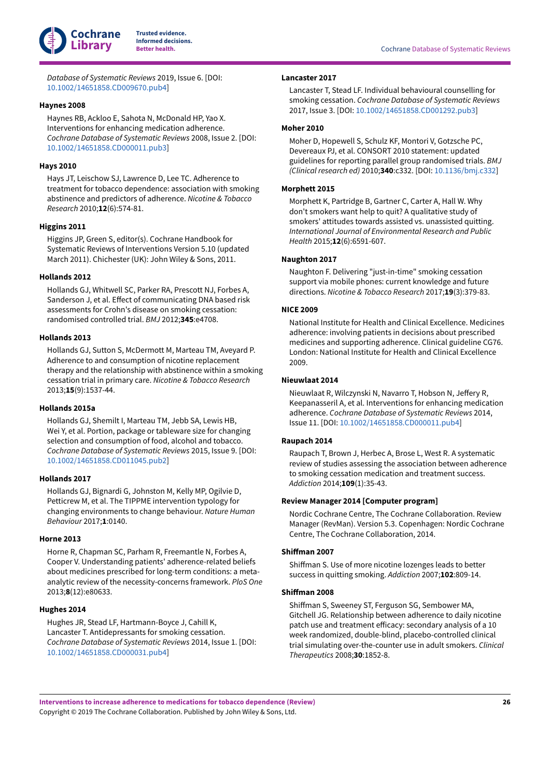

*Database of Systematic Reviews* 2019, Issue 6. [DOI: [10.1002/14651858.CD009670.pub4](https://doi.org/10.1002/14651858.CD009670.pub4)]

#### <span id="page-27-14"></span>**Haynes 2008**

Haynes RB, Ackloo E, Sahota N, McDonald HP, Yao X. Interventions for enhancing medication adherence. *Cochrane Database of Systematic Reviews* 2008, Issue 2. [DOI: [10.1002/14651858.CD000011.pub3](https://doi.org/10.1002/14651858.CD000011.pub3)]

#### <span id="page-27-1"></span>**Hays 2010**

Hays JT, Leischow SJ, Lawrence D, Lee TC. Adherence to treatment for tobacco dependence: association with smoking abstinence and predictors of adherence. *Nicotine & Tobacco Research* 2010;**12**(6):574-81.

#### <span id="page-27-12"></span>**Higgins 2011**

Higgins JP, Green S, editor(s). Cochrane Handbook for Systematic Reviews of Interventions Version 5.10 (updated March 2011). Chichester (UK): John Wiley & Sons, 2011.

# <span id="page-27-15"></span>**Hollands 2012**

Hollands GJ, Whitwell SC, Parker RA, Prescott NJ, Forbes A, Sanderson J, et al. Effect of communicating DNA based risk assessments for Crohn's disease on smoking cessation: randomised controlled trial. *BMJ* 2012;**345**:e4708.

#### <span id="page-27-3"></span>**Hollands 2013**

Hollands GJ, Sutton S, McDermott M, Marteau TM, Aveyard P. Adherence to and consumption of nicotine replacement therapy and the relationship with abstinence within a smoking cessation trial in primary care. *Nicotine & Tobacco Research* 2013;**15**(9):1537-44.

# <span id="page-27-13"></span>**Hollands 2015a**

Hollands GJ, Shemilt I, Marteau TM, Jebb SA, Lewis HB, Wei Y, et al. Portion, package or tableware size for changing selection and consumption of food, alcohol and tobacco. *Cochrane Database of Systematic Reviews* 2015, Issue 9. [DOI: [10.1002/14651858.CD011045.pub2](https://doi.org/10.1002/14651858.CD011045.pub2)]

#### <span id="page-27-18"></span>**Hollands 2017**

Hollands GJ, Bignardi G, Johnston M, Kelly MP, Ogilvie D, Petticrew M, et al. The TIPPME intervention typology for changing environments to change behaviour. *Nature Human Behaviour* 2017;**1**:0140.

# <span id="page-27-7"></span>**Horne 2013**

Horne R, Chapman SC, Parham R, Freemantle N, Forbes A, Cooper V. Understanding patients' adherence-related beliefs about medicines prescribed for long-term conditions: a metaanalytic review of the necessity-concerns framework. *PloS One* 2013;**8**(12):e80633.

#### <span id="page-27-0"></span>**Hughes 2014**

Hughes JR, Stead LF, Hartmann-Boyce J, Cahill K, Lancaster T. Antidepressants for smoking cessation. *Cochrane Database of Systematic Reviews* 2014, Issue 1. [DOI: [10.1002/14651858.CD000031.pub4](https://doi.org/10.1002/14651858.CD000031.pub4)]

#### <span id="page-27-9"></span>**Lancaster 2017**

Lancaster T, Stead LF. Individual behavioural counselling for smoking cessation. *Cochrane Database of Systematic Reviews* 2017, Issue 3. [DOI: [10.1002/14651858.CD001292.pub3\]](https://doi.org/10.1002/14651858.CD001292.pub3)

### <span id="page-27-16"></span>**Moher 2010**

Moher D, Hopewell S, Schulz KF, Montori V, Gotzsche PC, Devereaux PJ, et al. CONSORT 2010 statement: updated guidelines for reporting parallel group randomised trials. *BMJ (Clinical research ed)* 2010;**340**:c332. [DOI: [10.1136/bmj.c332\]](https://doi.org/10.1136/bmj.c332)

#### <span id="page-27-10"></span>**Morphett 2015**

Morphett K, Partridge B, Gartner C, Carter A, Hall W. Why don't smokers want help to quit? A qualitative study of smokers' attitudes towards assisted vs. unassisted quitting. *International Journal of Environmental Research and Public Health* 2015;**12**(6):6591-607.

# <span id="page-27-17"></span>**Naughton 2017**

Naughton F. Delivering "just-in-time" smoking cessation support via mobile phones: current knowledge and future directions. *Nicotine & Tobacco Research* 2017;**19**(3):379-83.

# <span id="page-27-8"></span>**NICE 2009**

National Institute for Health and Clinical Excellence. Medicines adherence: involving patients in decisions about prescribed medicines and supporting adherence. Clinical guideline CG76. London: National Institute for Health and Clinical Excellence 2009.

#### <span id="page-27-6"></span>**Nieuwlaat 2014**

Nieuwlaat R, Wilczynski N, Navarro T, Hobson N, Jeffery R, Keepanasseril A, et al. Interventions for enhancing medication adherence. *Cochrane Database of Systematic Reviews* 2014, Issue 11. [DOI: [10.1002/14651858.CD000011.pub4](https://doi.org/10.1002/14651858.CD000011.pub4)]

### <span id="page-27-5"></span>**Raupach 2014**

Raupach T, Brown J, Herbec A, Brose L, West R. A systematic review of studies assessing the association between adherence to smoking cessation medication and treatment success. *Addiction* 2014;**109**(1):35-43.

#### <span id="page-27-11"></span>**Review Manager 2014 [Computer program]**

Nordic Cochrane Centre, The Cochrane Collaboration. Review Manager (RevMan). Version 5.3. Copenhagen: Nordic Cochrane Centre, The Cochrane Collaboration, 2014.

#### <span id="page-27-4"></span>**Shi:man 2007**

Shiffman S. Use of more nicotine lozenges leads to better success in quitting smoking. *Addiction* 2007;**102**:809-14.

#### <span id="page-27-2"></span>**Shi:man 2008**

Shiffman S, Sweeney ST, Ferguson SG, Sembower MA, Gitchell JG. Relationship between adherence to daily nicotine patch use and treatment efficacy: secondary analysis of a 10 week randomized, double-blind, placebo-controlled clinical trial simulating over-the-counter use in adult smokers. *Clinical Therapeutics* 2008;**30**:1852-8.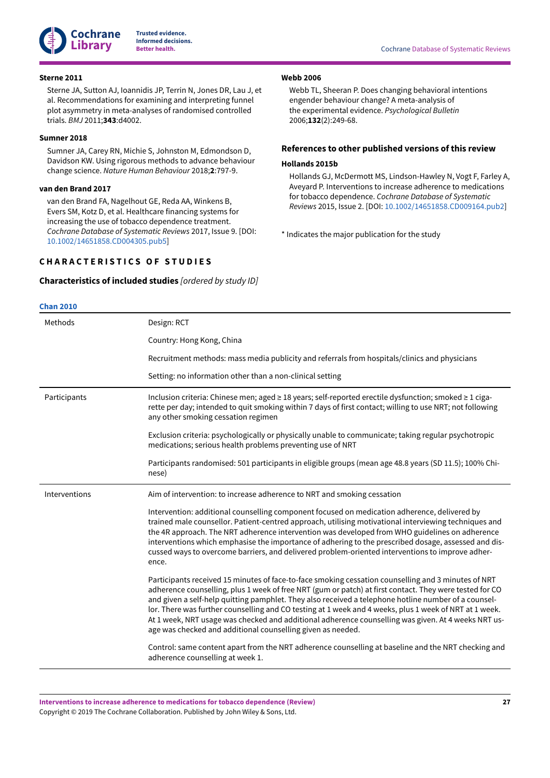

#### <span id="page-28-1"></span>**Sterne 2011**

Sterne JA, Sutton AJ, Ioannidis JP, Terrin N, Jones DR, Lau J, et al. Recommendations for examining and interpreting funnel plot asymmetry in meta-analyses of randomised controlled trials. *BMJ* 2011;**343**:d4002.

# <span id="page-28-6"></span>**Sumner 2018**

Sumner JA, Carey RN, Michie S, Johnston M, Edmondson D, Davidson KW. Using rigorous methods to advance behaviour change science. *Nature Human Behaviour* 2018;**2**:797-9.

#### <span id="page-28-4"></span>**van den Brand 2017**

van den Brand FA, Nagelhout GE, Reda AA, Winkens B, Evers SM, Kotz D, et al. Healthcare financing systems for increasing the use of tobacco dependence treatment. *Cochrane Database of Systematic Reviews* 2017, Issue 9. [DOI: [10.1002/14651858.CD004305.pub5](https://doi.org/10.1002/14651858.CD004305.pub5)]

### <span id="page-28-0"></span>**C H A R A C T E R I S T I C S O F S T U D I E S**

# <span id="page-28-2"></span>**Characteristics of included studies** *[ordered by study ID]*

#### <span id="page-28-5"></span>**Webb 2006**

Webb TL, Sheeran P. Does changing behavioral intentions engender behaviour change? A meta-analysis of the experimental evidence. *Psychological Bulletin* 2006;**132**(2):249-68.

# **References to other published versions of this review**

#### <span id="page-28-3"></span>**Hollands 2015b**

Hollands GJ, McDermott MS, Lindson-Hawley N, Vogt F, Farley A, Aveyard P. Interventions to increase adherence to medications for tobacco dependence. *Cochrane Database of Systematic Reviews* 2015, Issue 2. [DOI: [10.1002/14651858.CD009164.pub2\]](https://doi.org/10.1002/14651858.CD009164.pub2)

\* Indicates the major publication for the study

| <b>Chan 2010</b> |                                                                                                                                                                                                                                                                                                                                                                                                                                                                                                                                                                                                        |
|------------------|--------------------------------------------------------------------------------------------------------------------------------------------------------------------------------------------------------------------------------------------------------------------------------------------------------------------------------------------------------------------------------------------------------------------------------------------------------------------------------------------------------------------------------------------------------------------------------------------------------|
| Methods          | Design: RCT                                                                                                                                                                                                                                                                                                                                                                                                                                                                                                                                                                                            |
|                  | Country: Hong Kong, China                                                                                                                                                                                                                                                                                                                                                                                                                                                                                                                                                                              |
|                  | Recruitment methods: mass media publicity and referrals from hospitals/clinics and physicians                                                                                                                                                                                                                                                                                                                                                                                                                                                                                                          |
|                  | Setting: no information other than a non-clinical setting                                                                                                                                                                                                                                                                                                                                                                                                                                                                                                                                              |
| Participants     | Inclusion criteria: Chinese men; aged ≥ 18 years; self-reported erectile dysfunction; smoked ≥ 1 ciga-<br>rette per day; intended to quit smoking within 7 days of first contact; willing to use NRT; not following<br>any other smoking cessation regimen                                                                                                                                                                                                                                                                                                                                             |
|                  | Exclusion criteria: psychologically or physically unable to communicate; taking regular psychotropic<br>medications; serious health problems preventing use of NRT                                                                                                                                                                                                                                                                                                                                                                                                                                     |
|                  | Participants randomised: 501 participants in eligible groups (mean age 48.8 years (SD 11.5); 100% Chi-<br>nese)                                                                                                                                                                                                                                                                                                                                                                                                                                                                                        |
| Interventions    | Aim of intervention: to increase adherence to NRT and smoking cessation                                                                                                                                                                                                                                                                                                                                                                                                                                                                                                                                |
|                  | Intervention: additional counselling component focused on medication adherence, delivered by<br>trained male counsellor. Patient-centred approach, utilising motivational interviewing techniques and<br>the 4R approach. The NRT adherence intervention was developed from WHO guidelines on adherence<br>interventions which emphasise the importance of adhering to the prescribed dosage, assessed and dis-<br>cussed ways to overcome barriers, and delivered problem-oriented interventions to improve adher-<br>ence.                                                                           |
|                  | Participants received 15 minutes of face-to-face smoking cessation counselling and 3 minutes of NRT<br>adherence counselling, plus 1 week of free NRT (gum or patch) at first contact. They were tested for CO<br>and given a self-help quitting pamphlet. They also received a telephone hotline number of a counsel-<br>lor. There was further counselling and CO testing at 1 week and 4 weeks, plus 1 week of NRT at 1 week.<br>At 1 week, NRT usage was checked and additional adherence counselling was given. At 4 weeks NRT us-<br>age was checked and additional counselling given as needed. |
|                  | Control: same content apart from the NRT adherence counselling at baseline and the NRT checking and<br>adherence counselling at week 1.                                                                                                                                                                                                                                                                                                                                                                                                                                                                |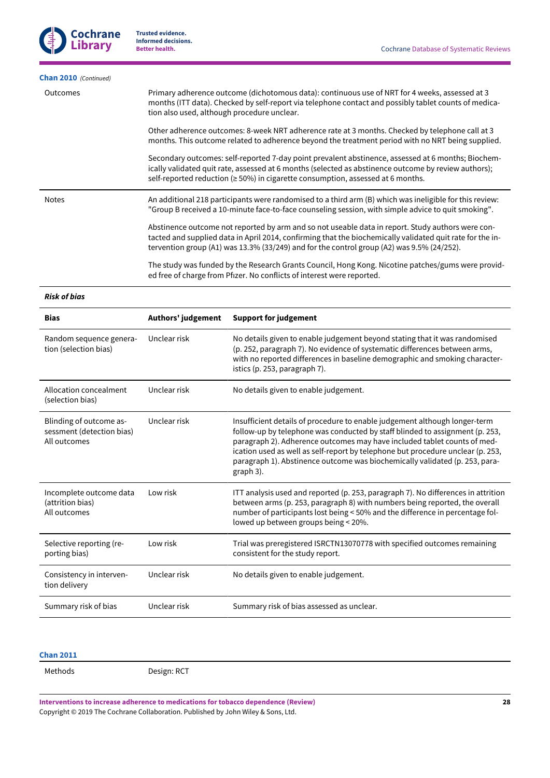| <b>Chan 2010</b> (Continued) |                                                                                                                                                                                                                                                                                                              |  |  |  |
|------------------------------|--------------------------------------------------------------------------------------------------------------------------------------------------------------------------------------------------------------------------------------------------------------------------------------------------------------|--|--|--|
| <b>Outcomes</b>              | Primary adherence outcome (dichotomous data): continuous use of NRT for 4 weeks, assessed at 3<br>months (ITT data). Checked by self-report via telephone contact and possibly tablet counts of medica-<br>tion also used, although procedure unclear.                                                       |  |  |  |
|                              | Other adherence outcomes: 8-week NRT adherence rate at 3 months. Checked by telephone call at 3<br>months. This outcome related to adherence beyond the treatment period with no NRT being supplied.                                                                                                         |  |  |  |
|                              | Secondary outcomes: self-reported 7-day point prevalent abstinence, assessed at 6 months; Biochem-<br>ically validated quit rate, assessed at 6 months (selected as abstinence outcome by review authors);<br>self-reported reduction ( $\geq 50\%$ ) in cigarette consumption, assessed at 6 months.        |  |  |  |
| <b>Notes</b>                 | An additional 218 participants were randomised to a third arm (B) which was ineligible for this review:<br>"Group B received a 10-minute face-to-face counseling session, with simple advice to quit smoking".                                                                                               |  |  |  |
|                              | Abstinence outcome not reported by arm and so not useable data in report. Study authors were con-<br>tacted and supplied data in April 2014, confirming that the biochemically validated quit rate for the in-<br>tervention group (A1) was 13.3% (33/249) and for the control group (A2) was 9.5% (24/252). |  |  |  |
|                              | -The study was funded by the Research Grants Council, Hong Kong. Nicotine patches/gums were provid<br>ed free of charge from Pfizer. No conflicts of interest were reported.                                                                                                                                 |  |  |  |
|                              |                                                                                                                                                                                                                                                                                                              |  |  |  |

# *Risk of bias*

| <b>Bias</b>                                                          | <b>Authors' judgement</b> | <b>Support for judgement</b>                                                                                                                                                                                                                                                                                                                                                                                          |
|----------------------------------------------------------------------|---------------------------|-----------------------------------------------------------------------------------------------------------------------------------------------------------------------------------------------------------------------------------------------------------------------------------------------------------------------------------------------------------------------------------------------------------------------|
| Random sequence genera-<br>tion (selection bias)                     | Unclear risk              | No details given to enable judgement beyond stating that it was randomised<br>(p. 252, paragraph 7). No evidence of systematic differences between arms,<br>with no reported differences in baseline demographic and smoking character-<br>istics (p. 253, paragraph 7).                                                                                                                                              |
| Allocation concealment<br>(selection bias)                           | Unclear risk              | No details given to enable judgement.                                                                                                                                                                                                                                                                                                                                                                                 |
| Blinding of outcome as-<br>sessment (detection bias)<br>All outcomes | Unclear risk              | Insufficient details of procedure to enable judgement although longer-term<br>follow-up by telephone was conducted by staff blinded to assignment (p. 253,<br>paragraph 2). Adherence outcomes may have included tablet counts of med-<br>ication used as well as self-report by telephone but procedure unclear (p. 253,<br>paragraph 1). Abstinence outcome was biochemically validated (p. 253, para-<br>graph 3). |
| Incomplete outcome data<br>(attrition bias)<br>All outcomes          | Low risk                  | ITT analysis used and reported (p. 253, paragraph 7). No differences in attrition<br>between arms (p. 253, paragraph 8) with numbers being reported, the overall<br>number of participants lost being < 50% and the difference in percentage fol-<br>lowed up between groups being < 20%.                                                                                                                             |
| Selective reporting (re-<br>porting bias)                            | Low risk                  | Trial was preregistered ISRCTN13070778 with specified outcomes remaining<br>consistent for the study report.                                                                                                                                                                                                                                                                                                          |
| Consistency in interven-<br>tion delivery                            | Unclear risk              | No details given to enable judgement.                                                                                                                                                                                                                                                                                                                                                                                 |
| Summary risk of bias                                                 | Unclear risk              | Summary risk of bias assessed as unclear.                                                                                                                                                                                                                                                                                                                                                                             |

# **[Chan 2011](#page-24-9)**

Methods Design: RCT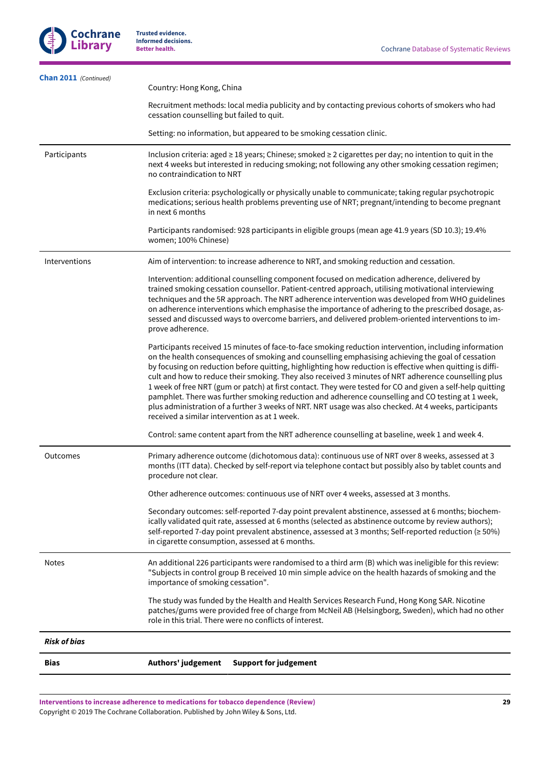| Chan 2011 (Continued) | Country: Hong Kong, China                                                                                                                                                                                                                                                                                                                                                                                                                                                                                                                                                                                                                                                                                                                                                                                     |
|-----------------------|---------------------------------------------------------------------------------------------------------------------------------------------------------------------------------------------------------------------------------------------------------------------------------------------------------------------------------------------------------------------------------------------------------------------------------------------------------------------------------------------------------------------------------------------------------------------------------------------------------------------------------------------------------------------------------------------------------------------------------------------------------------------------------------------------------------|
|                       | Recruitment methods: local media publicity and by contacting previous cohorts of smokers who had<br>cessation counselling but failed to quit.                                                                                                                                                                                                                                                                                                                                                                                                                                                                                                                                                                                                                                                                 |
|                       | Setting: no information, but appeared to be smoking cessation clinic.                                                                                                                                                                                                                                                                                                                                                                                                                                                                                                                                                                                                                                                                                                                                         |
| Participants          | Inclusion criteria: aged ≥ 18 years; Chinese; smoked ≥ 2 cigarettes per day; no intention to quit in the<br>next 4 weeks but interested in reducing smoking; not following any other smoking cessation regimen;<br>no contraindication to NRT                                                                                                                                                                                                                                                                                                                                                                                                                                                                                                                                                                 |
|                       | Exclusion criteria: psychologically or physically unable to communicate; taking regular psychotropic<br>medications; serious health problems preventing use of NRT; pregnant/intending to become pregnant<br>in next 6 months                                                                                                                                                                                                                                                                                                                                                                                                                                                                                                                                                                                 |
|                       | Participants randomised: 928 participants in eligible groups (mean age 41.9 years (SD 10.3); 19.4%<br>women; 100% Chinese)                                                                                                                                                                                                                                                                                                                                                                                                                                                                                                                                                                                                                                                                                    |
| Interventions         | Aim of intervention: to increase adherence to NRT, and smoking reduction and cessation.                                                                                                                                                                                                                                                                                                                                                                                                                                                                                                                                                                                                                                                                                                                       |
|                       | Intervention: additional counselling component focused on medication adherence, delivered by<br>trained smoking cessation counsellor. Patient-centred approach, utilising motivational interviewing<br>techniques and the 5R approach. The NRT adherence intervention was developed from WHO guidelines<br>on adherence interventions which emphasise the importance of adhering to the prescribed dosage, as-<br>sessed and discussed ways to overcome barriers, and delivered problem-oriented interventions to im-<br>prove adherence.                                                                                                                                                                                                                                                                     |
|                       | Participants received 15 minutes of face-to-face smoking reduction intervention, including information<br>on the health consequences of smoking and counselling emphasising achieving the goal of cessation<br>by focusing on reduction before quitting, highlighting how reduction is effective when quitting is diffi-<br>cult and how to reduce their smoking. They also received 3 minutes of NRT adherence counselling plus<br>1 week of free NRT (gum or patch) at first contact. They were tested for CO and given a self-help quitting<br>pamphlet. There was further smoking reduction and adherence counselling and CO testing at 1 week,<br>plus administration of a further 3 weeks of NRT. NRT usage was also checked. At 4 weeks, participants<br>received a similar intervention as at 1 week. |
|                       | Control: same content apart from the NRT adherence counselling at baseline, week 1 and week 4.                                                                                                                                                                                                                                                                                                                                                                                                                                                                                                                                                                                                                                                                                                                |
| Outcomes              | Primary adherence outcome (dichotomous data): continuous use of NRT over 8 weeks, assessed at 3<br>months (ITT data). Checked by self-report via telephone contact but possibly also by tablet counts and<br>procedure not clear.                                                                                                                                                                                                                                                                                                                                                                                                                                                                                                                                                                             |
|                       | Other adherence outcomes: continuous use of NRT over 4 weeks, assessed at 3 months.                                                                                                                                                                                                                                                                                                                                                                                                                                                                                                                                                                                                                                                                                                                           |
|                       | Secondary outcomes: self-reported 7-day point prevalent abstinence, assessed at 6 months; biochem-<br>ically validated quit rate, assessed at 6 months (selected as abstinence outcome by review authors);<br>self-reported 7-day point prevalent abstinence, assessed at 3 months; Self-reported reduction (≥ 50%)<br>in cigarette consumption, assessed at 6 months.                                                                                                                                                                                                                                                                                                                                                                                                                                        |
| <b>Notes</b>          | An additional 226 participants were randomised to a third arm (B) which was ineligible for this review:<br>"Subjects in control group B received 10 min simple advice on the health hazards of smoking and the<br>importance of smoking cessation".                                                                                                                                                                                                                                                                                                                                                                                                                                                                                                                                                           |
|                       | The study was funded by the Health and Health Services Research Fund, Hong Kong SAR. Nicotine<br>patches/gums were provided free of charge from McNeil AB (Helsingborg, Sweden), which had no other<br>role in this trial. There were no conflicts of interest.                                                                                                                                                                                                                                                                                                                                                                                                                                                                                                                                               |
| <b>Risk of bias</b>   |                                                                                                                                                                                                                                                                                                                                                                                                                                                                                                                                                                                                                                                                                                                                                                                                               |
| Bias                  | Authors' judgement<br><b>Support for judgement</b>                                                                                                                                                                                                                                                                                                                                                                                                                                                                                                                                                                                                                                                                                                                                                            |
|                       |                                                                                                                                                                                                                                                                                                                                                                                                                                                                                                                                                                                                                                                                                                                                                                                                               |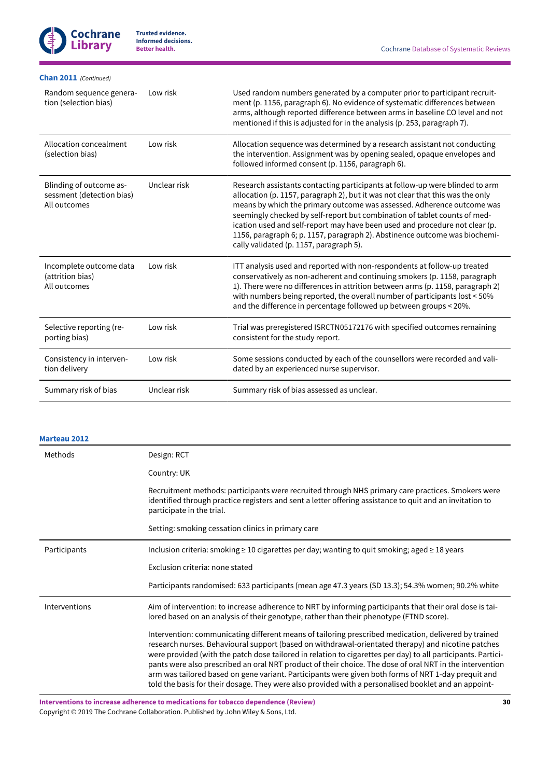| Chan 2011 (Continued)                                                |              |                                                                                                                                                                                                                                                                                                                                                                                                                                                                                                                               |
|----------------------------------------------------------------------|--------------|-------------------------------------------------------------------------------------------------------------------------------------------------------------------------------------------------------------------------------------------------------------------------------------------------------------------------------------------------------------------------------------------------------------------------------------------------------------------------------------------------------------------------------|
| Random sequence genera-<br>tion (selection bias)                     | Low risk     | Used random numbers generated by a computer prior to participant recruit-<br>ment (p. 1156, paragraph 6). No evidence of systematic differences between<br>arms, although reported difference between arms in baseline CO level and not<br>mentioned if this is adjusted for in the analysis (p. 253, paragraph 7).                                                                                                                                                                                                           |
| Allocation concealment<br>(selection bias)                           | Low risk     | Allocation sequence was determined by a research assistant not conducting<br>the intervention. Assignment was by opening sealed, opaque envelopes and<br>followed informed consent (p. 1156, paragraph 6).                                                                                                                                                                                                                                                                                                                    |
| Blinding of outcome as-<br>sessment (detection bias)<br>All outcomes | Unclear risk | Research assistants contacting participants at follow-up were blinded to arm<br>allocation (p. 1157, paragraph 2), but it was not clear that this was the only<br>means by which the primary outcome was assessed. Adherence outcome was<br>seemingly checked by self-report but combination of tablet counts of med-<br>ication used and self-report may have been used and procedure not clear (p.<br>1156, paragraph 6; p. 1157, paragraph 2). Abstinence outcome was biochemi-<br>cally validated (p. 1157, paragraph 5). |
| Incomplete outcome data<br>(attrition bias)<br>All outcomes          | Low risk     | ITT analysis used and reported with non-respondents at follow-up treated<br>conservatively as non-adherent and continuing smokers (p. 1158, paragraph<br>1). There were no differences in attrition between arms (p. 1158, paragraph 2)<br>with numbers being reported, the overall number of participants lost < 50%<br>and the difference in percentage followed up between groups < 20%.                                                                                                                                   |
| Selective reporting (re-<br>porting bias)                            | Low risk     | Trial was preregistered ISRCTN05172176 with specified outcomes remaining<br>consistent for the study report.                                                                                                                                                                                                                                                                                                                                                                                                                  |
| Consistency in interven-<br>tion delivery                            | Low risk     | Some sessions conducted by each of the counsellors were recorded and vali-<br>dated by an experienced nurse supervisor.                                                                                                                                                                                                                                                                                                                                                                                                       |
| Summary risk of bias                                                 | Unclear risk | Summary risk of bias assessed as unclear.                                                                                                                                                                                                                                                                                                                                                                                                                                                                                     |

#### **[Marteau](#page-24-7) 2012**

| Methods       | Design: RCT                                                                                                                                                                                                                                                                                                                                                                                                                                                                                                                                                                                                                                           |
|---------------|-------------------------------------------------------------------------------------------------------------------------------------------------------------------------------------------------------------------------------------------------------------------------------------------------------------------------------------------------------------------------------------------------------------------------------------------------------------------------------------------------------------------------------------------------------------------------------------------------------------------------------------------------------|
|               | Country: UK                                                                                                                                                                                                                                                                                                                                                                                                                                                                                                                                                                                                                                           |
|               | Recruitment methods: participants were recruited through NHS primary care practices. Smokers were<br>identified through practice registers and sent a letter offering assistance to quit and an invitation to<br>participate in the trial.                                                                                                                                                                                                                                                                                                                                                                                                            |
|               | Setting: smoking cessation clinics in primary care                                                                                                                                                                                                                                                                                                                                                                                                                                                                                                                                                                                                    |
| Participants  | Inclusion criteria: smoking ≥ 10 cigarettes per day; wanting to quit smoking; aged ≥ 18 years                                                                                                                                                                                                                                                                                                                                                                                                                                                                                                                                                         |
|               | Exclusion criteria: none stated                                                                                                                                                                                                                                                                                                                                                                                                                                                                                                                                                                                                                       |
|               | Participants randomised: 633 participants (mean age 47.3 years (SD 13.3); 54.3% women; 90.2% white                                                                                                                                                                                                                                                                                                                                                                                                                                                                                                                                                    |
| Interventions | Aim of intervention: to increase adherence to NRT by informing participants that their oral dose is tai-<br>lored based on an analysis of their genotype, rather than their phenotype (FTND score).                                                                                                                                                                                                                                                                                                                                                                                                                                                   |
|               | Intervention: communicating different means of tailoring prescribed medication, delivered by trained<br>research nurses. Behavioural support (based on withdrawal-orientated therapy) and nicotine patches<br>were provided (with the patch dose tailored in relation to cigarettes per day) to all participants. Partici-<br>pants were also prescribed an oral NRT product of their choice. The dose of oral NRT in the intervention<br>arm was tailored based on gene variant. Participants were given both forms of NRT 1-day prequit and<br>told the basis for their dosage. They were also provided with a personalised booklet and an appoint- |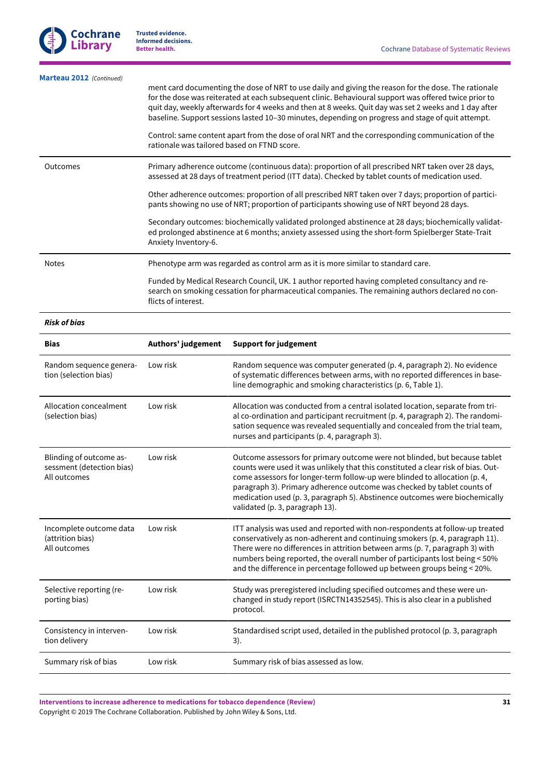| Marteau 2012 (Continued) | ment card documenting the dose of NRT to use daily and giving the reason for the dose. The rationale<br>for the dose was reiterated at each subsequent clinic. Behavioural support was offered twice prior to<br>quit day, weekly afterwards for 4 weeks and then at 8 weeks. Quit day was set 2 weeks and 1 day after<br>baseline. Support sessions lasted 10-30 minutes, depending on progress and stage of quit attempt.<br>Control: same content apart from the dose of oral NRT and the corresponding communication of the<br>rationale was tailored based on FTND score. |
|--------------------------|--------------------------------------------------------------------------------------------------------------------------------------------------------------------------------------------------------------------------------------------------------------------------------------------------------------------------------------------------------------------------------------------------------------------------------------------------------------------------------------------------------------------------------------------------------------------------------|
| Outcomes                 | Primary adherence outcome (continuous data): proportion of all prescribed NRT taken over 28 days,<br>assessed at 28 days of treatment period (ITT data). Checked by tablet counts of medication used.<br>Other adherence outcomes: proportion of all prescribed NRT taken over 7 days; proportion of partici-                                                                                                                                                                                                                                                                  |
|                          | pants showing no use of NRT; proportion of participants showing use of NRT beyond 28 days.                                                                                                                                                                                                                                                                                                                                                                                                                                                                                     |
|                          | Secondary outcomes: biochemically validated prolonged abstinence at 28 days; biochemically validat-<br>ed prolonged abstinence at 6 months; anxiety assessed using the short-form Spielberger State-Trait<br>Anxiety Inventory-6.                                                                                                                                                                                                                                                                                                                                              |
| <b>Notes</b>             | Phenotype arm was regarded as control arm as it is more similar to standard care.                                                                                                                                                                                                                                                                                                                                                                                                                                                                                              |
|                          | Funded by Medical Research Council, UK. 1 author reported having completed consultancy and re-<br>search on smoking cessation for pharmaceutical companies. The remaining authors declared no con-<br>flicts of interest.                                                                                                                                                                                                                                                                                                                                                      |

*Risk of bias*

| <b>Bias</b>                                                          | Authors' judgement | <b>Support for judgement</b>                                                                                                                                                                                                                                                                                                                                                                                                               |
|----------------------------------------------------------------------|--------------------|--------------------------------------------------------------------------------------------------------------------------------------------------------------------------------------------------------------------------------------------------------------------------------------------------------------------------------------------------------------------------------------------------------------------------------------------|
| Random sequence genera-<br>tion (selection bias)                     | Low risk           | Random sequence was computer generated (p. 4, paragraph 2). No evidence<br>of systematic differences between arms, with no reported differences in base-<br>line demographic and smoking characteristics (p. 6, Table 1).                                                                                                                                                                                                                  |
| Allocation concealment<br>(selection bias)                           | Low risk           | Allocation was conducted from a central isolated location, separate from tri-<br>al co-ordination and participant recruitment (p. 4, paragraph 2). The randomi-<br>sation sequence was revealed sequentially and concealed from the trial team,<br>nurses and participants (p. 4, paragraph 3).                                                                                                                                            |
| Blinding of outcome as-<br>sessment (detection bias)<br>All outcomes | Low risk           | Outcome assessors for primary outcome were not blinded, but because tablet<br>counts were used it was unlikely that this constituted a clear risk of bias. Out-<br>come assessors for longer-term follow-up were blinded to allocation (p. 4,<br>paragraph 3). Primary adherence outcome was checked by tablet counts of<br>medication used (p. 3, paragraph 5). Abstinence outcomes were biochemically<br>validated (p. 3, paragraph 13). |
| Incomplete outcome data<br>(attrition bias)<br>All outcomes          | Low risk           | ITT analysis was used and reported with non-respondents at follow-up treated<br>conservatively as non-adherent and continuing smokers (p. 4, paragraph 11).<br>There were no differences in attrition between arms (p. 7, paragraph 3) with<br>numbers being reported, the overall number of participants lost being < 50%<br>and the difference in percentage followed up between groups being < 20%.                                     |
| Selective reporting (re-<br>porting bias)                            | Low risk           | Study was preregistered including specified outcomes and these were un-<br>changed in study report (ISRCTN14352545). This is also clear in a published<br>protocol.                                                                                                                                                                                                                                                                        |
| Consistency in interven-<br>tion delivery                            | Low risk           | Standardised script used, detailed in the published protocol (p. 3, paragraph<br>3).                                                                                                                                                                                                                                                                                                                                                       |
| Summary risk of bias                                                 | Low risk           | Summary risk of bias assessed as low.                                                                                                                                                                                                                                                                                                                                                                                                      |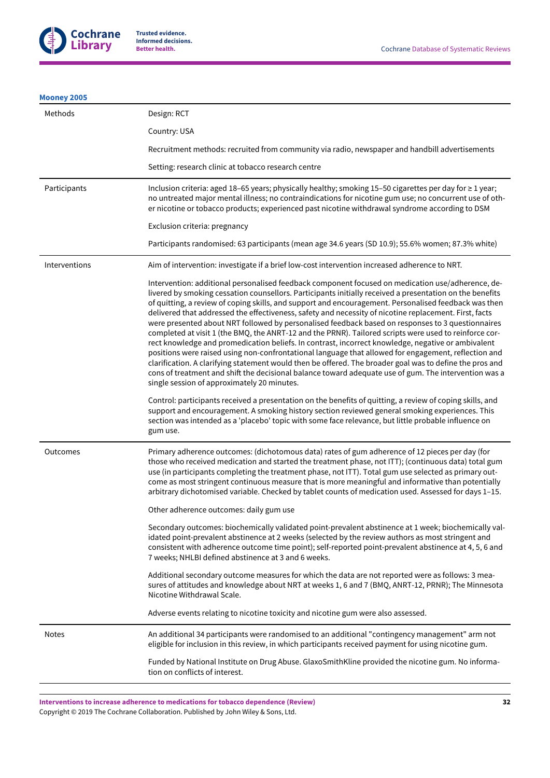

### **[Mooney](#page-24-2) 2005**

| Methods       | Design: RCT                                                                                                                                                                                                                                                                                                                                                                                                                                                                                                                                                                                                                                                                                                                                                                                                                                                                                                                                                                                                                                                                                                                       |
|---------------|-----------------------------------------------------------------------------------------------------------------------------------------------------------------------------------------------------------------------------------------------------------------------------------------------------------------------------------------------------------------------------------------------------------------------------------------------------------------------------------------------------------------------------------------------------------------------------------------------------------------------------------------------------------------------------------------------------------------------------------------------------------------------------------------------------------------------------------------------------------------------------------------------------------------------------------------------------------------------------------------------------------------------------------------------------------------------------------------------------------------------------------|
|               | Country: USA                                                                                                                                                                                                                                                                                                                                                                                                                                                                                                                                                                                                                                                                                                                                                                                                                                                                                                                                                                                                                                                                                                                      |
|               | Recruitment methods: recruited from community via radio, newspaper and handbill advertisements                                                                                                                                                                                                                                                                                                                                                                                                                                                                                                                                                                                                                                                                                                                                                                                                                                                                                                                                                                                                                                    |
|               | Setting: research clinic at tobacco research centre                                                                                                                                                                                                                                                                                                                                                                                                                                                                                                                                                                                                                                                                                                                                                                                                                                                                                                                                                                                                                                                                               |
| Participants  | Inclusion criteria: aged 18-65 years; physically healthy; smoking 15-50 cigarettes per day for ≥ 1 year;<br>no untreated major mental illness; no contraindications for nicotine gum use; no concurrent use of oth-<br>er nicotine or tobacco products; experienced past nicotine withdrawal syndrome according to DSM                                                                                                                                                                                                                                                                                                                                                                                                                                                                                                                                                                                                                                                                                                                                                                                                            |
|               | Exclusion criteria: pregnancy                                                                                                                                                                                                                                                                                                                                                                                                                                                                                                                                                                                                                                                                                                                                                                                                                                                                                                                                                                                                                                                                                                     |
|               | Participants randomised: 63 participants (mean age 34.6 years (SD 10.9); 55.6% women; 87.3% white)                                                                                                                                                                                                                                                                                                                                                                                                                                                                                                                                                                                                                                                                                                                                                                                                                                                                                                                                                                                                                                |
| Interventions | Aim of intervention: investigate if a brief low-cost intervention increased adherence to NRT.                                                                                                                                                                                                                                                                                                                                                                                                                                                                                                                                                                                                                                                                                                                                                                                                                                                                                                                                                                                                                                     |
|               | Intervention: additional personalised feedback component focused on medication use/adherence, de-<br>livered by smoking cessation counsellors. Participants initially received a presentation on the benefits<br>of quitting, a review of coping skills, and support and encouragement. Personalised feedback was then<br>delivered that addressed the effectiveness, safety and necessity of nicotine replacement. First, facts<br>were presented about NRT followed by personalised feedback based on responses to 3 questionnaires<br>completed at visit 1 (the BMQ, the ANRT-12 and the PRNR). Tailored scripts were used to reinforce cor-<br>rect knowledge and promedication beliefs. In contrast, incorrect knowledge, negative or ambivalent<br>positions were raised using non-confrontational language that allowed for engagement, reflection and<br>clarification. A clarifying statement would then be offered. The broader goal was to define the pros and<br>cons of treatment and shift the decisional balance toward adequate use of gum. The intervention was a<br>single session of approximately 20 minutes. |
|               | Control: participants received a presentation on the benefits of quitting, a review of coping skills, and<br>support and encouragement. A smoking history section reviewed general smoking experiences. This<br>section was intended as a 'placebo' topic with some face relevance, but little probable influence on<br>gum use.                                                                                                                                                                                                                                                                                                                                                                                                                                                                                                                                                                                                                                                                                                                                                                                                  |
| Outcomes      | Primary adherence outcomes: (dichotomous data) rates of gum adherence of 12 pieces per day (for<br>those who received medication and started the treatment phase, not ITT); (continuous data) total gum<br>use (in participants completing the treatment phase, not ITT). Total gum use selected as primary out-<br>come as most stringent continuous measure that is more meaningful and informative than potentially<br>arbitrary dichotomised variable. Checked by tablet counts of medication used. Assessed for days 1-15.                                                                                                                                                                                                                                                                                                                                                                                                                                                                                                                                                                                                   |
|               | Other adherence outcomes: daily gum use                                                                                                                                                                                                                                                                                                                                                                                                                                                                                                                                                                                                                                                                                                                                                                                                                                                                                                                                                                                                                                                                                           |
|               | Secondary outcomes: biochemically validated point-prevalent abstinence at 1 week; biochemically val-<br>idated point-prevalent abstinence at 2 weeks (selected by the review authors as most stringent and<br>consistent with adherence outcome time point); self-reported point-prevalent abstinence at 4, 5, 6 and<br>7 weeks; NHLBI defined abstinence at 3 and 6 weeks.                                                                                                                                                                                                                                                                                                                                                                                                                                                                                                                                                                                                                                                                                                                                                       |
|               | Additional secondary outcome measures for which the data are not reported were as follows: 3 mea-<br>sures of attitudes and knowledge about NRT at weeks 1, 6 and 7 (BMQ, ANRT-12, PRNR); The Minnesota<br>Nicotine Withdrawal Scale.                                                                                                                                                                                                                                                                                                                                                                                                                                                                                                                                                                                                                                                                                                                                                                                                                                                                                             |
|               | Adverse events relating to nicotine toxicity and nicotine gum were also assessed.                                                                                                                                                                                                                                                                                                                                                                                                                                                                                                                                                                                                                                                                                                                                                                                                                                                                                                                                                                                                                                                 |
| <b>Notes</b>  | An additional 34 participants were randomised to an additional "contingency management" arm not<br>eligible for inclusion in this review, in which participants received payment for using nicotine gum.                                                                                                                                                                                                                                                                                                                                                                                                                                                                                                                                                                                                                                                                                                                                                                                                                                                                                                                          |
|               | Funded by National Institute on Drug Abuse. GlaxoSmithKline provided the nicotine gum. No informa-<br>tion on conflicts of interest.                                                                                                                                                                                                                                                                                                                                                                                                                                                                                                                                                                                                                                                                                                                                                                                                                                                                                                                                                                                              |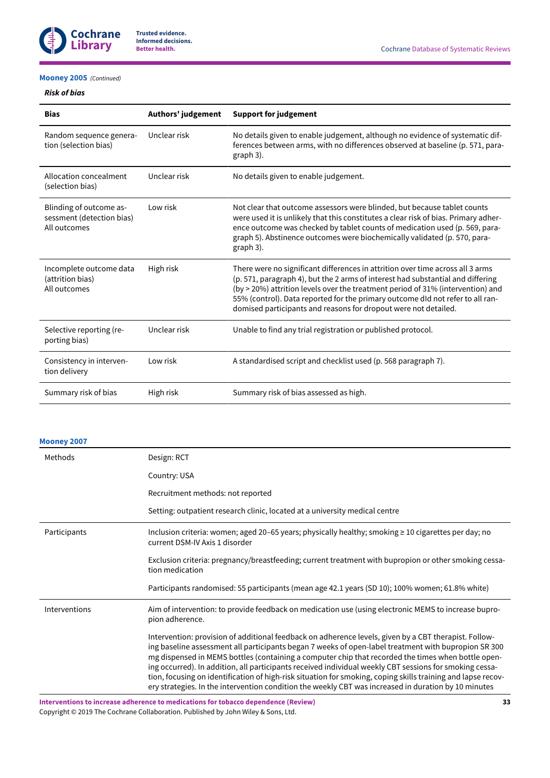

# **[Mooney](#page-24-2) 2005**  *(Continued)*

# *Risk of bias*

| <b>Bias</b>                                                          | Authors' judgement | <b>Support for judgement</b>                                                                                                                                                                                                                                                                                                                                                                              |
|----------------------------------------------------------------------|--------------------|-----------------------------------------------------------------------------------------------------------------------------------------------------------------------------------------------------------------------------------------------------------------------------------------------------------------------------------------------------------------------------------------------------------|
| Random sequence genera-<br>tion (selection bias)                     | Unclear risk       | No details given to enable judgement, although no evidence of systematic dif-<br>ferences between arms, with no differences observed at baseline (p. 571, para-<br>graph 3).                                                                                                                                                                                                                              |
| Allocation concealment<br>(selection bias)                           | Unclear risk       | No details given to enable judgement.                                                                                                                                                                                                                                                                                                                                                                     |
| Blinding of outcome as-<br>sessment (detection bias)<br>All outcomes | Low risk           | Not clear that outcome assessors were blinded, but because tablet counts<br>were used it is unlikely that this constitutes a clear risk of bias. Primary adher-<br>ence outcome was checked by tablet counts of medication used (p. 569, para-<br>graph 5). Abstinence outcomes were biochemically validated (p. 570, para-<br>graph 3).                                                                  |
| Incomplete outcome data<br>(attrition bias)<br>All outcomes          | High risk          | There were no significant differences in attrition over time across all 3 arms<br>(p. 571, paragraph 4), but the 2 arms of interest had substantial and differing<br>(by > 20%) attrition levels over the treatment period of 31% (intervention) and<br>55% (control). Data reported for the primary outcome dId not refer to all ran-<br>domised participants and reasons for dropout were not detailed. |
| Selective reporting (re-<br>porting bias)                            | Unclear risk       | Unable to find any trial registration or published protocol.                                                                                                                                                                                                                                                                                                                                              |
| Consistency in interven-<br>tion delivery                            | Low risk           | A standardised script and checklist used (p. 568 paragraph 7).                                                                                                                                                                                                                                                                                                                                            |
| Summary risk of bias                                                 | High risk          | Summary risk of bias assessed as high.                                                                                                                                                                                                                                                                                                                                                                    |

# **[Mooney](#page-24-10) 2007**

| Methods       | Design: RCT                                                                                                                                                                                                                                                                                                                                                                                                                                                                                                                                                                                                                                            |  |
|---------------|--------------------------------------------------------------------------------------------------------------------------------------------------------------------------------------------------------------------------------------------------------------------------------------------------------------------------------------------------------------------------------------------------------------------------------------------------------------------------------------------------------------------------------------------------------------------------------------------------------------------------------------------------------|--|
|               | Country: USA                                                                                                                                                                                                                                                                                                                                                                                                                                                                                                                                                                                                                                           |  |
|               | Recruitment methods: not reported                                                                                                                                                                                                                                                                                                                                                                                                                                                                                                                                                                                                                      |  |
|               | Setting: outpatient research clinic, located at a university medical centre                                                                                                                                                                                                                                                                                                                                                                                                                                                                                                                                                                            |  |
| Participants  | Inclusion criteria: women; aged 20–65 years; physically healthy; smoking $\geq 10$ cigarettes per day; no<br>current DSM-IV Axis 1 disorder                                                                                                                                                                                                                                                                                                                                                                                                                                                                                                            |  |
|               | Exclusion criteria: pregnancy/breastfeeding; current treatment with bupropion or other smoking cessa-<br>tion medication                                                                                                                                                                                                                                                                                                                                                                                                                                                                                                                               |  |
|               | Participants randomised: 55 participants (mean age 42.1 years (SD 10); 100% women; 61.8% white)                                                                                                                                                                                                                                                                                                                                                                                                                                                                                                                                                        |  |
| Interventions | Aim of intervention: to provide feedback on medication use (using electronic MEMS to increase bupro-<br>pion adherence.                                                                                                                                                                                                                                                                                                                                                                                                                                                                                                                                |  |
|               | Intervention: provision of additional feedback on adherence levels, given by a CBT therapist. Follow-<br>ing baseline assessment all participants began 7 weeks of open-label treatment with bupropion SR 300<br>mg dispensed in MEMS bottles (containing a computer chip that recorded the times when bottle open-<br>ing occurred). In addition, all participants received individual weekly CBT sessions for smoking cessa-<br>tion, focusing on identification of high-risk situation for smoking, coping skills training and lapse recov-<br>ery strategies. In the intervention condition the weekly CBT was increased in duration by 10 minutes |  |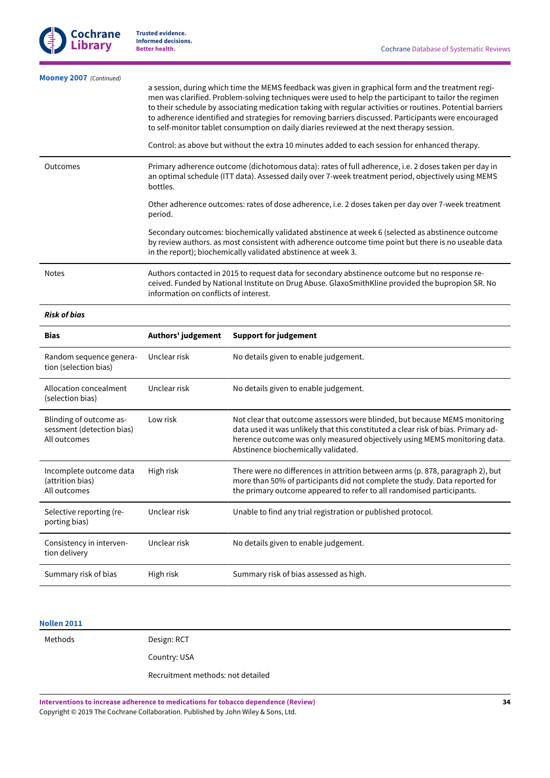| <b>Mooney 2007</b> (Continued) | a session, during which time the MEMS feedback was given in graphical form and the treatment regi-<br>men was clarified. Problem-solving techniques were used to help the participant to tailor the regimen<br>to their schedule by associating medication taking with regular activities or routines. Potential barriers<br>to adherence identified and strategies for removing barriers discussed. Participants were encouraged<br>to self-monitor tablet consumption on daily diaries reviewed at the next therapy session.<br>Control: as above but without the extra 10 minutes added to each session for enhanced therapy. |
|--------------------------------|----------------------------------------------------------------------------------------------------------------------------------------------------------------------------------------------------------------------------------------------------------------------------------------------------------------------------------------------------------------------------------------------------------------------------------------------------------------------------------------------------------------------------------------------------------------------------------------------------------------------------------|
| Outcomes                       | Primary adherence outcome (dichotomous data): rates of full adherence, i.e. 2 doses taken per day in<br>an optimal schedule (ITT data). Assessed daily over 7-week treatment period, objectively using MEMS<br>bottles.                                                                                                                                                                                                                                                                                                                                                                                                          |
|                                | Other adherence outcomes: rates of dose adherence, i.e. 2 doses taken per day over 7-week treatment<br>period.                                                                                                                                                                                                                                                                                                                                                                                                                                                                                                                   |
|                                | Secondary outcomes: biochemically validated abstinence at week 6 (selected as abstinence outcome<br>by review authors. as most consistent with adherence outcome time point but there is no useable data<br>in the report); biochemically validated abstinence at week 3.                                                                                                                                                                                                                                                                                                                                                        |
| <b>Notes</b>                   | Authors contacted in 2015 to request data for secondary abstinence outcome but no response re-<br>ceived. Funded by National Institute on Drug Abuse. GlaxoSmithKline provided the bupropion SR. No<br>information on conflicts of interest.                                                                                                                                                                                                                                                                                                                                                                                     |

# *Risk of bias*

| <b>Bias</b>                                                          | Authors' judgement | <b>Support for judgement</b>                                                                                                                                                                                                                                                        |
|----------------------------------------------------------------------|--------------------|-------------------------------------------------------------------------------------------------------------------------------------------------------------------------------------------------------------------------------------------------------------------------------------|
| Random sequence genera-<br>tion (selection bias)                     | Unclear risk       | No details given to enable judgement.                                                                                                                                                                                                                                               |
| Allocation concealment<br>(selection bias)                           | Unclear risk       | No details given to enable judgement.                                                                                                                                                                                                                                               |
| Blinding of outcome as-<br>sessment (detection bias)<br>All outcomes | Low risk           | Not clear that outcome assessors were blinded, but because MEMS monitoring<br>data used it was unlikely that this constituted a clear risk of bias. Primary ad-<br>herence outcome was only measured objectively using MEMS monitoring data.<br>Abstinence biochemically validated. |
| Incomplete outcome data<br>(attrition bias)<br>All outcomes          | High risk          | There were no differences in attrition between arms (p. 878, paragraph 2), but<br>more than 50% of participants did not complete the study. Data reported for<br>the primary outcome appeared to refer to all randomised participants.                                              |
| Selective reporting (re-<br>porting bias)                            | Unclear risk       | Unable to find any trial registration or published protocol.                                                                                                                                                                                                                        |
| Consistency in interven-<br>tion delivery                            | Unclear risk       | No details given to enable judgement.                                                                                                                                                                                                                                               |
| Summary risk of bias                                                 | High risk          | Summary risk of bias assessed as high.                                                                                                                                                                                                                                              |

# **[Nollen 2011](#page-24-3)**

Methods Design: RCT

Country: USA

Recruitment methods: not detailed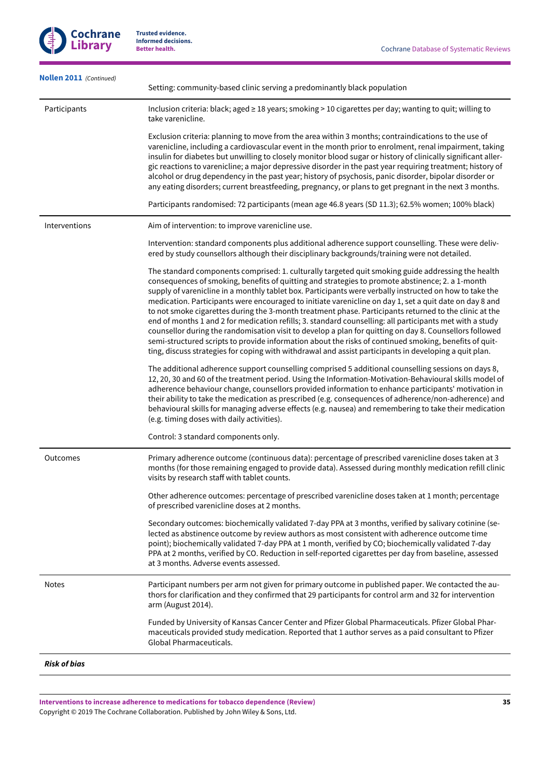

| Nollen 2011 (Continued) | Setting: community-based clinic serving a predominantly black population                                                                                                                                                                                                                                                                                                                                                                                                                                                                                                                                                                                                                                                                                                                                                                                                                                                                                                          |
|-------------------------|-----------------------------------------------------------------------------------------------------------------------------------------------------------------------------------------------------------------------------------------------------------------------------------------------------------------------------------------------------------------------------------------------------------------------------------------------------------------------------------------------------------------------------------------------------------------------------------------------------------------------------------------------------------------------------------------------------------------------------------------------------------------------------------------------------------------------------------------------------------------------------------------------------------------------------------------------------------------------------------|
| Participants            | Inclusion criteria: black; aged ≥ 18 years; smoking > 10 cigarettes per day; wanting to quit; willing to<br>take varenicline.                                                                                                                                                                                                                                                                                                                                                                                                                                                                                                                                                                                                                                                                                                                                                                                                                                                     |
|                         | Exclusion criteria: planning to move from the area within 3 months; contraindications to the use of<br>varenicline, including a cardiovascular event in the month prior to enrolment, renal impairment, taking<br>insulin for diabetes but unwilling to closely monitor blood sugar or history of clinically significant aller-<br>gic reactions to varenicline; a major depressive disorder in the past year requiring treatment; history of<br>alcohol or drug dependency in the past year; history of psychosis, panic disorder, bipolar disorder or<br>any eating disorders; current breastfeeding, pregnancy, or plans to get pregnant in the next 3 months.                                                                                                                                                                                                                                                                                                                 |
|                         | Participants randomised: 72 participants (mean age 46.8 years (SD 11.3); 62.5% women; 100% black)                                                                                                                                                                                                                                                                                                                                                                                                                                                                                                                                                                                                                                                                                                                                                                                                                                                                                 |
| Interventions           | Aim of intervention: to improve varenicline use.                                                                                                                                                                                                                                                                                                                                                                                                                                                                                                                                                                                                                                                                                                                                                                                                                                                                                                                                  |
|                         | Intervention: standard components plus additional adherence support counselling. These were deliv-<br>ered by study counsellors although their disciplinary backgrounds/training were not detailed.                                                                                                                                                                                                                                                                                                                                                                                                                                                                                                                                                                                                                                                                                                                                                                               |
|                         | The standard components comprised: 1. culturally targeted quit smoking guide addressing the health<br>consequences of smoking, benefits of quitting and strategies to promote abstinence; 2. a 1-month<br>supply of varenicline in a monthly tablet box. Participants were verbally instructed on how to take the<br>medication. Participants were encouraged to initiate varenicline on day 1, set a quit date on day 8 and<br>to not smoke cigarettes during the 3-month treatment phase. Participants returned to the clinic at the<br>end of months 1 and 2 for medication refills; 3. standard counselling: all participants met with a study<br>counsellor during the randomisation visit to develop a plan for quitting on day 8. Counsellors followed<br>semi-structured scripts to provide information about the risks of continued smoking, benefits of quit-<br>ting, discuss strategies for coping with withdrawal and assist participants in developing a quit plan. |
|                         | The additional adherence support counselling comprised 5 additional counselling sessions on days 8,<br>12, 20, 30 and 60 of the treatment period. Using the Information-Motivation-Behavioural skills model of<br>adherence behaviour change, counsellors provided information to enhance participants' motivation in<br>their ability to take the medication as prescribed (e.g. consequences of adherence/non-adherence) and<br>behavioural skills for managing adverse effects (e.g. nausea) and remembering to take their medication<br>(e.g. timing doses with daily activities).                                                                                                                                                                                                                                                                                                                                                                                            |
|                         | Control: 3 standard components only.                                                                                                                                                                                                                                                                                                                                                                                                                                                                                                                                                                                                                                                                                                                                                                                                                                                                                                                                              |
| Outcomes                | Primary adherence outcome (continuous data): percentage of prescribed varenicline doses taken at 3<br>months (for those remaining engaged to provide data). Assessed during monthly medication refill clinic<br>visits by research staff with tablet counts.                                                                                                                                                                                                                                                                                                                                                                                                                                                                                                                                                                                                                                                                                                                      |
|                         | Other adherence outcomes: percentage of prescribed varenicline doses taken at 1 month; percentage<br>of prescribed varenicline doses at 2 months.                                                                                                                                                                                                                                                                                                                                                                                                                                                                                                                                                                                                                                                                                                                                                                                                                                 |
|                         | Secondary outcomes: biochemically validated 7-day PPA at 3 months, verified by salivary cotinine (se-<br>lected as abstinence outcome by review authors as most consistent with adherence outcome time<br>point); biochemically validated 7-day PPA at 1 month, verified by CO; biochemically validated 7-day<br>PPA at 2 months, verified by CO. Reduction in self-reported cigarettes per day from baseline, assessed<br>at 3 months. Adverse events assessed.                                                                                                                                                                                                                                                                                                                                                                                                                                                                                                                  |
| <b>Notes</b>            | Participant numbers per arm not given for primary outcome in published paper. We contacted the au-<br>thors for clarification and they confirmed that 29 participants for control arm and 32 for intervention<br>arm (August 2014).                                                                                                                                                                                                                                                                                                                                                                                                                                                                                                                                                                                                                                                                                                                                               |
|                         | Funded by University of Kansas Cancer Center and Pfizer Global Pharmaceuticals. Pfizer Global Phar-<br>maceuticals provided study medication. Reported that 1 author serves as a paid consultant to Pfizer<br><b>Global Pharmaceuticals.</b>                                                                                                                                                                                                                                                                                                                                                                                                                                                                                                                                                                                                                                                                                                                                      |
| <b>Risk of bias</b>     |                                                                                                                                                                                                                                                                                                                                                                                                                                                                                                                                                                                                                                                                                                                                                                                                                                                                                                                                                                                   |
|                         |                                                                                                                                                                                                                                                                                                                                                                                                                                                                                                                                                                                                                                                                                                                                                                                                                                                                                                                                                                                   |

**Interventions to increase adherence to medications for tobacco dependence (Review)** Copyright © 2019 The Cochrane Collaboration. Published by John Wiley & Sons, Ltd.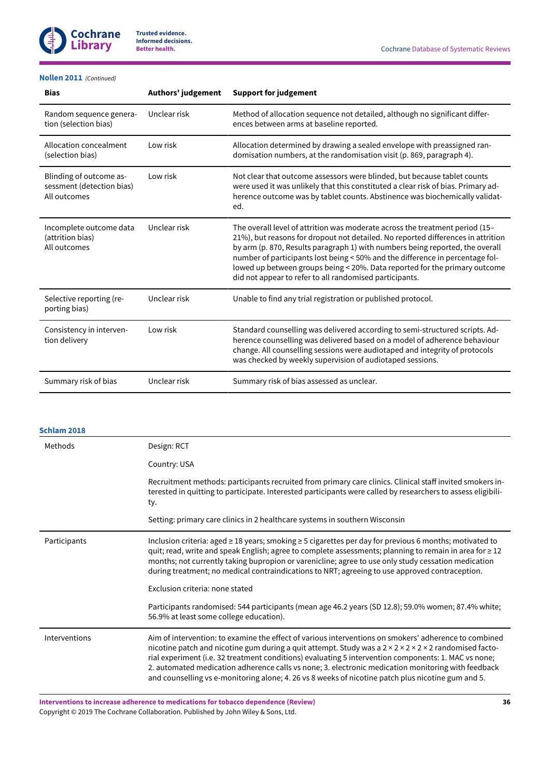

# **[Nollen 2011](#page-24-3)**  *(Continued)*

| <b>Bias</b>                                                          | <b>Authors' judgement</b> | <b>Support for judgement</b>                                                                                                                                                                                                                                                                                                                                                                                                                                                |
|----------------------------------------------------------------------|---------------------------|-----------------------------------------------------------------------------------------------------------------------------------------------------------------------------------------------------------------------------------------------------------------------------------------------------------------------------------------------------------------------------------------------------------------------------------------------------------------------------|
| Random sequence genera-<br>tion (selection bias)                     | Unclear risk              | Method of allocation sequence not detailed, although no significant differ-<br>ences between arms at baseline reported.                                                                                                                                                                                                                                                                                                                                                     |
| Allocation concealment<br>(selection bias)                           | Low risk                  | Allocation determined by drawing a sealed envelope with preassigned ran-<br>domisation numbers, at the randomisation visit (p. 869, paragraph 4).                                                                                                                                                                                                                                                                                                                           |
| Blinding of outcome as-<br>sessment (detection bias)<br>All outcomes | Low risk                  | Not clear that outcome assessors were blinded, but because tablet counts<br>were used it was unlikely that this constituted a clear risk of bias. Primary ad-<br>herence outcome was by tablet counts. Abstinence was biochemically validat-<br>ed.                                                                                                                                                                                                                         |
| Incomplete outcome data<br>(attrition bias)<br>All outcomes          | Unclear risk              | The overall level of attrition was moderate across the treatment period (15-<br>21%), but reasons for dropout not detailed. No reported differences in attrition<br>by arm (p. 870, Results paragraph 1) with numbers being reported, the overall<br>number of participants lost being < 50% and the difference in percentage fol-<br>lowed up between groups being < 20%. Data reported for the primary outcome<br>did not appear to refer to all randomised participants. |
| Selective reporting (re-<br>porting bias)                            | Unclear risk              | Unable to find any trial registration or published protocol.                                                                                                                                                                                                                                                                                                                                                                                                                |
| Consistency in interven-<br>tion delivery                            | Low risk                  | Standard counselling was delivered according to semi-structured scripts. Ad-<br>herence counselling was delivered based on a model of adherence behaviour<br>change. All counselling sessions were audiotaped and integrity of protocols<br>was checked by weekly supervision of audiotaped sessions.                                                                                                                                                                       |
| Summary risk of bias                                                 | Unclear risk              | Summary risk of bias assessed as unclear.                                                                                                                                                                                                                                                                                                                                                                                                                                   |

# **[Schlam 2018](#page-24-4)**

| Methods       | Design: RCT                                                                                                                                                                                                                                                                                                                                                                                                                                                                                                                                                                                                                |
|---------------|----------------------------------------------------------------------------------------------------------------------------------------------------------------------------------------------------------------------------------------------------------------------------------------------------------------------------------------------------------------------------------------------------------------------------------------------------------------------------------------------------------------------------------------------------------------------------------------------------------------------------|
|               | Country: USA                                                                                                                                                                                                                                                                                                                                                                                                                                                                                                                                                                                                               |
|               | Recruitment methods: participants recruited from primary care clinics. Clinical staff invited smokers in-<br>terested in quitting to participate. Interested participants were called by researchers to assess eligibili-<br>ty.                                                                                                                                                                                                                                                                                                                                                                                           |
|               | Setting: primary care clinics in 2 healthcare systems in southern Wisconsin                                                                                                                                                                                                                                                                                                                                                                                                                                                                                                                                                |
| Participants  | Inclusion criteria: aged $\geq 18$ years; smoking $\geq 5$ cigarettes per day for previous 6 months; motivated to<br>quit; read, write and speak English; agree to complete assessments; planning to remain in area for ≥ 12<br>months; not currently taking bupropion or varenicline; agree to use only study cessation medication<br>during treatment; no medical contraindications to NRT; agreeing to use approved contraception.<br>Exclusion criteria: none stated<br>Participants randomised: 544 participants (mean age 46.2 years (SD 12.8); 59.0% women; 87.4% white;<br>56.9% at least some college education). |
|               |                                                                                                                                                                                                                                                                                                                                                                                                                                                                                                                                                                                                                            |
| Interventions | Aim of intervention: to examine the effect of various interventions on smokers' adherence to combined<br>nicotine patch and nicotine gum during a quit attempt. Study was a $2 \times 2 \times 2 \times 2 \times 2$ randomised facto-<br>rial experiment (i.e. 32 treatment conditions) evaluating 5 intervention components: 1. MAC vs none;<br>2. automated medication adherence calls vs none; 3. electronic medication monitoring with feedback<br>and counselling vs e-monitoring alone; 4. 26 vs 8 weeks of nicotine patch plus nicotine gum and 5.                                                                  |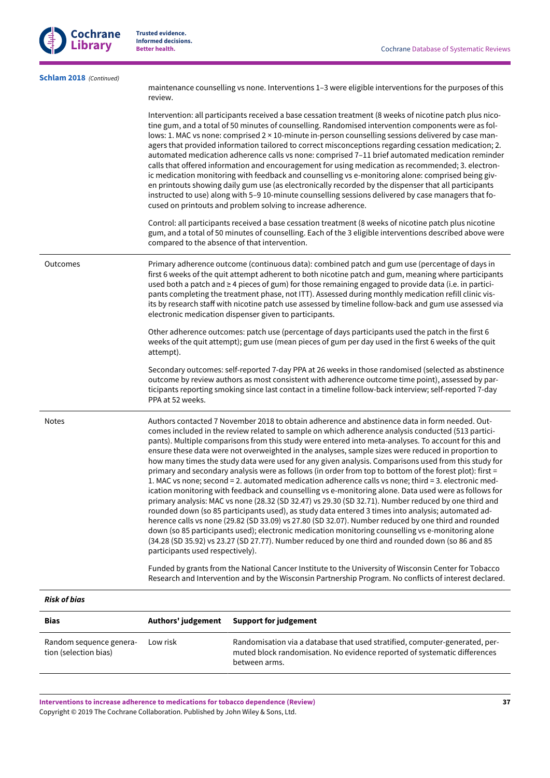

| <b>Schlam 2018</b> (Continued)                   | review.                                                                                                                                                                                                                                                                                                                                                                                                                                                                                                                                                                                                                                                                                                                                                                                                                                                                                                                                                                                                                                                                                                                                                                                                                                                                                                                                                                                                                        | maintenance counselling vs none. Interventions 1-3 were eligible interventions for the purposes of this                                                                                                                                                                                                                                                                                                                                                                                                                                                                                                                                                                                                                                                                                                                                                                                                                                                                                                                           |  |
|--------------------------------------------------|--------------------------------------------------------------------------------------------------------------------------------------------------------------------------------------------------------------------------------------------------------------------------------------------------------------------------------------------------------------------------------------------------------------------------------------------------------------------------------------------------------------------------------------------------------------------------------------------------------------------------------------------------------------------------------------------------------------------------------------------------------------------------------------------------------------------------------------------------------------------------------------------------------------------------------------------------------------------------------------------------------------------------------------------------------------------------------------------------------------------------------------------------------------------------------------------------------------------------------------------------------------------------------------------------------------------------------------------------------------------------------------------------------------------------------|-----------------------------------------------------------------------------------------------------------------------------------------------------------------------------------------------------------------------------------------------------------------------------------------------------------------------------------------------------------------------------------------------------------------------------------------------------------------------------------------------------------------------------------------------------------------------------------------------------------------------------------------------------------------------------------------------------------------------------------------------------------------------------------------------------------------------------------------------------------------------------------------------------------------------------------------------------------------------------------------------------------------------------------|--|
|                                                  |                                                                                                                                                                                                                                                                                                                                                                                                                                                                                                                                                                                                                                                                                                                                                                                                                                                                                                                                                                                                                                                                                                                                                                                                                                                                                                                                                                                                                                | Intervention: all participants received a base cessation treatment (8 weeks of nicotine patch plus nico-<br>tine gum, and a total of 50 minutes of counselling. Randomised intervention components were as fol-<br>lows: 1. MAC vs none: comprised 2 × 10-minute in-person counselling sessions delivered by case man-<br>agers that provided information tailored to correct misconceptions regarding cessation medication; 2.<br>automated medication adherence calls vs none: comprised 7-11 brief automated medication reminder<br>calls that offered information and encouragement for using medication as recommended; 3. electron-<br>ic medication monitoring with feedback and counselling vs e-monitoring alone: comprised being giv-<br>en printouts showing daily gum use (as electronically recorded by the dispenser that all participants<br>instructed to use) along with 5-9 10-minute counselling sessions delivered by case managers that fo-<br>cused on printouts and problem solving to increase adherence. |  |
|                                                  |                                                                                                                                                                                                                                                                                                                                                                                                                                                                                                                                                                                                                                                                                                                                                                                                                                                                                                                                                                                                                                                                                                                                                                                                                                                                                                                                                                                                                                | Control: all participants received a base cessation treatment (8 weeks of nicotine patch plus nicotine<br>gum, and a total of 50 minutes of counselling. Each of the 3 eligible interventions described above were<br>compared to the absence of that intervention.                                                                                                                                                                                                                                                                                                                                                                                                                                                                                                                                                                                                                                                                                                                                                               |  |
| Outcomes                                         | Primary adherence outcome (continuous data): combined patch and gum use (percentage of days in<br>first 6 weeks of the quit attempt adherent to both nicotine patch and gum, meaning where participants<br>used both a patch and $\geq$ 4 pieces of gum) for those remaining engaged to provide data (i.e. in partici-<br>pants completing the treatment phase, not ITT). Assessed during monthly medication refill clinic vis-<br>its by research staff with nicotine patch use assessed by timeline follow-back and gum use assessed via<br>electronic medication dispenser given to participants.                                                                                                                                                                                                                                                                                                                                                                                                                                                                                                                                                                                                                                                                                                                                                                                                                           |                                                                                                                                                                                                                                                                                                                                                                                                                                                                                                                                                                                                                                                                                                                                                                                                                                                                                                                                                                                                                                   |  |
|                                                  | attempt).                                                                                                                                                                                                                                                                                                                                                                                                                                                                                                                                                                                                                                                                                                                                                                                                                                                                                                                                                                                                                                                                                                                                                                                                                                                                                                                                                                                                                      | Other adherence outcomes: patch use (percentage of days participants used the patch in the first 6<br>weeks of the quit attempt); gum use (mean pieces of gum per day used in the first 6 weeks of the quit                                                                                                                                                                                                                                                                                                                                                                                                                                                                                                                                                                                                                                                                                                                                                                                                                       |  |
|                                                  | PPA at 52 weeks.                                                                                                                                                                                                                                                                                                                                                                                                                                                                                                                                                                                                                                                                                                                                                                                                                                                                                                                                                                                                                                                                                                                                                                                                                                                                                                                                                                                                               | Secondary outcomes: self-reported 7-day PPA at 26 weeks in those randomised (selected as abstinence<br>outcome by review authors as most consistent with adherence outcome time point), assessed by par-<br>ticipants reporting smoking since last contact in a timeline follow-back interview; self-reported 7-day                                                                                                                                                                                                                                                                                                                                                                                                                                                                                                                                                                                                                                                                                                               |  |
| <b>Notes</b>                                     | Authors contacted 7 November 2018 to obtain adherence and abstinence data in form needed. Out-<br>comes included in the review related to sample on which adherence analysis conducted (513 partici-<br>pants). Multiple comparisons from this study were entered into meta-analyses. To account for this and<br>ensure these data were not overweighted in the analyses, sample sizes were reduced in proportion to<br>how many times the study data were used for any given analysis. Comparisons used from this study for<br>primary and secondary analysis were as follows (in order from top to bottom of the forest plot): first =<br>1. MAC vs none; second = 2. automated medication adherence calls vs none; third = 3. electronic med-<br>ication monitoring with feedback and counselling vs e-monitoring alone. Data used were as follows for<br>primary analysis: MAC vs none (28.32 (SD 32.47) vs 29.30 (SD 32.71). Number reduced by one third and<br>rounded down (so 85 participants used), as study data entered 3 times into analysis; automated ad-<br>herence calls vs none (29.82 (SD 33.09) vs 27.80 (SD 32.07). Number reduced by one third and rounded<br>down (so 85 participants used); electronic medication monitoring counselling vs e-monitoring alone<br>(34.28 (SD 35.92) vs 23.27 (SD 27.77). Number reduced by one third and rounded down (so 86 and 85<br>participants used respectively). |                                                                                                                                                                                                                                                                                                                                                                                                                                                                                                                                                                                                                                                                                                                                                                                                                                                                                                                                                                                                                                   |  |
|                                                  |                                                                                                                                                                                                                                                                                                                                                                                                                                                                                                                                                                                                                                                                                                                                                                                                                                                                                                                                                                                                                                                                                                                                                                                                                                                                                                                                                                                                                                | Funded by grants from the National Cancer Institute to the University of Wisconsin Center for Tobacco<br>Research and Intervention and by the Wisconsin Partnership Program. No conflicts of interest declared.                                                                                                                                                                                                                                                                                                                                                                                                                                                                                                                                                                                                                                                                                                                                                                                                                   |  |
| <b>Risk of bias</b>                              |                                                                                                                                                                                                                                                                                                                                                                                                                                                                                                                                                                                                                                                                                                                                                                                                                                                                                                                                                                                                                                                                                                                                                                                                                                                                                                                                                                                                                                |                                                                                                                                                                                                                                                                                                                                                                                                                                                                                                                                                                                                                                                                                                                                                                                                                                                                                                                                                                                                                                   |  |
| <b>Bias</b>                                      | Authors' judgement                                                                                                                                                                                                                                                                                                                                                                                                                                                                                                                                                                                                                                                                                                                                                                                                                                                                                                                                                                                                                                                                                                                                                                                                                                                                                                                                                                                                             | <b>Support for judgement</b>                                                                                                                                                                                                                                                                                                                                                                                                                                                                                                                                                                                                                                                                                                                                                                                                                                                                                                                                                                                                      |  |
| Random sequence genera-<br>tion (selection bias) | Low risk                                                                                                                                                                                                                                                                                                                                                                                                                                                                                                                                                                                                                                                                                                                                                                                                                                                                                                                                                                                                                                                                                                                                                                                                                                                                                                                                                                                                                       | Randomisation via a database that used stratified, computer-generated, per-<br>muted block randomisation. No evidence reported of systematic differences<br>between arms.                                                                                                                                                                                                                                                                                                                                                                                                                                                                                                                                                                                                                                                                                                                                                                                                                                                         |  |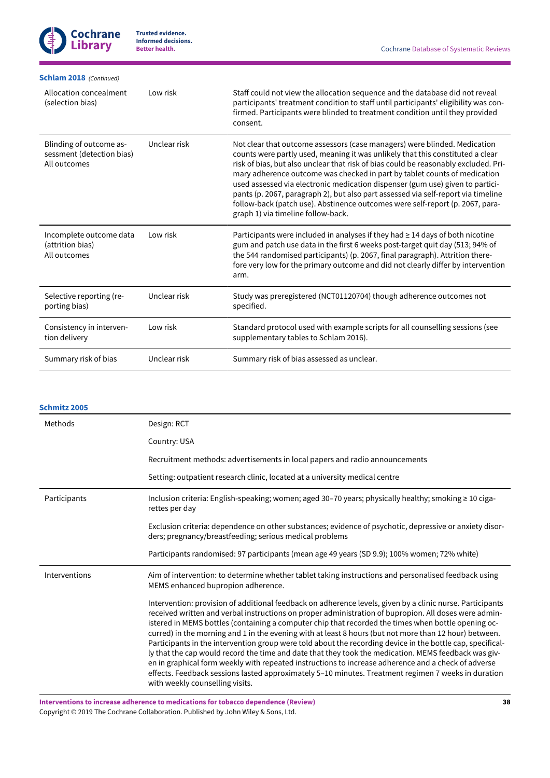| <b>Cochrane</b><br>∟ibrarv                                           | <b>Trusted evidence.</b><br><b>Informed decisions.</b><br><b>Better health.</b> | <b>Cochrane Database of Systematic Reviews</b>                                                                                                                                                                                                                                                                                                                                                                                                                                                                                                                                                                               |
|----------------------------------------------------------------------|---------------------------------------------------------------------------------|------------------------------------------------------------------------------------------------------------------------------------------------------------------------------------------------------------------------------------------------------------------------------------------------------------------------------------------------------------------------------------------------------------------------------------------------------------------------------------------------------------------------------------------------------------------------------------------------------------------------------|
| <b>Schlam 2018</b> (Continued)                                       |                                                                                 |                                                                                                                                                                                                                                                                                                                                                                                                                                                                                                                                                                                                                              |
| Allocation concealment<br>(selection bias)                           | Low risk                                                                        | Staff could not view the allocation sequence and the database did not reveal<br>participants' treatment condition to staff until participants' eligibility was con-<br>firmed. Participants were blinded to treatment condition until they provided<br>consent.                                                                                                                                                                                                                                                                                                                                                              |
| Blinding of outcome as-<br>sessment (detection bias)<br>All outcomes | Unclear risk                                                                    | Not clear that outcome assessors (case managers) were blinded. Medication<br>counts were partly used, meaning it was unlikely that this constituted a clear<br>risk of bias, but also unclear that risk of bias could be reasonably excluded. Pri-<br>mary adherence outcome was checked in part by tablet counts of medication<br>used assessed via electronic medication dispenser (gum use) given to partici-<br>pants (p. 2067, paragraph 2), but also part assessed via self-report via timeline<br>follow-back (patch use). Abstinence outcomes were self-report (p. 2067, para-<br>graph 1) via timeline follow-back. |
| Incomplete outcome data<br>(attrition bias)<br>All outcomes          | Low risk                                                                        | Participants were included in analyses if they had $\geq$ 14 days of both nicotine<br>gum and patch use data in the first 6 weeks post-target quit day (513; 94% of<br>the 544 randomised participants) (p. 2067, final paragraph). Attrition there-<br>fore very low for the primary outcome and did not clearly differ by intervention<br>arm.                                                                                                                                                                                                                                                                             |
| Selective reporting (re-<br>porting bias)                            | Unclear risk                                                                    | Study was preregistered (NCT01120704) though adherence outcomes not<br>specified.                                                                                                                                                                                                                                                                                                                                                                                                                                                                                                                                            |
| Consistency in interven-<br>tion delivery                            | Low risk                                                                        | Standard protocol used with example scripts for all counselling sessions (see<br>supplementary tables to Schlam 2016).                                                                                                                                                                                                                                                                                                                                                                                                                                                                                                       |
| Summary risk of bias                                                 | Unclear risk                                                                    | Summary risk of bias assessed as unclear.                                                                                                                                                                                                                                                                                                                                                                                                                                                                                                                                                                                    |

| <b>Schmitz 2005</b> |                                                                                                                                                                                                                                                                                                                                                                                                                                                                                                                                                                                                                                                                                                                                                                                                                                                                                                            |
|---------------------|------------------------------------------------------------------------------------------------------------------------------------------------------------------------------------------------------------------------------------------------------------------------------------------------------------------------------------------------------------------------------------------------------------------------------------------------------------------------------------------------------------------------------------------------------------------------------------------------------------------------------------------------------------------------------------------------------------------------------------------------------------------------------------------------------------------------------------------------------------------------------------------------------------|
| Methods             | Design: RCT                                                                                                                                                                                                                                                                                                                                                                                                                                                                                                                                                                                                                                                                                                                                                                                                                                                                                                |
|                     | Country: USA                                                                                                                                                                                                                                                                                                                                                                                                                                                                                                                                                                                                                                                                                                                                                                                                                                                                                               |
|                     | Recruitment methods: advertisements in local papers and radio announcements                                                                                                                                                                                                                                                                                                                                                                                                                                                                                                                                                                                                                                                                                                                                                                                                                                |
|                     | Setting: outpatient research clinic, located at a university medical centre                                                                                                                                                                                                                                                                                                                                                                                                                                                                                                                                                                                                                                                                                                                                                                                                                                |
| Participants        | Inclusion criteria: English-speaking; women; aged 30-70 years; physically healthy; smoking ≥ 10 ciga-<br>rettes per day                                                                                                                                                                                                                                                                                                                                                                                                                                                                                                                                                                                                                                                                                                                                                                                    |
|                     | Exclusion criteria: dependence on other substances; evidence of psychotic, depressive or anxiety disor-<br>ders; pregnancy/breastfeeding; serious medical problems                                                                                                                                                                                                                                                                                                                                                                                                                                                                                                                                                                                                                                                                                                                                         |
|                     | Participants randomised: 97 participants (mean age 49 years (SD 9.9); 100% women; 72% white)                                                                                                                                                                                                                                                                                                                                                                                                                                                                                                                                                                                                                                                                                                                                                                                                               |
| Interventions       | Aim of intervention: to determine whether tablet taking instructions and personalised feedback using<br>MEMS enhanced bupropion adherence.                                                                                                                                                                                                                                                                                                                                                                                                                                                                                                                                                                                                                                                                                                                                                                 |
|                     | Intervention: provision of additional feedback on adherence levels, given by a clinic nurse. Participants<br>received written and verbal instructions on proper administration of bupropion. All doses were admin-<br>istered in MEMS bottles (containing a computer chip that recorded the times when bottle opening oc-<br>curred) in the morning and 1 in the evening with at least 8 hours (but not more than 12 hour) between.<br>Participants in the intervention group were told about the recording device in the bottle cap, specifical-<br>ly that the cap would record the time and date that they took the medication. MEMS feedback was giv-<br>en in graphical form weekly with repeated instructions to increase adherence and a check of adverse<br>effects. Feedback sessions lasted approximately 5-10 minutes. Treatment regimen 7 weeks in duration<br>with weekly counselling visits. |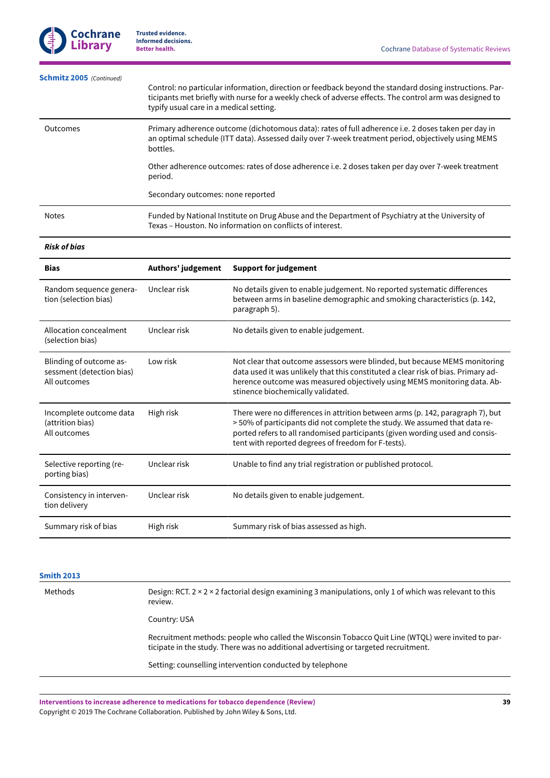

| <b>Schmitz 2005</b> (Continued) |                                                                                                                                                                                                                                                               |
|---------------------------------|---------------------------------------------------------------------------------------------------------------------------------------------------------------------------------------------------------------------------------------------------------------|
|                                 | Control: no particular information, direction or feedback beyond the standard dosing instructions. Par-<br>ticipants met briefly with nurse for a weekly check of adverse effects. The control arm was designed to<br>typify usual care in a medical setting. |
| <b>Outcomes</b>                 | Primary adherence outcome (dichotomous data): rates of full adherence i.e. 2 doses taken per day in<br>an optimal schedule (ITT data). Assessed daily over 7-week treatment period, objectively using MEMS<br>bottles.                                        |
|                                 | Other adherence outcomes: rates of dose adherence i.e. 2 doses taken per day over 7-week treatment<br>period.                                                                                                                                                 |
|                                 | Secondary outcomes: none reported                                                                                                                                                                                                                             |
| <b>Notes</b>                    | Funded by National Institute on Drug Abuse and the Department of Psychiatry at the University of<br>Texas - Houston. No information on conflicts of interest.                                                                                                 |
|                                 |                                                                                                                                                                                                                                                               |

# *Risk of bias*

| <b>Bias</b>                                                          | Authors' judgement | <b>Support for judgement</b>                                                                                                                                                                                                                                                                       |
|----------------------------------------------------------------------|--------------------|----------------------------------------------------------------------------------------------------------------------------------------------------------------------------------------------------------------------------------------------------------------------------------------------------|
| Random sequence genera-<br>tion (selection bias)                     | Unclear risk       | No details given to enable judgement. No reported systematic differences<br>between arms in baseline demographic and smoking characteristics (p. 142,<br>paragraph 5).                                                                                                                             |
| Allocation concealment<br>(selection bias)                           | Unclear risk       | No details given to enable judgement.                                                                                                                                                                                                                                                              |
| Blinding of outcome as-<br>sessment (detection bias)<br>All outcomes | Low risk           | Not clear that outcome assessors were blinded, but because MEMS monitoring<br>data used it was unlikely that this constituted a clear risk of bias. Primary ad-<br>herence outcome was measured objectively using MEMS monitoring data. Ab-<br>stinence biochemically validated.                   |
| Incomplete outcome data<br>(attrition bias)<br>All outcomes          | High risk          | There were no differences in attrition between arms (p. 142, paragraph 7), but<br>>50% of participants did not complete the study. We assumed that data re-<br>ported refers to all randomised participants (given wording used and consis-<br>tent with reported degrees of freedom for F-tests). |
| Selective reporting (re-<br>porting bias)                            | Unclear risk       | Unable to find any trial registration or published protocol.                                                                                                                                                                                                                                       |
| Consistency in interven-<br>tion delivery                            | Unclear risk       | No details given to enable judgement.                                                                                                                                                                                                                                                              |
| Summary risk of bias                                                 | High risk          | Summary risk of bias assessed as high.                                                                                                                                                                                                                                                             |

# **[Smith 2013](#page-24-5)**

| Methods | Design: RCT. $2 \times 2 \times 2$ factorial design examining 3 manipulations, only 1 of which was relevant to this<br>review.                                                            |
|---------|-------------------------------------------------------------------------------------------------------------------------------------------------------------------------------------------|
|         | Country: USA                                                                                                                                                                              |
|         | Recruitment methods: people who called the Wisconsin Tobacco Quit Line (WTQL) were invited to par-<br>ticipate in the study. There was no additional advertising or targeted recruitment. |
|         | Setting: counselling intervention conducted by telephone                                                                                                                                  |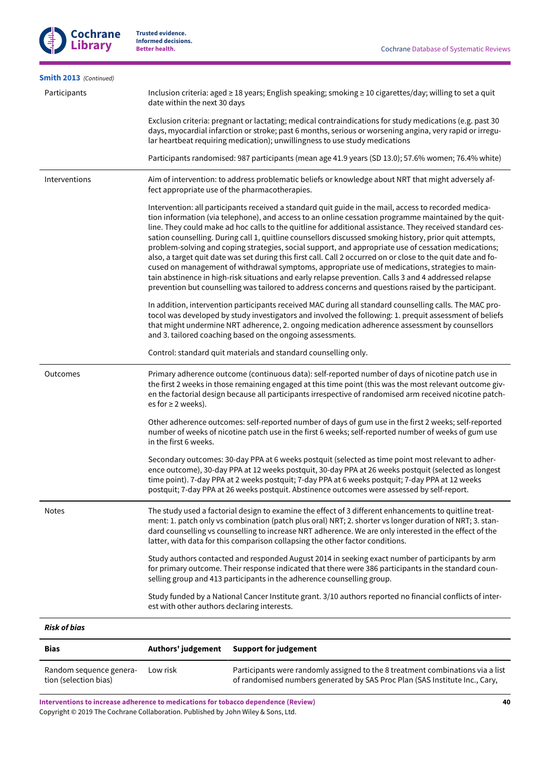**Library**

| <b>Smith 2013</b> (Continued)                    |                                                                                                                                                                                                                                                                                                                                                                                                               |                                                                                                                                                                                                                                                                                                                                                                                                                                                                                                                                                                                                                                                                                                                                                                                                                                                                                                                                                                                     |
|--------------------------------------------------|---------------------------------------------------------------------------------------------------------------------------------------------------------------------------------------------------------------------------------------------------------------------------------------------------------------------------------------------------------------------------------------------------------------|-------------------------------------------------------------------------------------------------------------------------------------------------------------------------------------------------------------------------------------------------------------------------------------------------------------------------------------------------------------------------------------------------------------------------------------------------------------------------------------------------------------------------------------------------------------------------------------------------------------------------------------------------------------------------------------------------------------------------------------------------------------------------------------------------------------------------------------------------------------------------------------------------------------------------------------------------------------------------------------|
| Participants                                     | date within the next 30 days                                                                                                                                                                                                                                                                                                                                                                                  | Inclusion criteria: aged ≥ 18 years; English speaking; smoking ≥ 10 cigarettes/day; willing to set a quit                                                                                                                                                                                                                                                                                                                                                                                                                                                                                                                                                                                                                                                                                                                                                                                                                                                                           |
|                                                  |                                                                                                                                                                                                                                                                                                                                                                                                               | Exclusion criteria: pregnant or lactating; medical contraindications for study medications (e.g. past 30<br>days, myocardial infarction or stroke; past 6 months, serious or worsening angina, very rapid or irregu-<br>lar heartbeat requiring medication); unwillingness to use study medications                                                                                                                                                                                                                                                                                                                                                                                                                                                                                                                                                                                                                                                                                 |
|                                                  |                                                                                                                                                                                                                                                                                                                                                                                                               | Participants randomised: 987 participants (mean age 41.9 years (SD 13.0); 57.6% women; 76.4% white)                                                                                                                                                                                                                                                                                                                                                                                                                                                                                                                                                                                                                                                                                                                                                                                                                                                                                 |
| Interventions                                    |                                                                                                                                                                                                                                                                                                                                                                                                               | Aim of intervention: to address problematic beliefs or knowledge about NRT that might adversely af-<br>fect appropriate use of the pharmacotherapies.                                                                                                                                                                                                                                                                                                                                                                                                                                                                                                                                                                                                                                                                                                                                                                                                                               |
|                                                  |                                                                                                                                                                                                                                                                                                                                                                                                               | Intervention: all participants received a standard quit guide in the mail, access to recorded medica-<br>tion information (via telephone), and access to an online cessation programme maintained by the quit-<br>line. They could make ad hoc calls to the quitline for additional assistance. They received standard ces-<br>sation counselling. During call 1, quitline counsellors discussed smoking history, prior quit attempts,<br>problem-solving and coping strategies, social support, and appropriate use of cessation medications;<br>also, a target quit date was set during this first call. Call 2 occurred on or close to the quit date and fo-<br>cused on management of withdrawal symptoms, appropriate use of medications, strategies to main-<br>tain abstinence in high-risk situations and early relapse prevention. Calls 3 and 4 addressed relapse<br>prevention but counselling was tailored to address concerns and questions raised by the participant. |
|                                                  |                                                                                                                                                                                                                                                                                                                                                                                                               | In addition, intervention participants received MAC during all standard counselling calls. The MAC pro-<br>tocol was developed by study investigators and involved the following: 1. prequit assessment of beliefs<br>that might undermine NRT adherence, 2. ongoing medication adherence assessment by counsellors<br>and 3. tailored coaching based on the ongoing assessments.                                                                                                                                                                                                                                                                                                                                                                                                                                                                                                                                                                                                   |
|                                                  |                                                                                                                                                                                                                                                                                                                                                                                                               | Control: standard quit materials and standard counselling only.                                                                                                                                                                                                                                                                                                                                                                                                                                                                                                                                                                                                                                                                                                                                                                                                                                                                                                                     |
| Outcomes                                         | es for $\geq$ 2 weeks).                                                                                                                                                                                                                                                                                                                                                                                       | Primary adherence outcome (continuous data): self-reported number of days of nicotine patch use in<br>the first 2 weeks in those remaining engaged at this time point (this was the most relevant outcome giv-<br>en the factorial design because all participants irrespective of randomised arm received nicotine patch-                                                                                                                                                                                                                                                                                                                                                                                                                                                                                                                                                                                                                                                          |
|                                                  | in the first 6 weeks.                                                                                                                                                                                                                                                                                                                                                                                         | Other adherence outcomes: self-reported number of days of gum use in the first 2 weeks; self-reported<br>number of weeks of nicotine patch use in the first 6 weeks; self-reported number of weeks of gum use                                                                                                                                                                                                                                                                                                                                                                                                                                                                                                                                                                                                                                                                                                                                                                       |
|                                                  |                                                                                                                                                                                                                                                                                                                                                                                                               | Secondary outcomes: 30-day PPA at 6 weeks postquit (selected as time point most relevant to adher-<br>ence outcome), 30-day PPA at 12 weeks postquit, 30-day PPA at 26 weeks postquit (selected as longest<br>time point). 7-day PPA at 2 weeks postquit; 7-day PPA at 6 weeks postquit; 7-day PPA at 12 weeks<br>postquit; 7-day PPA at 26 weeks postquit. Abstinence outcomes were assessed by self-report.                                                                                                                                                                                                                                                                                                                                                                                                                                                                                                                                                                       |
| <b>Notes</b>                                     | The study used a factorial design to examine the effect of 3 different enhancements to quitline treat-<br>ment: 1. patch only vs combination (patch plus oral) NRT; 2. shorter vs longer duration of NRT; 3. stan-<br>dard counselling vs counselling to increase NRT adherence. We are only interested in the effect of the<br>latter, with data for this comparison collapsing the other factor conditions. |                                                                                                                                                                                                                                                                                                                                                                                                                                                                                                                                                                                                                                                                                                                                                                                                                                                                                                                                                                                     |
|                                                  | Study authors contacted and responded August 2014 in seeking exact number of participants by arm<br>for primary outcome. Their response indicated that there were 386 participants in the standard coun-<br>selling group and 413 participants in the adherence counselling group.                                                                                                                            |                                                                                                                                                                                                                                                                                                                                                                                                                                                                                                                                                                                                                                                                                                                                                                                                                                                                                                                                                                                     |
|                                                  | Study funded by a National Cancer Institute grant. 3/10 authors reported no financial conflicts of inter-<br>est with other authors declaring interests.                                                                                                                                                                                                                                                      |                                                                                                                                                                                                                                                                                                                                                                                                                                                                                                                                                                                                                                                                                                                                                                                                                                                                                                                                                                                     |
| <b>Risk of bias</b>                              |                                                                                                                                                                                                                                                                                                                                                                                                               |                                                                                                                                                                                                                                                                                                                                                                                                                                                                                                                                                                                                                                                                                                                                                                                                                                                                                                                                                                                     |
| Bias                                             | Authors' judgement                                                                                                                                                                                                                                                                                                                                                                                            | <b>Support for judgement</b>                                                                                                                                                                                                                                                                                                                                                                                                                                                                                                                                                                                                                                                                                                                                                                                                                                                                                                                                                        |
| Random sequence genera-<br>tion (selection bias) | Low risk                                                                                                                                                                                                                                                                                                                                                                                                      | Participants were randomly assigned to the 8 treatment combinations via a list<br>of randomised numbers generated by SAS Proc Plan (SAS Institute Inc., Cary,                                                                                                                                                                                                                                                                                                                                                                                                                                                                                                                                                                                                                                                                                                                                                                                                                       |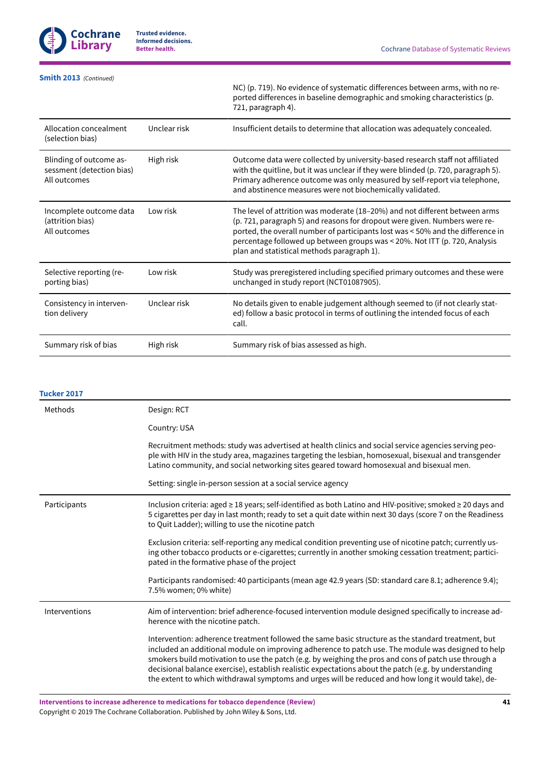

**Trusted evidence. Informed decisions.**

| <b>Smith 2013</b> (Continued)                                        |              |                                                                                                                                                                                                                                                                                                                                                                          |
|----------------------------------------------------------------------|--------------|--------------------------------------------------------------------------------------------------------------------------------------------------------------------------------------------------------------------------------------------------------------------------------------------------------------------------------------------------------------------------|
|                                                                      |              | NC) (p. 719). No evidence of systematic differences between arms, with no re-<br>ported differences in baseline demographic and smoking characteristics (p.<br>721, paragraph 4).                                                                                                                                                                                        |
| Allocation concealment<br>(selection bias)                           | Unclear risk | Insufficient details to determine that allocation was adequately concealed.                                                                                                                                                                                                                                                                                              |
| Blinding of outcome as-<br>sessment (detection bias)<br>All outcomes | High risk    | Outcome data were collected by university-based research staff not affiliated<br>with the quitline, but it was unclear if they were blinded (p. 720, paragraph 5).<br>Primary adherence outcome was only measured by self-report via telephone,<br>and abstinence measures were not biochemically validated.                                                             |
| Incomplete outcome data<br>(attrition bias)<br>All outcomes          | Low risk     | The level of attrition was moderate (18-20%) and not different between arms<br>(p. 721, paragraph 5) and reasons for dropout were given. Numbers were re-<br>ported, the overall number of participants lost was < 50% and the difference in<br>percentage followed up between groups was < 20%. Not ITT (p. 720, Analysis<br>plan and statistical methods paragraph 1). |
| Selective reporting (re-<br>porting bias)                            | Low risk     | Study was preregistered including specified primary outcomes and these were<br>unchanged in study report (NCT01087905).                                                                                                                                                                                                                                                  |
| Consistency in interven-<br>tion delivery                            | Unclear risk | No details given to enable judgement although seemed to (if not clearly stat-<br>ed) follow a basic protocol in terms of outlining the intended focus of each<br>call.                                                                                                                                                                                                   |
| Summary risk of bias                                                 | High risk    | Summary risk of bias assessed as high.                                                                                                                                                                                                                                                                                                                                   |

### **[Tucker](#page-24-6) 2017**

| Methods       | Design: RCT                                                                                                                                                                                                                                                                                                                                                                                                                                                                                                                     |
|---------------|---------------------------------------------------------------------------------------------------------------------------------------------------------------------------------------------------------------------------------------------------------------------------------------------------------------------------------------------------------------------------------------------------------------------------------------------------------------------------------------------------------------------------------|
|               | Country: USA                                                                                                                                                                                                                                                                                                                                                                                                                                                                                                                    |
|               | Recruitment methods: study was advertised at health clinics and social service agencies serving peo-<br>ple with HIV in the study area, magazines targeting the lesbian, homosexual, bisexual and transgender<br>Latino community, and social networking sites geared toward homosexual and bisexual men.<br>Setting: single in-person session at a social service agency                                                                                                                                                       |
|               |                                                                                                                                                                                                                                                                                                                                                                                                                                                                                                                                 |
| Participants  | Inclusion criteria: aged ≥ 18 years; self-identified as both Latino and HIV-positive; smoked ≥ 20 days and<br>5 cigarettes per day in last month; ready to set a quit date within next 30 days (score 7 on the Readiness<br>to Quit Ladder); willing to use the nicotine patch                                                                                                                                                                                                                                                  |
|               | Exclusion criteria: self-reporting any medical condition preventing use of nicotine patch; currently us-<br>ing other tobacco products or e-cigarettes; currently in another smoking cessation treatment; partici-<br>pated in the formative phase of the project                                                                                                                                                                                                                                                               |
|               | Participants randomised: 40 participants (mean age 42.9 years (SD: standard care 8.1; adherence 9.4);<br>7.5% women; 0% white)                                                                                                                                                                                                                                                                                                                                                                                                  |
| Interventions | Aim of intervention: brief adherence-focused intervention module designed specifically to increase ad-<br>herence with the nicotine patch.                                                                                                                                                                                                                                                                                                                                                                                      |
|               | Intervention: adherence treatment followed the same basic structure as the standard treatment, but<br>included an additional module on improving adherence to patch use. The module was designed to help<br>smokers build motivation to use the patch (e.g. by weighing the pros and cons of patch use through a<br>decisional balance exercise), establish realistic expectations about the patch (e.g. by understanding<br>the extent to which withdrawal symptoms and urges will be reduced and how long it would take), de- |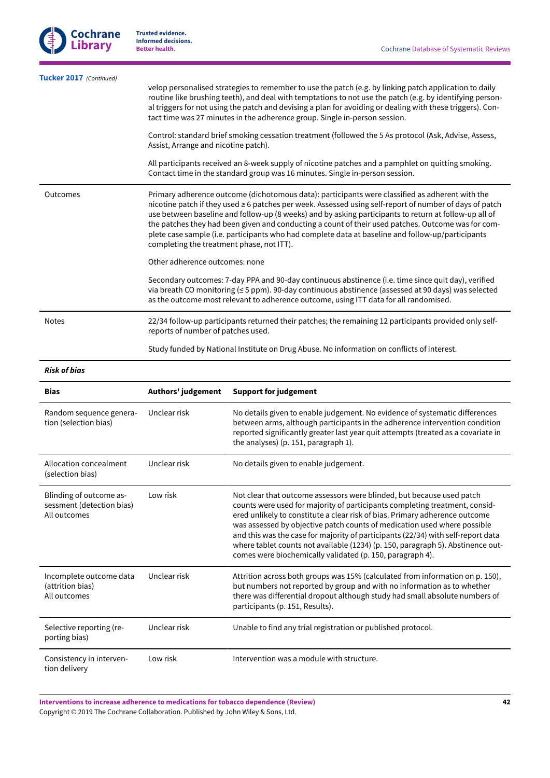

| Tucker 2017 (Continued)                          |                                                                                                                                                                                                                                                                                                                                                                                                                                                                                                                                                                             |                                                                                                                                                                                                                                                                                                                                                                                                                 |
|--------------------------------------------------|-----------------------------------------------------------------------------------------------------------------------------------------------------------------------------------------------------------------------------------------------------------------------------------------------------------------------------------------------------------------------------------------------------------------------------------------------------------------------------------------------------------------------------------------------------------------------------|-----------------------------------------------------------------------------------------------------------------------------------------------------------------------------------------------------------------------------------------------------------------------------------------------------------------------------------------------------------------------------------------------------------------|
|                                                  |                                                                                                                                                                                                                                                                                                                                                                                                                                                                                                                                                                             | velop personalised strategies to remember to use the patch (e.g. by linking patch application to daily<br>routine like brushing teeth), and deal with temptations to not use the patch (e.g. by identifying person-<br>al triggers for not using the patch and devising a plan for avoiding or dealing with these triggers). Con-<br>tact time was 27 minutes in the adherence group. Single in-person session. |
|                                                  | Assist, Arrange and nicotine patch).                                                                                                                                                                                                                                                                                                                                                                                                                                                                                                                                        | Control: standard brief smoking cessation treatment (followed the 5 As protocol (Ask, Advise, Assess,                                                                                                                                                                                                                                                                                                           |
|                                                  |                                                                                                                                                                                                                                                                                                                                                                                                                                                                                                                                                                             | All participants received an 8-week supply of nicotine patches and a pamphlet on quitting smoking.<br>Contact time in the standard group was 16 minutes. Single in-person session.                                                                                                                                                                                                                              |
| Outcomes                                         | Primary adherence outcome (dichotomous data): participants were classified as adherent with the<br>nicotine patch if they used ≥ 6 patches per week. Assessed using self-report of number of days of patch<br>use between baseline and follow-up (8 weeks) and by asking participants to return at follow-up all of<br>the patches they had been given and conducting a count of their used patches. Outcome was for com-<br>plete case sample (i.e. participants who had complete data at baseline and follow-up/participants<br>completing the treatment phase, not ITT). |                                                                                                                                                                                                                                                                                                                                                                                                                 |
|                                                  | Other adherence outcomes: none                                                                                                                                                                                                                                                                                                                                                                                                                                                                                                                                              |                                                                                                                                                                                                                                                                                                                                                                                                                 |
|                                                  |                                                                                                                                                                                                                                                                                                                                                                                                                                                                                                                                                                             | Secondary outcomes: 7-day PPA and 90-day continuous abstinence (i.e. time since quit day), verified<br>via breath CO monitoring (≤ 5 ppm). 90-day continuous abstinence (assessed at 90 days) was selected<br>as the outcome most relevant to adherence outcome, using ITT data for all randomised.                                                                                                             |
| <b>Notes</b>                                     | reports of number of patches used.                                                                                                                                                                                                                                                                                                                                                                                                                                                                                                                                          | 22/34 follow-up participants returned their patches; the remaining 12 participants provided only self-                                                                                                                                                                                                                                                                                                          |
|                                                  |                                                                                                                                                                                                                                                                                                                                                                                                                                                                                                                                                                             | Study funded by National Institute on Drug Abuse. No information on conflicts of interest.                                                                                                                                                                                                                                                                                                                      |
| <b>Risk of bias</b>                              |                                                                                                                                                                                                                                                                                                                                                                                                                                                                                                                                                                             |                                                                                                                                                                                                                                                                                                                                                                                                                 |
| <b>Bias</b>                                      | Authors' judgement                                                                                                                                                                                                                                                                                                                                                                                                                                                                                                                                                          | <b>Support for judgement</b>                                                                                                                                                                                                                                                                                                                                                                                    |
| Random sequence genera-<br>tion (selection bias) | Unclear risk                                                                                                                                                                                                                                                                                                                                                                                                                                                                                                                                                                | No details given to enable judgement. No evidence of systematic differences<br>between arms, although participants in the adherence intervention condition<br>reported significantly greater last year quit attempts (treated as a covariate in<br>the analyses) (p. 151, paragraph 1).                                                                                                                         |
| Allocation concealment<br>(selection bias)       | Unclear risk                                                                                                                                                                                                                                                                                                                                                                                                                                                                                                                                                                | No details given to enable judgement.                                                                                                                                                                                                                                                                                                                                                                           |
| ومرومهم ومستحدث والمترافية والمتناق              | بالمثمر بربما                                                                                                                                                                                                                                                                                                                                                                                                                                                                                                                                                               | وامتعمر اممون ممرزموم بالبريط الموامينا وسمرين وسمعوهم ومسمونات يتمطنونهما والممال                                                                                                                                                                                                                                                                                                                              |

| Blinding of outcome as-<br>sessment (detection bias)<br>All outcomes | Low risk     | Not clear that outcome assessors were blinded, but because used patch<br>counts were used for majority of participants completing treatment, consid-<br>ered unlikely to constitute a clear risk of bias. Primary adherence outcome<br>was assessed by objective patch counts of medication used where possible<br>and this was the case for majority of participants (22/34) with self-report data<br>where tablet counts not available (1234) (p. 150, paragraph 5). Abstinence out-<br>comes were biochemically validated (p. 150, paragraph 4). |
|----------------------------------------------------------------------|--------------|-----------------------------------------------------------------------------------------------------------------------------------------------------------------------------------------------------------------------------------------------------------------------------------------------------------------------------------------------------------------------------------------------------------------------------------------------------------------------------------------------------------------------------------------------------|
| Incomplete outcome data<br>(attrition bias)<br>All outcomes          | Unclear risk | Attrition across both groups was 15% (calculated from information on p. 150),<br>but numbers not reported by group and with no information as to whether<br>there was differential dropout although study had small absolute numbers of<br>participants (p. 151, Results).                                                                                                                                                                                                                                                                          |
| Selective reporting (re-<br>porting bias)                            | Unclear risk | Unable to find any trial registration or published protocol.                                                                                                                                                                                                                                                                                                                                                                                                                                                                                        |
| Consistency in interven-<br>tion delivery                            | Low risk     | Intervention was a module with structure.                                                                                                                                                                                                                                                                                                                                                                                                                                                                                                           |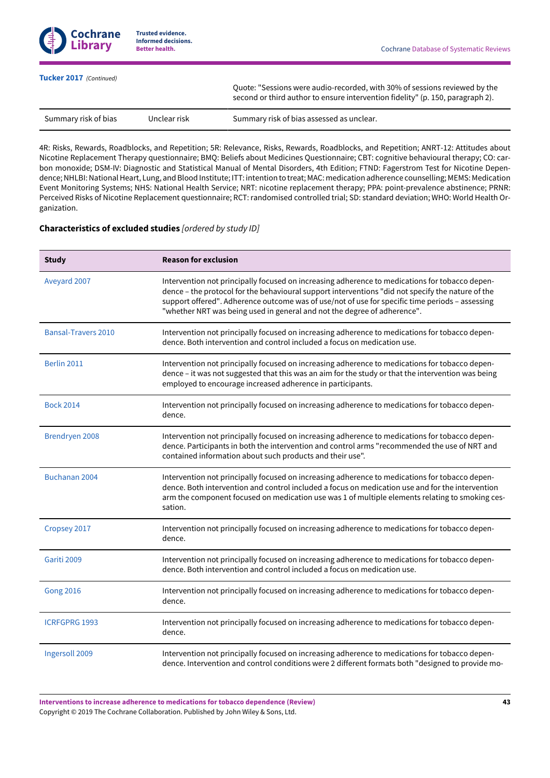

#### **[Tucker](#page-24-6) 2017**  *(Continued)*

|                                      | second or third author to ensure intervention fidelity" (p. 150, paragraph 2). |
|--------------------------------------|--------------------------------------------------------------------------------|
| Summary risk of bias<br>Unclear risk | Summary risk of bias assessed as unclear.                                      |

4R: Risks, Rewards, Roadblocks, and Repetition; 5R: Relevance, Risks, Rewards, Roadblocks, and Repetition; ANRT-12: Attitudes about Nicotine Replacement Therapy questionnaire; BMQ: Beliefs about Medicines Questionnaire; CBT: cognitive behavioural therapy; CO: carbon monoxide; DSM-IV: Diagnostic and Statistical Manual of Mental Disorders, 4th Edition; FTND: Fagerstrom Test for Nicotine Dependence; NHLBI: National Heart, Lung, and Blood Institute; ITT: intention to treat; MAC: medication adherence counselling; MEMS: Medication Event Monitoring Systems; NHS: National Health Service; NRT: nicotine replacement therapy; PPA: point-prevalence abstinence; PRNR: Perceived Risks of Nicotine Replacement questionnaire; RCT: randomised controlled trial; SD: standard deviation; WHO: World Health Organization.

# <span id="page-44-0"></span>**Characteristics of excluded studies** *[ordered by study ID]*

| <b>Study</b>               | <b>Reason for exclusion</b>                                                                                                                                                                                                                                                                                                                                                        |
|----------------------------|------------------------------------------------------------------------------------------------------------------------------------------------------------------------------------------------------------------------------------------------------------------------------------------------------------------------------------------------------------------------------------|
| Aveyard 2007               | Intervention not principally focused on increasing adherence to medications for tobacco depen-<br>dence - the protocol for the behavioural support interventions "did not specify the nature of the<br>support offered". Adherence outcome was of use/not of use for specific time periods - assessing<br>"whether NRT was being used in general and not the degree of adherence". |
| <b>Bansal-Travers 2010</b> | Intervention not principally focused on increasing adherence to medications for tobacco depen-<br>dence. Both intervention and control included a focus on medication use.                                                                                                                                                                                                         |
| Berlin 2011                | Intervention not principally focused on increasing adherence to medications for tobacco depen-<br>dence - it was not suggested that this was an aim for the study or that the intervention was being<br>employed to encourage increased adherence in participants.                                                                                                                 |
| <b>Bock 2014</b>           | Intervention not principally focused on increasing adherence to medications for tobacco depen-<br>dence.                                                                                                                                                                                                                                                                           |
| Brendryen 2008             | Intervention not principally focused on increasing adherence to medications for tobacco depen-<br>dence. Participants in both the intervention and control arms "recommended the use of NRT and<br>contained information about such products and their use".                                                                                                                       |
| Buchanan 2004              | Intervention not principally focused on increasing adherence to medications for tobacco depen-<br>dence. Both intervention and control included a focus on medication use and for the intervention<br>arm the component focused on medication use was 1 of multiple elements relating to smoking ces-<br>sation.                                                                   |
| Cropsey 2017               | Intervention not principally focused on increasing adherence to medications for tobacco depen-<br>dence.                                                                                                                                                                                                                                                                           |
| Gariti 2009                | Intervention not principally focused on increasing adherence to medications for tobacco depen-<br>dence. Both intervention and control included a focus on medication use.                                                                                                                                                                                                         |
| <b>Gong 2016</b>           | Intervention not principally focused on increasing adherence to medications for tobacco depen-<br>dence.                                                                                                                                                                                                                                                                           |
| <b>ICRFGPRG 1993</b>       | Intervention not principally focused on increasing adherence to medications for tobacco depen-<br>dence.                                                                                                                                                                                                                                                                           |
| Ingersoll 2009             | Intervention not principally focused on increasing adherence to medications for tobacco depen-<br>dence. Intervention and control conditions were 2 different formats both "designed to provide mo-                                                                                                                                                                                |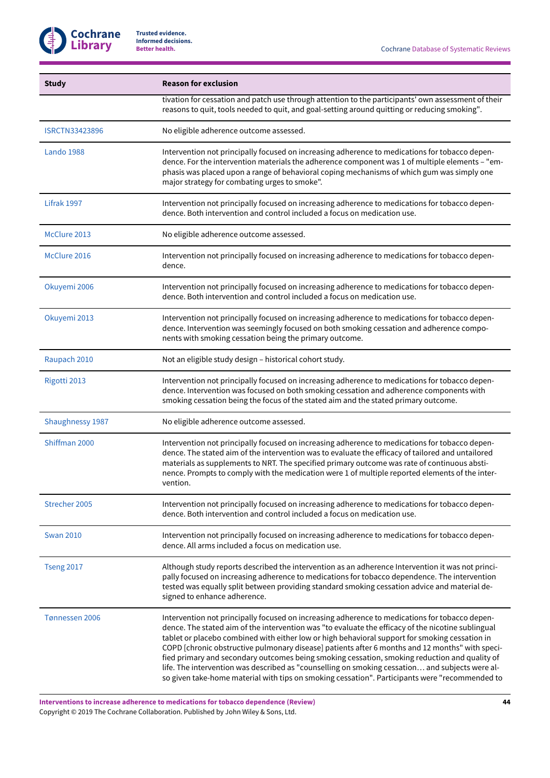| <b>Study</b>          | <b>Reason for exclusion</b>                                                                                                                                                                                                                                                                                                                                                                                                                                                                                                                                                                                                                                                                                     |
|-----------------------|-----------------------------------------------------------------------------------------------------------------------------------------------------------------------------------------------------------------------------------------------------------------------------------------------------------------------------------------------------------------------------------------------------------------------------------------------------------------------------------------------------------------------------------------------------------------------------------------------------------------------------------------------------------------------------------------------------------------|
|                       | tivation for cessation and patch use through attention to the participants' own assessment of their<br>reasons to quit, tools needed to quit, and goal-setting around quitting or reducing smoking".                                                                                                                                                                                                                                                                                                                                                                                                                                                                                                            |
| <b>ISRCTN33423896</b> | No eligible adherence outcome assessed.                                                                                                                                                                                                                                                                                                                                                                                                                                                                                                                                                                                                                                                                         |
| <b>Lando 1988</b>     | Intervention not principally focused on increasing adherence to medications for tobacco depen-<br>dence. For the intervention materials the adherence component was 1 of multiple elements - "em-<br>phasis was placed upon a range of behavioral coping mechanisms of which gum was simply one<br>major strategy for combating urges to smoke".                                                                                                                                                                                                                                                                                                                                                                |
| Lifrak 1997           | Intervention not principally focused on increasing adherence to medications for tobacco depen-<br>dence. Both intervention and control included a focus on medication use.                                                                                                                                                                                                                                                                                                                                                                                                                                                                                                                                      |
| McClure 2013          | No eligible adherence outcome assessed.                                                                                                                                                                                                                                                                                                                                                                                                                                                                                                                                                                                                                                                                         |
| McClure 2016          | Intervention not principally focused on increasing adherence to medications for tobacco depen-<br>dence.                                                                                                                                                                                                                                                                                                                                                                                                                                                                                                                                                                                                        |
| Okuyemi 2006          | Intervention not principally focused on increasing adherence to medications for tobacco depen-<br>dence. Both intervention and control included a focus on medication use.                                                                                                                                                                                                                                                                                                                                                                                                                                                                                                                                      |
| Okuyemi 2013          | Intervention not principally focused on increasing adherence to medications for tobacco depen-<br>dence. Intervention was seemingly focused on both smoking cessation and adherence compo-<br>nents with smoking cessation being the primary outcome.                                                                                                                                                                                                                                                                                                                                                                                                                                                           |
| Raupach 2010          | Not an eligible study design - historical cohort study.                                                                                                                                                                                                                                                                                                                                                                                                                                                                                                                                                                                                                                                         |
| Rigotti 2013          | Intervention not principally focused on increasing adherence to medications for tobacco depen-<br>dence. Intervention was focused on both smoking cessation and adherence components with<br>smoking cessation being the focus of the stated aim and the stated primary outcome.                                                                                                                                                                                                                                                                                                                                                                                                                                |
| Shaughnessy 1987      | No eligible adherence outcome assessed.                                                                                                                                                                                                                                                                                                                                                                                                                                                                                                                                                                                                                                                                         |
| Shiffman 2000         | Intervention not principally focused on increasing adherence to medications for tobacco depen-<br>dence. The stated aim of the intervention was to evaluate the efficacy of tailored and untailored<br>materials as supplements to NRT. The specified primary outcome was rate of continuous absti-<br>nence. Prompts to comply with the medication were 1 of multiple reported elements of the inter-<br>vention.                                                                                                                                                                                                                                                                                              |
| Strecher 2005         | Intervention not principally focused on increasing adherence to medications for tobacco depen-<br>dence. Both intervention and control included a focus on medication use.                                                                                                                                                                                                                                                                                                                                                                                                                                                                                                                                      |
| <b>Swan 2010</b>      | Intervention not principally focused on increasing adherence to medications for tobacco depen-<br>dence. All arms included a focus on medication use.                                                                                                                                                                                                                                                                                                                                                                                                                                                                                                                                                           |
| Tseng 2017            | Although study reports described the intervention as an adherence Intervention it was not princi-<br>pally focused on increasing adherence to medications for tobacco dependence. The intervention<br>tested was equally split between providing standard smoking cessation advice and material de-<br>signed to enhance adherence.                                                                                                                                                                                                                                                                                                                                                                             |
| Tønnessen 2006        | Intervention not principally focused on increasing adherence to medications for tobacco depen-<br>dence. The stated aim of the intervention was "to evaluate the efficacy of the nicotine sublingual<br>tablet or placebo combined with either low or high behavioral support for smoking cessation in<br>COPD [chronic obstructive pulmonary disease] patients after 6 months and 12 months" with speci-<br>fied primary and secondary outcomes being smoking cessation, smoking reduction and quality of<br>life. The intervention was described as "counselling on smoking cessation and subjects were al-<br>so given take-home material with tips on smoking cessation". Participants were "recommended to |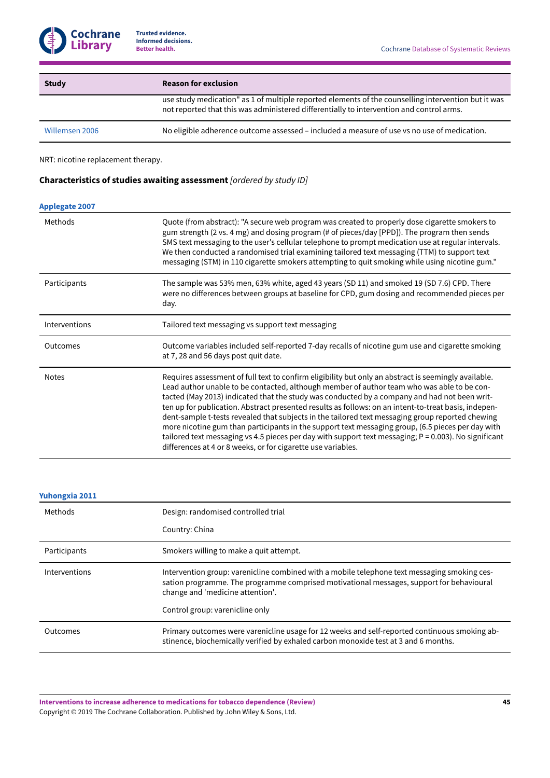

| <b>Study</b>   | <b>Reason for exclusion</b>                                                                                                                                                                     |  |
|----------------|-------------------------------------------------------------------------------------------------------------------------------------------------------------------------------------------------|--|
|                | use study medication" as 1 of multiple reported elements of the counselling intervention but it was<br>not reported that this was administered differentially to intervention and control arms. |  |
| Willemsen 2006 | No eligible adherence outcome assessed – included a measure of use vs no use of medication.                                                                                                     |  |

NRT: nicotine replacement therapy.

# <span id="page-46-0"></span>**Characteristics of studies awaiting assessment** *[ordered by study ID]*

# **[Applegate](#page-26-10) 2007**

| Methods       | Quote (from abstract): "A secure web program was created to properly dose cigarette smokers to<br>gum strength (2 vs. 4 mg) and dosing program (# of pieces/day [PPD]). The program then sends<br>SMS text messaging to the user's cellular telephone to prompt medication use at regular intervals.<br>We then conducted a randomised trial examining tailored text messaging (TTM) to support text<br>messaging (STM) in 110 cigarette smokers attempting to quit smoking while using nicotine gum."                                                                                                                                                                                                                                                                                          |
|---------------|-------------------------------------------------------------------------------------------------------------------------------------------------------------------------------------------------------------------------------------------------------------------------------------------------------------------------------------------------------------------------------------------------------------------------------------------------------------------------------------------------------------------------------------------------------------------------------------------------------------------------------------------------------------------------------------------------------------------------------------------------------------------------------------------------|
| Participants  | The sample was 53% men, 63% white, aged 43 years (SD 11) and smoked 19 (SD 7.6) CPD. There<br>were no differences between groups at baseline for CPD, gum dosing and recommended pieces per<br>day.                                                                                                                                                                                                                                                                                                                                                                                                                                                                                                                                                                                             |
| Interventions | Tailored text messaging vs support text messaging                                                                                                                                                                                                                                                                                                                                                                                                                                                                                                                                                                                                                                                                                                                                               |
| Outcomes      | Outcome variables included self-reported 7-day recalls of nicotine gum use and cigarette smoking<br>at 7, 28 and 56 days post quit date.                                                                                                                                                                                                                                                                                                                                                                                                                                                                                                                                                                                                                                                        |
| <b>Notes</b>  | Requires assessment of full text to confirm eligibility but only an abstract is seemingly available.<br>Lead author unable to be contacted, although member of author team who was able to be con-<br>tacted (May 2013) indicated that the study was conducted by a company and had not been writ-<br>ten up for publication. Abstract presented results as follows: on an intent-to-treat basis, indepen-<br>dent-sample t-tests revealed that subjects in the tailored text messaging group reported chewing<br>more nicotine gum than participants in the support text messaging group, (6.5 pieces per day with<br>tailored text messaging vs 4.5 pieces per day with support text messaging; $P = 0.003$ ). No significant<br>differences at 4 or 8 weeks, or for cigarette use variables. |

# **[Yuhongxia](#page-26-11) 2011**

| Methods       | Design: randomised controlled trial                                                                                                                                                                                          |  |  |  |  |  |
|---------------|------------------------------------------------------------------------------------------------------------------------------------------------------------------------------------------------------------------------------|--|--|--|--|--|
|               | Country: China                                                                                                                                                                                                               |  |  |  |  |  |
| Participants  | Smokers willing to make a quit attempt.                                                                                                                                                                                      |  |  |  |  |  |
| Interventions | Intervention group: varenicline combined with a mobile telephone text messaging smoking ces-<br>sation programme. The programme comprised motivational messages, support for behavioural<br>change and 'medicine attention'. |  |  |  |  |  |
|               | Control group: varenicline only                                                                                                                                                                                              |  |  |  |  |  |
| Outcomes      | Primary outcomes were varenicline usage for 12 weeks and self-reported continuous smoking ab-<br>stinence, biochemically verified by exhaled carbon monoxide test at 3 and 6 months.                                         |  |  |  |  |  |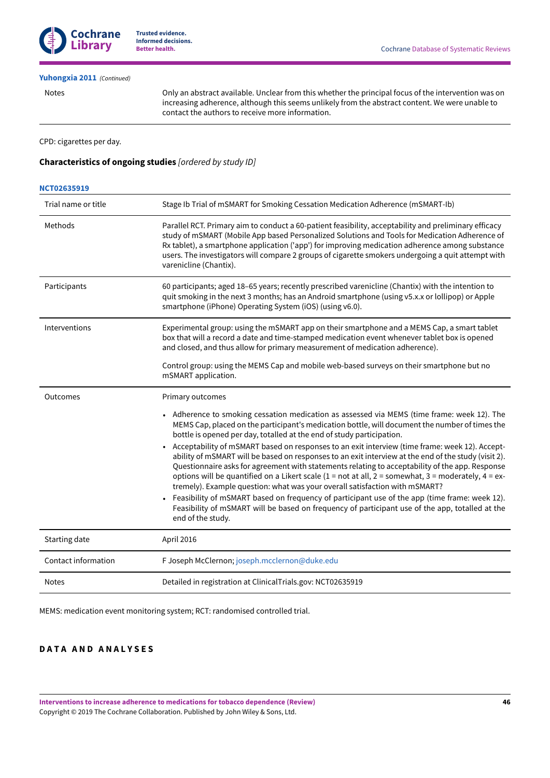

### **[Yuhongxia](#page-26-11) 2011**  *(Continued)*

Notes Only an abstract available. Unclear from this whether the principal focus of the intervention was on increasing adherence, although this seems unlikely from the abstract content. We were unable to contact the authors to receive more information.

CPD: cigarettes per day.

# <span id="page-47-1"></span>**Characteristics of ongoing studies** *[ordered by study ID]*

| <b>NCT02635919</b>  |                                                                                                                                                                                                                                                                                                                                                                                                                                                                                                 |
|---------------------|-------------------------------------------------------------------------------------------------------------------------------------------------------------------------------------------------------------------------------------------------------------------------------------------------------------------------------------------------------------------------------------------------------------------------------------------------------------------------------------------------|
| Trial name or title | Stage Ib Trial of mSMART for Smoking Cessation Medication Adherence (mSMART-Ib)                                                                                                                                                                                                                                                                                                                                                                                                                 |
| Methods             | Parallel RCT. Primary aim to conduct a 60-patient feasibility, acceptability and preliminary efficacy<br>study of mSMART (Mobile App based Personalized Solutions and Tools for Medication Adherence of<br>Rx tablet), a smartphone application ('app') for improving medication adherence among substance<br>users. The investigators will compare 2 groups of cigarette smokers undergoing a quit attempt with<br>varenicline (Chantix).                                                      |
| Participants        | 60 participants; aged 18-65 years; recently prescribed varenicline (Chantix) with the intention to<br>quit smoking in the next 3 months; has an Android smartphone (using v5.x.x or lollipop) or Apple<br>smartphone (iPhone) Operating System (iOS) (using v6.0).                                                                                                                                                                                                                              |
| Interventions       | Experimental group: using the mSMART app on their smartphone and a MEMS Cap, a smart tablet<br>box that will a record a date and time-stamped medication event whenever tablet box is opened<br>and closed, and thus allow for primary measurement of medication adherence).                                                                                                                                                                                                                    |
|                     | Control group: using the MEMS Cap and mobile web-based surveys on their smartphone but no<br>mSMART application.                                                                                                                                                                                                                                                                                                                                                                                |
| Outcomes            | Primary outcomes                                                                                                                                                                                                                                                                                                                                                                                                                                                                                |
|                     | • Adherence to smoking cessation medication as assessed via MEMS (time frame: week 12). The<br>MEMS Cap, placed on the participant's medication bottle, will document the number of times the<br>bottle is opened per day, totalled at the end of study participation.                                                                                                                                                                                                                          |
|                     | Acceptability of mSMART based on responses to an exit interview (time frame: week 12). Accept-<br>ability of mSMART will be based on responses to an exit interview at the end of the study (visit 2).<br>Questionnaire asks for agreement with statements relating to acceptability of the app. Response<br>options will be quantified on a Likert scale (1 = not at all, 2 = somewhat, 3 = moderately, 4 = ex-<br>tremely). Example question: what was your overall satisfaction with mSMART? |
|                     | Feasibility of mSMART based on frequency of participant use of the app (time frame: week 12).<br>Feasibility of mSMART will be based on frequency of participant use of the app, totalled at the<br>end of the study.                                                                                                                                                                                                                                                                           |
| Starting date       | April 2016                                                                                                                                                                                                                                                                                                                                                                                                                                                                                      |
| Contact information | F Joseph McClernon; joseph.mcclernon@duke.edu                                                                                                                                                                                                                                                                                                                                                                                                                                                   |
| <b>Notes</b>        | Detailed in registration at ClinicalTrials.gov: NCT02635919                                                                                                                                                                                                                                                                                                                                                                                                                                     |

MEMS: medication event monitoring system; RCT: randomised controlled trial.

# <span id="page-47-0"></span>**D A T A A N D A N A L Y S E S**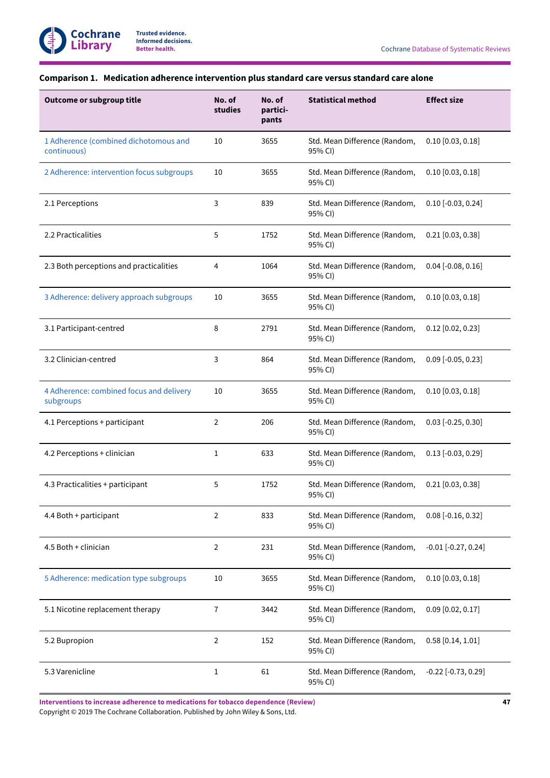# **Comparison 1. Medication adherence intervention plus standard care versus standard care alone**

| Outcome or subgroup title                             | No. of<br>studies | No. of<br>partici-<br>pants | <b>Statistical method</b>                | <b>Effect size</b>      |
|-------------------------------------------------------|-------------------|-----------------------------|------------------------------------------|-------------------------|
| 1 Adherence (combined dichotomous and<br>continuous)  | 10                | 3655                        | Std. Mean Difference (Random,<br>95% CI) | $0.10$ [0.03, 0.18]     |
| 2 Adherence: intervention focus subgroups             | 10                | 3655                        | Std. Mean Difference (Random,<br>95% CI) | $0.10$ [0.03, 0.18]     |
| 2.1 Perceptions                                       | 3                 | 839                         | Std. Mean Difference (Random,<br>95% CI) | $0.10$ [-0.03, 0.24]    |
| 2.2 Practicalities                                    | 5                 | 1752                        | Std. Mean Difference (Random,<br>95% CI) | $0.21$ [0.03, 0.38]     |
| 2.3 Both perceptions and practicalities               | 4                 | 1064                        | Std. Mean Difference (Random,<br>95% CI) | $0.04$ [-0.08, 0.16]    |
| 3 Adherence: delivery approach subgroups              | 10                | 3655                        | Std. Mean Difference (Random,<br>95% CI) | $0.10$ [0.03, 0.18]     |
| 3.1 Participant-centred                               | 8                 | 2791                        | Std. Mean Difference (Random,<br>95% CI) | $0.12$ [0.02, 0.23]     |
| 3.2 Clinician-centred                                 | 3                 | 864                         | Std. Mean Difference (Random,<br>95% CI) | $0.09$ [-0.05, 0.23]    |
| 4 Adherence: combined focus and delivery<br>subgroups | 10                | 3655                        | Std. Mean Difference (Random,<br>95% CI) | $0.10$ [0.03, 0.18]     |
| 4.1 Perceptions + participant                         | 2                 | 206                         | Std. Mean Difference (Random,<br>95% CI) | $0.03$ [-0.25, 0.30]    |
| 4.2 Perceptions + clinician                           | $\mathbf{1}$      | 633                         | Std. Mean Difference (Random,<br>95% CI) | $0.13$ [-0.03, 0.29]    |
| 4.3 Practicalities + participant                      | 5                 | 1752                        | Std. Mean Difference (Random,<br>95% CI) | $0.21$ [0.03, 0.38]     |
| 4.4 Both + participant                                | 2                 | 833                         | Std. Mean Difference (Random,<br>95% CI) | $0.08$ [-0.16, 0.32]    |
| 4.5 Both + clinician                                  | 2                 | 231                         | Std. Mean Difference (Random,<br>95% CI) | $-0.01$ $[-0.27, 0.24]$ |
| 5 Adherence: medication type subgroups                | 10                | 3655                        | Std. Mean Difference (Random,<br>95% CI) | $0.10$ [0.03, 0.18]     |
| 5.1 Nicotine replacement therapy                      | 7                 | 3442                        | Std. Mean Difference (Random,<br>95% CI) | $0.09$ [0.02, 0.17]     |
| 5.2 Bupropion                                         | $\overline{2}$    | 152                         | Std. Mean Difference (Random,<br>95% CI) | $0.58$ [0.14, 1.01]     |
| 5.3 Varenicline                                       | 1                 | 61                          | Std. Mean Difference (Random,<br>95% CI) | $-0.22$ $[-0.73, 0.29]$ |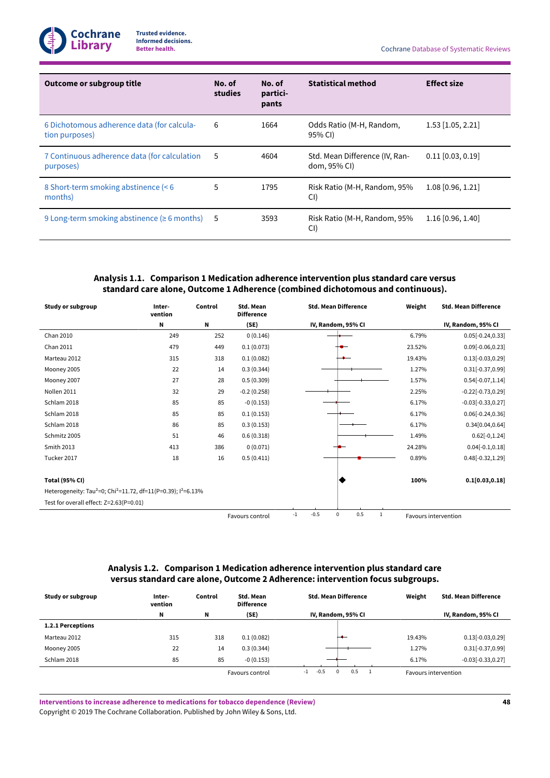

**Better health.** Cochrane Database of Systematic Reviews

| Outcome or subgroup title                                    | No. of<br>studies | No. of<br>partici-<br>pants | <b>Statistical method</b>                      | <b>Effect size</b>  |
|--------------------------------------------------------------|-------------------|-----------------------------|------------------------------------------------|---------------------|
| 6 Dichotomous adherence data (for calcula-<br>tion purposes) | 6                 | 1664                        | Odds Ratio (M-H, Random,<br>95% CI)            | $1.53$ [1.05, 2.21] |
| 7 Continuous adherence data (for calculation<br>purposes)    | 5                 | 4604                        | Std. Mean Difference (IV, Ran-<br>dom, 95% CI) | $0.11$ [0.03, 0.19] |
| 8 Short-term smoking abstinence (< 6<br>months)              | 5                 | 1795                        | Risk Ratio (M-H, Random, 95%<br>CI)            | $1.08$ [0.96, 1.21] |
| 9 Long-term smoking abstinence ( $\geq 6$ months)            | -5                | 3593                        | Risk Ratio (M-H, Random, 95%<br>CI)            | 1.16 [0.96, 1.40]   |

# **Analysis 1.1. Comparison 1 Medication adherence intervention plus standard care versus standard care alone, Outcome 1 Adherence (combined dichotomous and continuous).**

<span id="page-49-0"></span>

| <b>Study or subgroup</b>                                                                          | Inter-<br>vention | Control | Std. Mean<br><b>Difference</b> | <b>Std. Mean Difference</b>     | Weight               | <b>Std. Mean Difference</b> |
|---------------------------------------------------------------------------------------------------|-------------------|---------|--------------------------------|---------------------------------|----------------------|-----------------------------|
|                                                                                                   | Ν                 | Ν       | (SE)                           | IV, Random, 95% CI              |                      | IV, Random, 95% CI          |
| Chan 2010                                                                                         | 249               | 252     | 0(0.146)                       |                                 | 6.79%                | $0.05[-0.24, 0.33]$         |
| Chan 2011                                                                                         | 479               | 449     | 0.1(0.073)                     |                                 | 23.52%               | $0.09[-0.06, 0.23]$         |
| Marteau 2012                                                                                      | 315               | 318     | 0.1(0.082)                     |                                 | 19.43%               | $0.13[-0.03, 0.29]$         |
| Mooney 2005                                                                                       | 22                | 14      | 0.3(0.344)                     |                                 | 1.27%                | $0.31[-0.37, 0.99]$         |
| Mooney 2007                                                                                       | 27                | 28      | 0.5(0.309)                     |                                 | 1.57%                | $0.54[-0.07, 1.14]$         |
| Nollen 2011                                                                                       | 32                | 29      | $-0.2(0.258)$                  |                                 | 2.25%                | $-0.22[-0.73, 0.29]$        |
| Schlam 2018                                                                                       | 85                | 85      | $-0(0.153)$                    |                                 | 6.17%                | $-0.03[-0.33, 0.27]$        |
| Schlam 2018                                                                                       | 85                | 85      | 0.1(0.153)                     |                                 | 6.17%                | $0.06[-0.24, 0.36]$         |
| Schlam 2018                                                                                       | 86                | 85      | 0.3(0.153)                     |                                 | 6.17%                | 0.34[0.04, 0.64]            |
| Schmitz 2005                                                                                      | 51                | 46      | 0.6(0.318)                     |                                 | 1.49%                | $0.62[-0,1.24]$             |
| <b>Smith 2013</b>                                                                                 | 413               | 386     | 0(0.071)                       |                                 | 24.28%               | $0.04[-0.1, 0.18]$          |
| Tucker 2017                                                                                       | 18                | 16      | 0.5(0.411)                     |                                 | 0.89%                | $0.48[-0.32, 1.29]$         |
| <b>Total (95% CI)</b>                                                                             |                   |         |                                |                                 | 100%                 | 0.1[0.03, 0.18]             |
| Heterogeneity: Tau <sup>2</sup> =0; Chi <sup>2</sup> =11.72, df=11(P=0.39); l <sup>2</sup> =6.13% |                   |         |                                |                                 |                      |                             |
| Test for overall effect: Z=2.63(P=0.01)                                                           |                   |         |                                |                                 |                      |                             |
|                                                                                                   |                   |         | Favours control                | 0.5<br>$-1$<br>$-0.5$<br>0<br>1 | Favours intervention |                             |

# **Analysis 1.2. Comparison 1 Medication adherence intervention plus standard care versus standard care alone, Outcome 2 Adherence: intervention focus subgroups.**

<span id="page-49-1"></span>

| Study or subgroup | Inter-<br>vention | Control | Std. Mean<br><b>Difference</b> | <b>Std. Mean Difference</b>       | Weight               | <b>Std. Mean Difference</b> |
|-------------------|-------------------|---------|--------------------------------|-----------------------------------|----------------------|-----------------------------|
|                   | N                 | N       | (SE)                           | IV, Random, 95% CI                |                      | IV, Random, 95% CI          |
| 1.2.1 Perceptions |                   |         |                                |                                   |                      |                             |
| Marteau 2012      | 315               | 318     | 0.1(0.082)                     | —∎—                               | 19.43%               | $0.13[-0.03, 0.29]$         |
| Mooney 2005       | 22                | 14      | 0.3(0.344)                     |                                   | 1.27%                | $0.31[-0.37, 0.99]$         |
| Schlam 2018       | 85                | 85      | $-0(0.153)$                    |                                   | 6.17%                | $-0.03[-0.33, 0.27]$        |
|                   |                   |         | Favours control                | 0.5<br>$-0.5$<br>$-1$<br>$\Omega$ | Favours intervention |                             |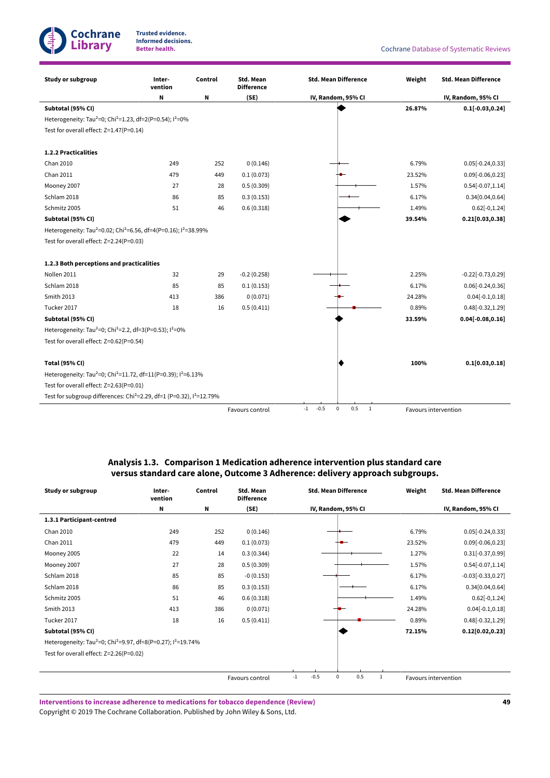

| Study or subgroup                                                                                   | Inter-<br>vention | Control | Std. Mean<br><b>Difference</b> | <b>Std. Mean Difference</b>                     | Weight               | <b>Std. Mean Difference</b> |
|-----------------------------------------------------------------------------------------------------|-------------------|---------|--------------------------------|-------------------------------------------------|----------------------|-----------------------------|
|                                                                                                     | Ν                 | Ν       | (SE)                           | IV, Random, 95% CI                              |                      | IV, Random, 95% CI          |
| Subtotal (95% CI)                                                                                   |                   |         |                                |                                                 | 26.87%               | $0.1[-0.03, 0.24]$          |
| Heterogeneity: Tau <sup>2</sup> =0; Chi <sup>2</sup> =1.23, df=2(P=0.54); l <sup>2</sup> =0%        |                   |         |                                |                                                 |                      |                             |
| Test for overall effect: Z=1.47(P=0.14)                                                             |                   |         |                                |                                                 |                      |                             |
| 1.2.2 Practicalities                                                                                |                   |         |                                |                                                 |                      |                             |
| Chan 2010                                                                                           | 249               | 252     | 0(0.146)                       |                                                 | 6.79%                | $0.05[-0.24, 0.33]$         |
| Chan 2011                                                                                           | 479               | 449     | 0.1(0.073)                     |                                                 | 23.52%               | $0.09[-0.06, 0.23]$         |
| Mooney 2007                                                                                         | 27                | 28      | 0.5(0.309)                     |                                                 | 1.57%                | $0.54[-0.07,1.14]$          |
| Schlam 2018                                                                                         | 86                | 85      | 0.3(0.153)                     |                                                 | 6.17%                | 0.34[0.04, 0.64]            |
| Schmitz 2005                                                                                        | 51                | 46      | 0.6(0.318)                     |                                                 | 1.49%                | $0.62[-0,1.24]$             |
| Subtotal (95% CI)                                                                                   |                   |         |                                |                                                 | 39.54%               | 0.21[0.03, 0.38]            |
| Heterogeneity: Tau <sup>2</sup> =0.02; Chi <sup>2</sup> =6.56, df=4(P=0.16); l <sup>2</sup> =38.99% |                   |         |                                |                                                 |                      |                             |
| Test for overall effect: Z=2.24(P=0.03)                                                             |                   |         |                                |                                                 |                      |                             |
| 1.2.3 Both perceptions and practicalities                                                           |                   |         |                                |                                                 |                      |                             |
| Nollen 2011                                                                                         | 32                | 29      | $-0.2(0.258)$                  |                                                 | 2.25%                | $-0.22[-0.73, 0.29]$        |
| Schlam 2018                                                                                         | 85                | 85      | 0.1(0.153)                     |                                                 | 6.17%                | $0.06[-0.24, 0.36]$         |
| <b>Smith 2013</b>                                                                                   | 413               | 386     | 0(0.071)                       |                                                 | 24.28%               | $0.04[-0.1, 0.18]$          |
| Tucker 2017                                                                                         | 18                | 16      | 0.5(0.411)                     |                                                 | 0.89%                | $0.48[-0.32, 1.29]$         |
| Subtotal (95% CI)                                                                                   |                   |         |                                |                                                 | 33.59%               | $0.04[-0.08, 0.16]$         |
| Heterogeneity: Tau <sup>2</sup> =0; Chi <sup>2</sup> =2.2, df=3(P=0.53); l <sup>2</sup> =0%         |                   |         |                                |                                                 |                      |                             |
| Test for overall effect: Z=0.62(P=0.54)                                                             |                   |         |                                |                                                 |                      |                             |
| <b>Total (95% CI)</b>                                                                               |                   |         |                                |                                                 | 100%                 | 0.1[0.03, 0.18]             |
| Heterogeneity: Tau <sup>2</sup> =0; Chi <sup>2</sup> =11.72, df=11(P=0.39); l <sup>2</sup> =6.13%   |                   |         |                                |                                                 |                      |                             |
| Test for overall effect: Z=2.63(P=0.01)                                                             |                   |         |                                |                                                 |                      |                             |
| Test for subgroup differences: Chi <sup>2</sup> =2.29, df=1 (P=0.32), l <sup>2</sup> =12.79%        |                   |         |                                |                                                 |                      |                             |
|                                                                                                     |                   |         | Favours control                | $-0.5$<br>0.5<br>$-1$<br>$\mathbf 0$<br>$\,1\,$ | Favours intervention |                             |

# **Analysis 1.3. Comparison 1 Medication adherence intervention plus standard care versus standard care alone, Outcome 3 Adherence: delivery approach subgroups.**

<span id="page-50-0"></span>

| Study or subgroup                                                                                | Inter-<br>vention | Control | Std. Mean<br><b>Difference</b> | <b>Std. Mean Difference</b>     | Weight               | <b>Std. Mean Difference</b> |
|--------------------------------------------------------------------------------------------------|-------------------|---------|--------------------------------|---------------------------------|----------------------|-----------------------------|
|                                                                                                  | Ν                 | Ν       | (SE)                           | IV, Random, 95% CI              |                      | IV, Random, 95% CI          |
| 1.3.1 Participant-centred                                                                        |                   |         |                                |                                 |                      |                             |
| Chan 2010                                                                                        | 249               | 252     | 0(0.146)                       |                                 | 6.79%                | $0.05[-0.24, 0.33]$         |
| Chan 2011                                                                                        | 479               | 449     | 0.1(0.073)                     |                                 | 23.52%               | $0.09[-0.06, 0.23]$         |
| Mooney 2005                                                                                      | 22                | 14      | 0.3(0.344)                     |                                 | 1.27%                | $0.31[-0.37, 0.99]$         |
| Mooney 2007                                                                                      | 27                | 28      | 0.5(0.309)                     |                                 | 1.57%                | $0.54[-0.07, 1.14]$         |
| Schlam 2018                                                                                      | 85                | 85      | $-0(0.153)$                    |                                 | 6.17%                | $-0.03[-0.33, 0.27]$        |
| Schlam 2018                                                                                      | 86                | 85      | 0.3(0.153)                     |                                 | 6.17%                | 0.34[0.04, 0.64]            |
| Schmitz 2005                                                                                     | 51                | 46      | 0.6(0.318)                     |                                 | 1.49%                | $0.62[-0,1.24]$             |
| <b>Smith 2013</b>                                                                                | 413               | 386     | 0(0.071)                       |                                 | 24.28%               | $0.04[-0.1, 0.18]$          |
| Tucker 2017                                                                                      | 18                | 16      | 0.5(0.411)                     |                                 | 0.89%                | $0.48[-0.32, 1.29]$         |
| Subtotal (95% CI)                                                                                |                   |         |                                |                                 | 72.15%               | 0.12[0.02, 0.23]            |
| Heterogeneity: Tau <sup>2</sup> =0; Chi <sup>2</sup> =9.97, df=8(P=0.27); l <sup>2</sup> =19.74% |                   |         |                                |                                 |                      |                             |
| Test for overall effect: Z=2.26(P=0.02)                                                          |                   |         |                                |                                 |                      |                             |
|                                                                                                  |                   |         |                                |                                 |                      |                             |
|                                                                                                  |                   |         | Favours control                | 0.5<br>$-0.5$<br>0<br>$-1$<br>1 | Favours intervention |                             |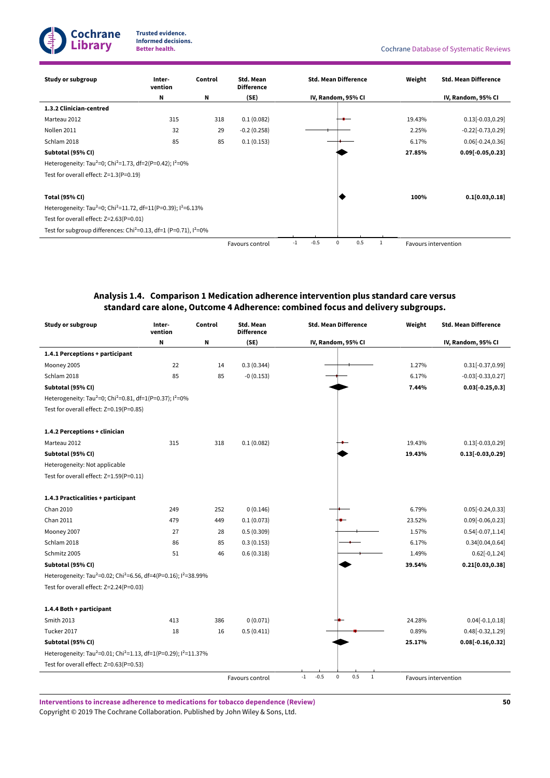

**Better health.** Cochrane Database of Systematic Reviews

| <b>Study or subgroup</b>                                                                          | Inter-<br>vention | Control | Std. Mean<br><b>Difference</b> |      |        | <b>Std. Mean Difference</b> |     | Weight               | <b>Std. Mean Difference</b> |
|---------------------------------------------------------------------------------------------------|-------------------|---------|--------------------------------|------|--------|-----------------------------|-----|----------------------|-----------------------------|
|                                                                                                   | N                 | Ν       | (SE)                           |      |        | IV, Random, 95% CI          |     |                      | IV, Random, 95% CI          |
| 1.3.2 Clinician-centred                                                                           |                   |         |                                |      |        |                             |     |                      |                             |
| Marteau 2012                                                                                      | 315               | 318     | 0.1(0.082)                     |      |        |                             |     | 19.43%               | $0.13[-0.03, 0.29]$         |
| Nollen 2011                                                                                       | 32                | 29      | $-0.2(0.258)$                  |      |        |                             |     | 2.25%                | $-0.22[-0.73, 0.29]$        |
| Schlam 2018                                                                                       | 85                | 85      | 0.1(0.153)                     |      |        |                             |     | 6.17%                | $0.06[-0.24, 0.36]$         |
| Subtotal (95% CI)                                                                                 |                   |         |                                |      |        |                             |     | 27.85%               | $0.09[-0.05, 0.23]$         |
| Heterogeneity: Tau <sup>2</sup> =0; Chi <sup>2</sup> =1.73, df=2(P=0.42); l <sup>2</sup> =0%      |                   |         |                                |      |        |                             |     |                      |                             |
| Test for overall effect: Z=1.3(P=0.19)                                                            |                   |         |                                |      |        |                             |     |                      |                             |
|                                                                                                   |                   |         |                                |      |        |                             |     |                      |                             |
| <b>Total (95% CI)</b>                                                                             |                   |         |                                |      |        |                             |     | 100%                 | 0.1[0.03, 0.18]             |
| Heterogeneity: Tau <sup>2</sup> =0; Chi <sup>2</sup> =11.72, df=11(P=0.39); l <sup>2</sup> =6.13% |                   |         |                                |      |        |                             |     |                      |                             |
| Test for overall effect: Z=2.63(P=0.01)                                                           |                   |         |                                |      |        |                             |     |                      |                             |
| Test for subgroup differences: Chi <sup>2</sup> =0.13, df=1 (P=0.71), $1^2$ =0%                   |                   |         |                                |      |        |                             |     |                      |                             |
|                                                                                                   |                   |         | Favours control                | $-1$ | $-0.5$ | 0                           | 0.5 | Favours intervention |                             |

# **Analysis 1.4. Comparison 1 Medication adherence intervention plus standard care versus standard care alone, Outcome 4 Adherence: combined focus and delivery subgroups.**

<span id="page-51-0"></span>

| Study or subgroup                                                                                   | Inter-<br>vention | Control | Std. Mean<br><b>Difference</b> | <b>Std. Mean Difference</b>                        | Weight               | <b>Std. Mean Difference</b> |
|-----------------------------------------------------------------------------------------------------|-------------------|---------|--------------------------------|----------------------------------------------------|----------------------|-----------------------------|
|                                                                                                     | N                 | Ν       | (SE)                           | IV, Random, 95% CI                                 |                      | IV, Random, 95% CI          |
| 1.4.1 Perceptions + participant                                                                     |                   |         |                                |                                                    |                      |                             |
| Mooney 2005                                                                                         | 22                | 14      | 0.3(0.344)                     |                                                    | 1.27%                | $0.31[-0.37, 0.99]$         |
| Schlam 2018                                                                                         | 85                | 85      | $-0(0.153)$                    |                                                    | 6.17%                | $-0.03[-0.33, 0.27]$        |
| Subtotal (95% CI)                                                                                   |                   |         |                                |                                                    | 7.44%                | $0.03[-0.25, 0.3]$          |
| Heterogeneity: Tau <sup>2</sup> =0; Chi <sup>2</sup> =0.81, df=1(P=0.37); l <sup>2</sup> =0%        |                   |         |                                |                                                    |                      |                             |
| Test for overall effect: Z=0.19(P=0.85)                                                             |                   |         |                                |                                                    |                      |                             |
| 1.4.2 Perceptions + clinician                                                                       |                   |         |                                |                                                    |                      |                             |
| Marteau 2012                                                                                        | 315               | 318     | 0.1(0.082)                     |                                                    | 19.43%               | $0.13[-0.03, 0.29]$         |
| Subtotal (95% CI)                                                                                   |                   |         |                                |                                                    | 19.43%               | $0.13[-0.03, 0.29]$         |
| Heterogeneity: Not applicable                                                                       |                   |         |                                |                                                    |                      |                             |
| Test for overall effect: Z=1.59(P=0.11)                                                             |                   |         |                                |                                                    |                      |                             |
| 1.4.3 Practicalities + participant                                                                  |                   |         |                                |                                                    |                      |                             |
| Chan 2010                                                                                           | 249               | 252     | 0(0.146)                       |                                                    | 6.79%                | $0.05[-0.24, 0.33]$         |
| Chan 2011                                                                                           | 479               | 449     | 0.1(0.073)                     |                                                    | 23.52%               | $0.09[-0.06, 0.23]$         |
| Mooney 2007                                                                                         | 27                | 28      | 0.5(0.309)                     |                                                    | 1.57%                | $0.54[-0.07, 1.14]$         |
| Schlam 2018                                                                                         | 86                | 85      | 0.3(0.153)                     |                                                    | 6.17%                | 0.34[0.04, 0.64]            |
| Schmitz 2005                                                                                        | 51                | 46      | 0.6(0.318)                     |                                                    | 1.49%                | $0.62[-0,1.24]$             |
| Subtotal (95% CI)                                                                                   |                   |         |                                |                                                    | 39.54%               | 0.21[0.03, 0.38]            |
| Heterogeneity: Tau <sup>2</sup> =0.02; Chi <sup>2</sup> =6.56, df=4(P=0.16); l <sup>2</sup> =38.99% |                   |         |                                |                                                    |                      |                             |
| Test for overall effect: Z=2.24(P=0.03)                                                             |                   |         |                                |                                                    |                      |                             |
| 1.4.4 Both + participant                                                                            |                   |         |                                |                                                    |                      |                             |
| <b>Smith 2013</b>                                                                                   | 413               | 386     | 0(0.071)                       |                                                    | 24.28%               | $0.04[-0.1, 0.18]$          |
| Tucker 2017                                                                                         | 18                | 16      | 0.5(0.411)                     |                                                    | 0.89%                | $0.48[-0.32, 1.29]$         |
| Subtotal (95% CI)                                                                                   |                   |         |                                |                                                    | 25.17%               | $0.08[-0.16, 0.32]$         |
| Heterogeneity: Tau <sup>2</sup> =0.01; Chi <sup>2</sup> =1.13, df=1(P=0.29); l <sup>2</sup> =11.37% |                   |         |                                |                                                    |                      |                             |
| Test for overall effect: Z=0.63(P=0.53)                                                             |                   |         |                                |                                                    |                      |                             |
|                                                                                                     |                   |         | Favours control                | $-0.5$<br>$\pmb{0}$<br>0.5<br>$-1$<br>$\mathbf{1}$ | Favours intervention |                             |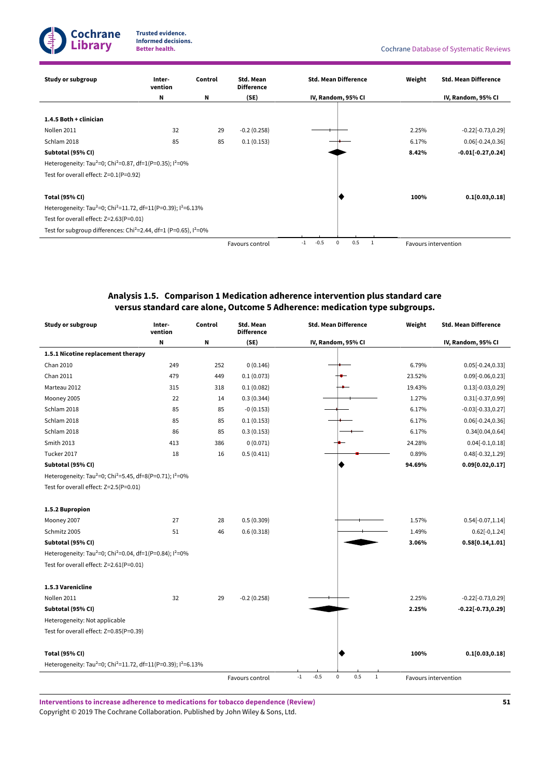

**Better health.** Cochrane Database of Systematic Reviews

| <b>Study or subgroup</b>                                                                          | Inter-<br>vention | Control | Std. Mean<br><b>Difference</b> | <b>Std. Mean Difference</b> | Weight               | <b>Std. Mean Difference</b> |
|---------------------------------------------------------------------------------------------------|-------------------|---------|--------------------------------|-----------------------------|----------------------|-----------------------------|
|                                                                                                   | Ν                 | N       | (SE)                           | IV, Random, 95% CI          |                      | IV, Random, 95% CI          |
|                                                                                                   |                   |         |                                |                             |                      |                             |
| 1.4.5 Both + clinician                                                                            |                   |         |                                |                             |                      |                             |
| Nollen 2011                                                                                       | 32                | 29      | $-0.2(0.258)$                  |                             | 2.25%                | $-0.22[-0.73, 0.29]$        |
| Schlam 2018                                                                                       | 85                | 85      | 0.1(0.153)                     |                             | 6.17%                | $0.06[-0.24, 0.36]$         |
| Subtotal (95% CI)                                                                                 |                   |         |                                |                             | 8.42%                | $-0.01[-0.27, 0.24]$        |
| Heterogeneity: Tau <sup>2</sup> =0; Chi <sup>2</sup> =0.87, df=1(P=0.35); $1^2$ =0%               |                   |         |                                |                             |                      |                             |
| Test for overall effect: Z=0.1(P=0.92)                                                            |                   |         |                                |                             |                      |                             |
|                                                                                                   |                   |         |                                |                             |                      |                             |
| <b>Total (95% CI)</b>                                                                             |                   |         |                                |                             | 100%                 | 0.1[0.03, 0.18]             |
| Heterogeneity: Tau <sup>2</sup> =0; Chi <sup>2</sup> =11.72, df=11(P=0.39); l <sup>2</sup> =6.13% |                   |         |                                |                             |                      |                             |
| Test for overall effect: Z=2.63(P=0.01)                                                           |                   |         |                                |                             |                      |                             |
| Test for subgroup differences: Chi <sup>2</sup> =2.44, df=1 (P=0.65), $1^2$ =0%                   |                   |         |                                |                             |                      |                             |
|                                                                                                   |                   |         | Favours control                | 0.5<br>$-0.5$<br>0<br>-1    | Favours intervention |                             |

# **Analysis 1.5. Comparison 1 Medication adherence intervention plus standard care versus standard care alone, Outcome 5 Adherence: medication type subgroups.**

<span id="page-52-0"></span>

| Study or subgroup                                                                                                 | Inter-<br>vention | Control | Std. Mean<br><b>Difference</b> | <b>Std. Mean Difference</b>                        | Weight                      | <b>Std. Mean Difference</b> |
|-------------------------------------------------------------------------------------------------------------------|-------------------|---------|--------------------------------|----------------------------------------------------|-----------------------------|-----------------------------|
|                                                                                                                   | N                 | N       | (SE)                           | IV, Random, 95% CI                                 |                             | IV, Random, 95% CI          |
| 1.5.1 Nicotine replacement therapy                                                                                |                   |         |                                |                                                    |                             |                             |
| Chan 2010                                                                                                         | 249               | 252     | 0(0.146)                       |                                                    | 6.79%                       | $0.05[-0.24, 0.33]$         |
| Chan 2011                                                                                                         | 479               | 449     | 0.1(0.073)                     |                                                    | 23.52%                      | $0.09[-0.06, 0.23]$         |
| Marteau 2012                                                                                                      | 315               | 318     | 0.1(0.082)                     |                                                    | 19.43%                      | $0.13[-0.03, 0.29]$         |
| Mooney 2005                                                                                                       | 22                | 14      | 0.3(0.344)                     |                                                    | 1.27%                       | $0.31[-0.37, 0.99]$         |
| Schlam 2018                                                                                                       | 85                | 85      | $-0(0.153)$                    |                                                    | 6.17%                       | $-0.03[-0.33, 0.27]$        |
| Schlam 2018                                                                                                       | 85                | 85      | 0.1(0.153)                     |                                                    | 6.17%                       | $0.06[-0.24, 0.36]$         |
| Schlam 2018                                                                                                       | 86                | 85      | 0.3(0.153)                     |                                                    | 6.17%                       | 0.34[0.04, 0.64]            |
| <b>Smith 2013</b>                                                                                                 | 413               | 386     | 0(0.071)                       |                                                    | 24.28%                      | $0.04[-0.1, 0.18]$          |
| Tucker 2017                                                                                                       | 18                | 16      | 0.5(0.411)                     |                                                    | 0.89%                       | $0.48[-0.32, 1.29]$         |
| Subtotal (95% CI)                                                                                                 |                   |         |                                |                                                    | 94.69%                      | 0.09[0.02, 0.17]            |
| Heterogeneity: Tau <sup>2</sup> =0; Chi <sup>2</sup> =5.45, df=8(P=0.71); l <sup>2</sup> =0%                      |                   |         |                                |                                                    |                             |                             |
| Test for overall effect: Z=2.5(P=0.01)                                                                            |                   |         |                                |                                                    |                             |                             |
| 1.5.2 Bupropion                                                                                                   |                   |         |                                |                                                    |                             |                             |
| Mooney 2007                                                                                                       | 27                | 28      | 0.5(0.309)                     |                                                    | 1.57%                       | $0.54[-0.07, 1.14]$         |
| Schmitz 2005                                                                                                      | 51                | 46      | 0.6(0.318)                     |                                                    | 1.49%                       | $0.62[-0,1.24]$             |
|                                                                                                                   |                   |         |                                |                                                    | 3.06%                       | 0.58[0.14, 1.01]            |
| Subtotal (95% CI)<br>Heterogeneity: Tau <sup>2</sup> =0; Chi <sup>2</sup> =0.04, df=1(P=0.84); l <sup>2</sup> =0% |                   |         |                                |                                                    |                             |                             |
| Test for overall effect: Z=2.61(P=0.01)                                                                           |                   |         |                                |                                                    |                             |                             |
|                                                                                                                   |                   |         |                                |                                                    |                             |                             |
| 1.5.3 Varenicline                                                                                                 |                   |         |                                |                                                    |                             |                             |
| Nollen 2011                                                                                                       | 32                | 29      | $-0.2(0.258)$                  |                                                    | 2.25%                       | $-0.22[-0.73, 0.29]$        |
| Subtotal (95% CI)                                                                                                 |                   |         |                                |                                                    | 2.25%                       | $-0.22[-0.73, 0.29]$        |
| Heterogeneity: Not applicable                                                                                     |                   |         |                                |                                                    |                             |                             |
| Test for overall effect: Z=0.85(P=0.39)                                                                           |                   |         |                                |                                                    |                             |                             |
| <b>Total (95% CI)</b>                                                                                             |                   |         |                                |                                                    | 100%                        | 0.1[0.03, 0.18]             |
| Heterogeneity: Tau <sup>2</sup> =0; Chi <sup>2</sup> =11.72, df=11(P=0.39); l <sup>2</sup> =6.13%                 |                   |         |                                |                                                    |                             |                             |
|                                                                                                                   |                   |         |                                | $^{\rm -1}$<br>$-0.5$<br>0.5<br>$\pmb{0}$<br>$\,1$ |                             |                             |
|                                                                                                                   |                   |         | Favours control                |                                                    | <b>Favours intervention</b> |                             |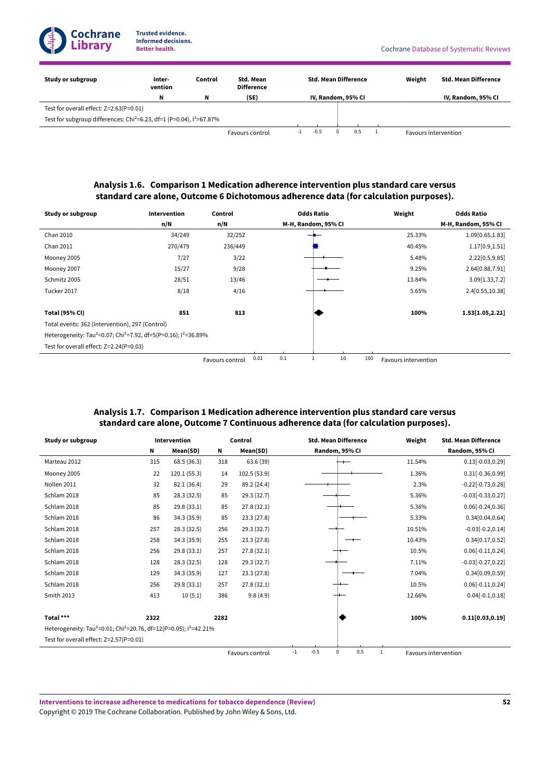

| Study or subgroup                                                                   | Inter-<br>vention | Control | Std. Mean<br><b>Difference</b> | <b>Std. Mean Difference</b> | Weight<br>Std. Mean Difference |
|-------------------------------------------------------------------------------------|-------------------|---------|--------------------------------|-----------------------------|--------------------------------|
|                                                                                     | N                 | N       | (SE)                           | IV, Random, 95% CI          | IV, Random, 95% CI             |
| Test for overall effect: Z=2.63(P=0.01)                                             |                   |         |                                |                             |                                |
| Test for subgroup differences: Chi <sup>2</sup> =6.23, df=1 (P=0.04), $1^2$ =67.87% |                   |         |                                |                             |                                |
|                                                                                     |                   |         | Favours control                | 0.5<br>$-0.5$               | Favours intervention           |

# **Analysis 1.6. Comparison 1 Medication adherence intervention plus standard care versus standard care alone, Outcome 6 Dichotomous adherence data (for calculation purposes).**

<span id="page-53-0"></span>

| Study or subgroup                                                                                   | <b>Intervention</b> | Control         |      | <b>Odds Ratio</b> |                     |    | Weight | <b>Odds Ratio</b>           |                     |
|-----------------------------------------------------------------------------------------------------|---------------------|-----------------|------|-------------------|---------------------|----|--------|-----------------------------|---------------------|
|                                                                                                     | n/N                 | n/N             |      |                   | M-H, Random, 95% CI |    |        |                             | M-H, Random, 95% CI |
| Chan 2010                                                                                           | 34/249              | 32/252          |      |                   |                     |    |        | 25.33%                      | 1.09[0.65,1.83]     |
| Chan 2011                                                                                           | 270/479             | 236/449         |      |                   |                     |    |        | 40.45%                      | 1.17[0.9, 1.51]     |
| Mooney 2005                                                                                         | 7/27                | 3/22            |      |                   |                     |    |        | 5.48%                       | 2.22[0.5,9.85]      |
| Mooney 2007                                                                                         | 15/27               | 9/28            |      |                   |                     |    |        | 9.25%                       | 2.64 [0.88, 7.91]   |
| Schmitz 2005                                                                                        | 28/51               | 13/46           |      |                   |                     |    |        | 13.84%                      | 3.09[1.33,7.2]      |
| Tucker 2017                                                                                         | 8/18                | 4/16            |      |                   |                     |    |        | 5.65%                       | 2.4 [0.55, 10.38]   |
| <b>Total (95% CI)</b>                                                                               | 851                 | 813             |      |                   |                     |    |        | 100%                        | 1.53[1.05, 2.21]    |
| Total events: 362 (Intervention), 297 (Control)                                                     |                     |                 |      |                   |                     |    |        |                             |                     |
| Heterogeneity: Tau <sup>2</sup> =0.07; Chi <sup>2</sup> =7.92, df=5(P=0.16); l <sup>2</sup> =36.89% |                     |                 |      |                   |                     |    |        |                             |                     |
| Test for overall effect: Z=2.24(P=0.03)                                                             |                     |                 |      |                   |                     |    |        |                             |                     |
|                                                                                                     |                     | Favours control | 0.01 | 0.1               |                     | 10 | 100    | <b>Favours intervention</b> |                     |

# **Analysis 1.7. Comparison 1 Medication adherence intervention plus standard care versus standard care alone, Outcome 7 Continuous adherence data (for calculation purposes).**

<span id="page-53-1"></span>

| <b>Study or subgroup</b>                                                                              |      | Intervention | Control |                 | <b>Std. Mean Difference</b>         | Weight               | <b>Std. Mean Difference</b> |
|-------------------------------------------------------------------------------------------------------|------|--------------|---------|-----------------|-------------------------------------|----------------------|-----------------------------|
|                                                                                                       | N    | Mean(SD)     | Ν       | Mean(SD)        | Random, 95% CI                      |                      | Random, 95% CI              |
| Marteau 2012                                                                                          | 315  | 68.5 (36.3)  | 318     | 63.6 (39)       |                                     | 11.54%               | $0.13[-0.03, 0.29]$         |
| Mooney 2005                                                                                           | 22   | 120.1(55.3)  | 14      | 102.5 (53.9)    |                                     | 1.36%                | $0.31[-0.36, 0.99]$         |
| Nollen 2011                                                                                           | 32   | 82.1 (36.4)  | 29      | 89.2 (24.4)     |                                     | 2.3%                 | $-0.22[-0.73, 0.28]$        |
| Schlam 2018                                                                                           | 85   | 28.3(32.5)   | 85      | 29.3(32.7)      |                                     | 5.36%                | $-0.03[-0.33, 0.27]$        |
| Schlam 2018                                                                                           | 85   | 29.8(33.1)   | 85      | 27.8(32.1)      |                                     | 5.36%                | $0.06[-0.24, 0.36]$         |
| Schlam 2018                                                                                           | 86   | 34.3 (35.9)  | 85      | 23.3(27.8)      |                                     | 5.33%                | 0.34[0.04, 0.64]            |
| Schlam 2018                                                                                           | 257  | 28.3(32.5)   | 256     | 29.3 (32.7)     |                                     | 10.51%               | $-0.03[-0.2,0.14]$          |
| Schlam 2018                                                                                           | 258  | 34.3 (35.9)  | 255     | 23.3(27.8)      |                                     | 10.43%               | 0.34[0.17, 0.52]            |
| Schlam 2018                                                                                           | 256  | 29.8(33.1)   | 257     | 27.8(32.1)      |                                     | 10.5%                | $0.06[-0.11, 0.24]$         |
| Schlam 2018                                                                                           | 128  | 28.3(32.5)   | 128     | 29.3 (32.7)     |                                     | 7.11%                | $-0.03[-0.27, 0.22]$        |
| Schlam 2018                                                                                           | 129  | 34.3 (35.9)  | 127     | 23.3(27.8)      |                                     | 7.04%                | 0.34[0.09, 0.59]            |
| Schlam 2018                                                                                           | 256  | 29.8(33.1)   | 257     | 27.8(32.1)      |                                     | 10.5%                | $0.06[-0.11, 0.24]$         |
| <b>Smith 2013</b>                                                                                     | 413  | 10(5.1)      | 386     | 9.8(4.9)        |                                     | 12.66%               | $0.04[-0.1, 0.18]$          |
| Total ***                                                                                             | 2322 |              | 2282    |                 |                                     | 100%                 | 0.11[0.03, 0.19]            |
| Heterogeneity: Tau <sup>2</sup> =0.01; Chi <sup>2</sup> =20.76, df=12(P=0.05); l <sup>2</sup> =42.21% |      |              |         |                 |                                     |                      |                             |
| Test for overall effect: Z=2.57(P=0.01)                                                               |      |              |         |                 |                                     |                      |                             |
|                                                                                                       |      |              |         | Favours control | 0.5<br>$-0.5$<br>$-1$<br>0<br>$1\,$ | Favours intervention |                             |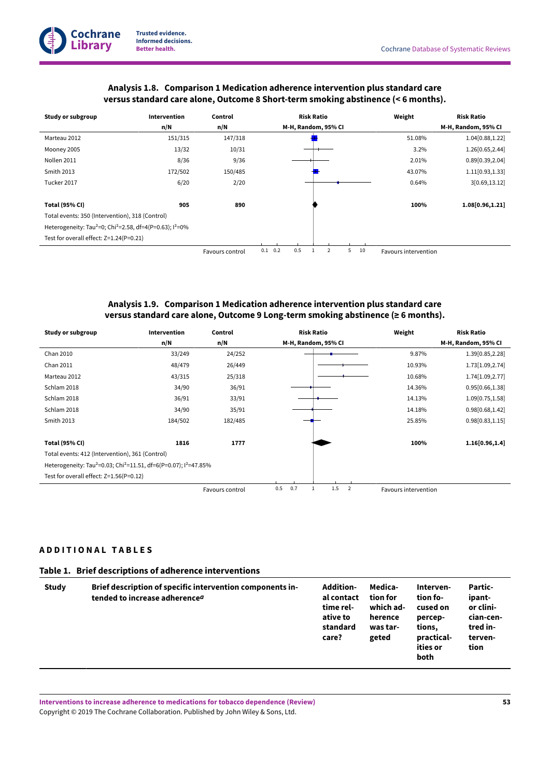

# **Analysis 1.8. Comparison 1 Medication adherence intervention plus standard care versus standard care alone, Outcome 8Short-term smoking abstinence (< 6 months).**

<span id="page-54-0"></span>

| Study or subgroup                                                                   | Intervention | Control         | <b>Risk Ratio</b>                                   | Weight<br><b>Risk Ratio</b> |                     |
|-------------------------------------------------------------------------------------|--------------|-----------------|-----------------------------------------------------|-----------------------------|---------------------|
|                                                                                     | n/N          | n/N             | M-H, Random, 95% CI                                 |                             | M-H, Random, 95% CI |
| Marteau 2012                                                                        | 151/315      | 147/318         |                                                     | 51.08%                      | 1.04 [0.88, 1.22]   |
| Mooney 2005                                                                         | 13/32        | 10/31           |                                                     | 3.2%                        | 1.26 [0.65, 2.44]   |
| Nollen 2011                                                                         | 8/36         | 9/36            |                                                     | 2.01%                       | 0.89[0.39,2.04]     |
| <b>Smith 2013</b>                                                                   | 172/502      | 150/485         |                                                     | 43.07%                      | 1.11[0.93, 1.33]    |
| Tucker 2017                                                                         | 6/20         | 2/20            |                                                     | 0.64%                       | 3[0.69, 13.12]      |
| <b>Total (95% CI)</b>                                                               | 905          | 890             |                                                     | 100%                        | 1.08[0.96,1.21]     |
| Total events: 350 (Intervention), 318 (Control)                                     |              |                 |                                                     |                             |                     |
| Heterogeneity: Tau <sup>2</sup> =0; Chi <sup>2</sup> =2.58, df=4(P=0.63); $1^2$ =0% |              |                 |                                                     |                             |                     |
| Test for overall effect: Z=1.24(P=0.21)                                             |              |                 |                                                     |                             |                     |
|                                                                                     |              | Favours control | 5<br>$0.1 \quad 0.2$<br>0.5<br>10<br>$\overline{2}$ | Favours intervention        |                     |

# **Analysis 1.9. Comparison 1 Medication adherence intervention plus standard care versus standard care alone, Outcome 9 Long-term smoking abstinence (≥ 6 months).**

<span id="page-54-1"></span>

| Study or subgroup                                                                                    | Intervention | Control         | <b>Risk Ratio</b>                        | Weight               | <b>Risk Ratio</b>   |
|------------------------------------------------------------------------------------------------------|--------------|-----------------|------------------------------------------|----------------------|---------------------|
|                                                                                                      | n/N          | n/N             | M-H, Random, 95% CI                      |                      | M-H, Random, 95% CI |
| Chan 2010                                                                                            | 33/249       | 24/252          |                                          | 9.87%                | 1.39 [0.85, 2.28]   |
| Chan 2011                                                                                            | 48/479       | 26/449          |                                          | 10.93%               | 1.73[1.09,2.74]     |
| Marteau 2012                                                                                         | 43/315       | 25/318          |                                          | 10.68%               | 1.74 $[1.09, 2.77]$ |
| Schlam 2018                                                                                          | 34/90        | 36/91           |                                          | 14.36%               | 0.95[0.66, 1.38]    |
| Schlam 2018                                                                                          | 36/91        | 33/91           |                                          | 14.13%               | 1.09[0.75,1.58]     |
| Schlam 2018                                                                                          | 34/90        | 35/91           |                                          | 14.18%               | 0.98[0.68, 1.42]    |
| <b>Smith 2013</b>                                                                                    | 184/502      | 182/485         |                                          | 25.85%               | 0.98[0.83, 1.15]    |
| <b>Total (95% CI)</b>                                                                                | 1816         | 1777            |                                          | 100%                 | 1.16[0.96, 1.4]     |
| Total events: 412 (Intervention), 361 (Control)                                                      |              |                 |                                          |                      |                     |
| Heterogeneity: Tau <sup>2</sup> =0.03; Chi <sup>2</sup> =11.51, df=6(P=0.07); l <sup>2</sup> =47.85% |              |                 |                                          |                      |                     |
| Test for overall effect: Z=1.56(P=0.12)                                                              |              |                 |                                          |                      |                     |
|                                                                                                      |              | Favours control | 0.7<br>1.5<br>0.5<br>$\overline{2}$<br>1 | Favours intervention |                     |

# <span id="page-54-2"></span>**A D D I T I O N A L T A B L E S**

# <span id="page-54-3"></span>**Table 1. Brief descriptions of adherence interventions**

| Brief description of specific intervention components in-<br><b>Addition-</b><br><b>Study</b><br>tended to increase adherence <sup>a</sup><br>time rel-<br>ative to<br>standard<br>care? | al contact<br>tion for<br>which ad-<br>herence<br>was tar-<br>geted | tion fo-<br>cused on<br>percep-<br>tions,<br>practical-<br>ities or<br>both | ipant-<br>or clini-<br>cian-cen-<br>tred in-<br>terven-<br>tion |
|------------------------------------------------------------------------------------------------------------------------------------------------------------------------------------------|---------------------------------------------------------------------|-----------------------------------------------------------------------------|-----------------------------------------------------------------|
|------------------------------------------------------------------------------------------------------------------------------------------------------------------------------------------|---------------------------------------------------------------------|-----------------------------------------------------------------------------|-----------------------------------------------------------------|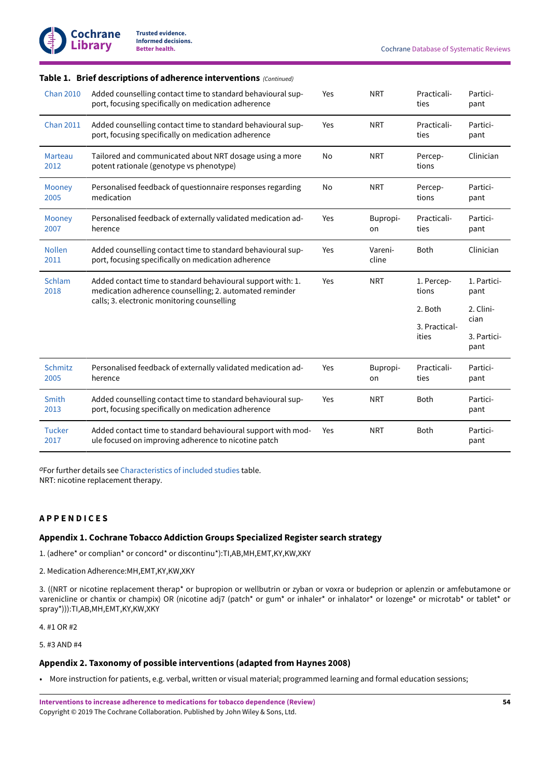# **Table 1. Brief descriptions of adherence interventions**  *(Continued)*

| <b>Chan 2010</b>      | Added counselling contact time to standard behavioural sup-<br>port, focusing specifically on medication adherence                                                    | Yes | <b>NRT</b>       | Practicali-<br>ties                             | Partici-<br>pant                         |
|-----------------------|-----------------------------------------------------------------------------------------------------------------------------------------------------------------------|-----|------------------|-------------------------------------------------|------------------------------------------|
| <b>Chan 2011</b>      | Added counselling contact time to standard behavioural sup-<br>port, focusing specifically on medication adherence                                                    | Yes | <b>NRT</b>       | Practicali-<br>ties                             | Partici-<br>pant                         |
| Marteau<br>2012       | Tailored and communicated about NRT dosage using a more<br>potent rationale (genotype vs phenotype)                                                                   | No  | <b>NRT</b>       | Percep-<br>tions                                | Clinician                                |
| Mooney<br>2005        | Personalised feedback of questionnaire responses regarding<br>medication                                                                                              | No  | <b>NRT</b>       | Percep-<br>tions                                | Partici-<br>pant                         |
| Mooney<br>2007        | Personalised feedback of externally validated medication ad-<br>herence                                                                                               | Yes | Bupropi-<br>on   | Practicali-<br>ties                             | Partici-<br>pant                         |
| <b>Nollen</b><br>2011 | Added counselling contact time to standard behavioural sup-<br>port, focusing specifically on medication adherence                                                    | Yes | Vareni-<br>cline | Both                                            | Clinician                                |
| Schlam<br>2018        | Added contact time to standard behavioural support with: 1.<br>medication adherence counselling; 2. automated reminder<br>calls; 3. electronic monitoring counselling |     | <b>NRT</b>       | 1. Percep-<br>tions<br>2. Both<br>3. Practical- | 1. Partici-<br>pant<br>2. Clini-<br>cian |
|                       |                                                                                                                                                                       |     |                  | ities                                           | 3. Partici-<br>pant                      |
| Schmitz<br>2005       | Personalised feedback of externally validated medication ad-<br>herence                                                                                               | Yes | Bupropi-<br>on   | Practicali-<br>ties                             | Partici-<br>pant                         |
| Smith<br>2013         | Added counselling contact time to standard behavioural sup-<br>port, focusing specifically on medication adherence                                                    | Yes | <b>NRT</b>       | Both                                            | Partici-<br>pant                         |
| <b>Tucker</b><br>2017 | Added contact time to standard behavioural support with mod-<br>ule focused on improving adherence to nicotine patch                                                  | Yes | <b>NRT</b>       | <b>Both</b>                                     | Partici-<br>pant                         |

*a*For further details see [Characteristics of included studies](#page-28-2) table. NRT: nicotine replacement therapy.

# <span id="page-55-0"></span>**A P P E N D I C E S**

# <span id="page-55-1"></span>**Appendix 1. CochraneTobacco Addiction GroupsSpecialized Register search strategy**

1. (adhere\* or complian\* or concord\* or discontinu\*):TI,AB,MH,EMT,KY,KW,XKY

2. Medication Adherence:MH,EMT,KY,KW,XKY

3. ((NRT or nicotine replacement therap\* or bupropion or wellbutrin or zyban or voxra or budeprion or aplenzin or amfebutamone or varenicline or chantix or champix) OR (nicotine adj7 (patch\* or gum\* or inhaler\* or inhalator\* or lozenge\* or microtab\* or tablet\* or spray\*))):TI,AB,MH,EMT,KY,KW,XKY

4. #1 OR #2

5. #3 AND #4

# <span id="page-55-2"></span>**Appendix 2.Taxonomy of possible interventions (adapted from Haynes 2008)**

• More instruction for patients, e.g. verbal, written or visual material; programmed learning and formal education sessions;

**Interventions to increase adherence to medications for tobacco dependence (Review)** Copyright © 2019 The Cochrane Collaboration. Published by John Wiley & Sons, Ltd.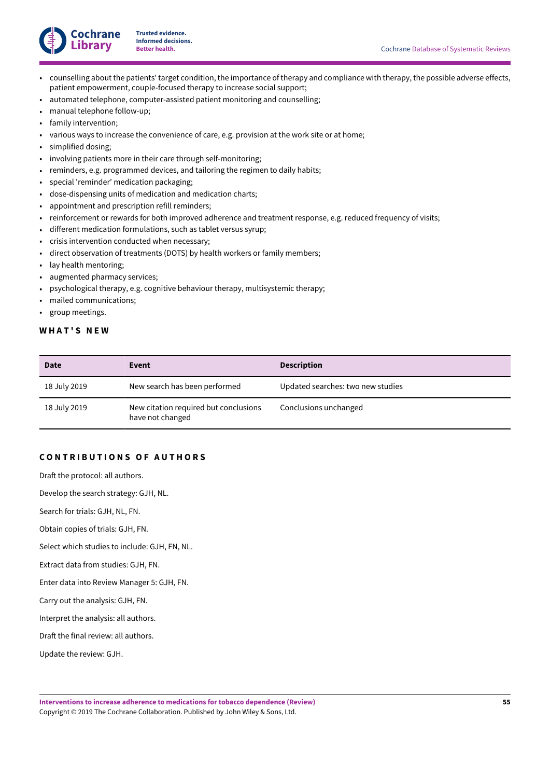

- counselling about the patients' target condition, the importance of therapy and compliance with therapy, the possible adverse effects, patient empowerment, couple-focused therapy to increase social support;
- automated telephone, computer-assisted patient monitoring and counselling;
- manual telephone follow-up;
- family intervention;
- various ways to increase the convenience of care, e.g. provision at the work site or at home;
- simplified dosing;
- involving patients more in their care through self-monitoring;
- reminders, e.g. programmed devices, and tailoring the regimen to daily habits;
- special 'reminder' medication packaging;
- dose-dispensing units of medication and medication charts;
- appointment and prescription refill reminders;
- reinforcement or rewards for both improved adherence and treatment response, e.g. reduced frequency of visits;
- different medication formulations, such as tablet versus syrup;
- crisis intervention conducted when necessary;
- direct observation of treatments (DOTS) by health workers or family members;
- lay health mentoring;
- augmented pharmacy services;
- psychological therapy, e.g. cognitive behaviour therapy, multisystemic therapy;
- mailed communications;
- group meetings.

# <span id="page-56-0"></span>**W H A T ' S N E W**

| <b>Date</b>  | Event                                                     | <b>Description</b>                |
|--------------|-----------------------------------------------------------|-----------------------------------|
| 18 July 2019 | New search has been performed                             | Updated searches: two new studies |
| 18 July 2019 | New citation required but conclusions<br>have not changed | Conclusions unchanged             |

# <span id="page-56-1"></span>**C O N T R I B U T I O N S O F A U T H O R S**

Draft the protocol: all authors.

Develop the search strategy: GJH, NL.

Search for trials: GJH, NL, FN.

Obtain copies of trials: GJH, FN.

Select which studies to include: GJH, FN, NL.

Extract data from studies: GJH, FN.

Enter data into Review Manager 5: GJH, FN.

Carry out the analysis: GJH, FN.

Interpret the analysis: all authors.

Draft the final review: all authors.

Update the review: GJH.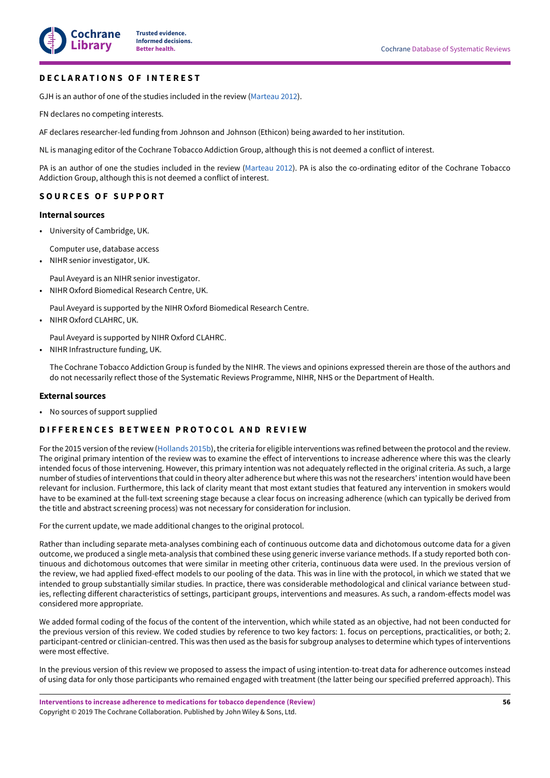# <span id="page-57-0"></span>**D E C L A R A T I O N S O F I N T E R E S T**

GJH is an author of one of the studies included in the review [\(Marteau](#page-24-7) 2012).

FN declares no competing interests.

AF declares researcher-led funding from Johnson and Johnson (Ethicon) being awarded to her institution.

NL is managing editor of the Cochrane Tobacco Addiction Group, although this is not deemed a conflict of interest.

PA is an author of one the studies included in the review [\(Marteau](#page-24-7) 2012). PA is also the co-ordinating editor of the Cochrane Tobacco Addiction Group, although this is not deemed a conflict of interest.

# <span id="page-57-1"></span>**S O U R C E S O F S U P P O R T**

### **Internal sources**

• University of Cambridge, UK.

Computer use, database access

• NIHR senior investigator, UK.

Paul Aveyard is an NIHR senior investigator.

• NIHR Oxford Biomedical Research Centre, UK.

Paul Aveyard is supported by the NIHR Oxford Biomedical Research Centre.

• NIHR Oxford CLAHRC, UK.

Paul Aveyard is supported by NIHR Oxford CLAHRC.

• NIHR Infrastructure funding, UK.

The Cochrane Tobacco Addiction Group is funded by the NIHR. The views and opinions expressed therein are those of the authors and do not necessarily reflect those of the Systematic Reviews Programme, NIHR, NHS or the Department of Health.

# **External sources**

• No sources of support supplied

# <span id="page-57-2"></span>**DIFFERENCES BETWEEN PROTOCOL AND REVIEW**

For the 2015 version of the review ([Hollands 2015b](#page-28-3)), the criteria for eligible interventions was refined between the protocol and the review. The original primary intention of the review was to examine the effect of interventions to increase adherence where this was the clearly intended focus of those intervening. However, this primary intention was not adequately reflected in the original criteria. As such, a large number of studies of interventions that could in theory alter adherence but where this was notthe researchers' intention would have been relevant for inclusion. Furthermore, this lack of clarity meant that most extant studies that featured any intervention in smokers would have to be examined at the full-text screening stage because a clear focus on increasing adherence (which can typically be derived from the title and abstract screening process) was not necessary for consideration for inclusion.

For the current update, we made additional changes to the original protocol.

Rather than including separate meta-analyses combining each of continuous outcome data and dichotomous outcome data for a given outcome, we produced a single meta-analysis that combined these using generic inverse variance methods. If a study reported both continuous and dichotomous outcomes that were similar in meeting other criteria, continuous data were used. In the previous version of the review, we had applied fixed-effect models to our pooling of the data. This was in line with the protocol, in which we stated that we intended to group substantially similar studies. In practice, there was considerable methodological and clinical variance between studies, reflecting different characteristics of settings, participant groups, interventions and measures. As such, a random-effects model was considered more appropriate.

We added formal coding of the focus of the content of the intervention, which while stated as an objective, had not been conducted for the previous version of this review. We coded studies by reference to two key factors: 1. focus on perceptions, practicalities, or both; 2. participant-centred or clinician-centred. This was then used as the basis for subgroup analyses to determine which types of interventions were most effective.

In the previous version of this review we proposed to assess the impact of using intention-to-treat data for adherence outcomes instead of using data for only those participants who remained engaged with treatment (the latter being our specified preferred approach). This

**Interventions to increase adherence to medications for tobacco dependence (Review)** Copyright © 2019 The Cochrane Collaboration. Published by John Wiley & Sons, Ltd.